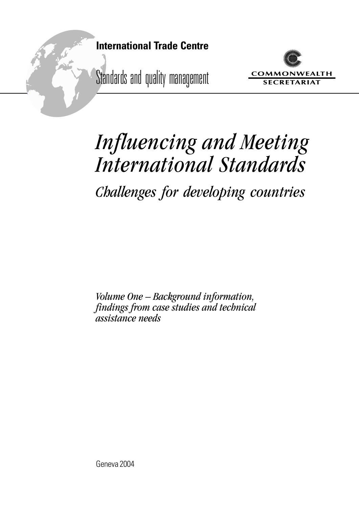# **International Trade Centre**

Standards and quality management



# *Influencing and Meeting International Standards*

*Challenges for developing countries*

*Volume One – Background information, findings from case studies and technical assistance needs*

Geneva 2004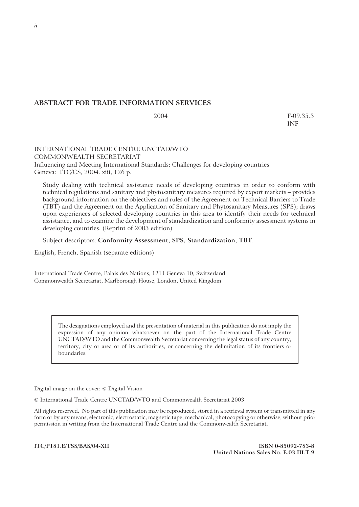#### **ABSTRACT FOR TRADE INFORMATION SERVICES**

2004 F-09.35.3 INF

### INTERNATIONAL TRADE CENTRE UNCTAD/WTO COMMONWEALTH SECRETARIAT Influencing and Meeting International Standards: Challenges for developing countries

Geneva: ITC/CS, 2004. xiii, 126 p.

Study dealing with technical assistance needs of developing countries in order to conform with technical regulations and sanitary and phytosanitary measures required by export markets – provides background information on the objectives and rules of the Agreement on Technical Barriers to Trade (TBT) and the Agreement on the Application of Sanitary and Phytosanitary Measures (SPS); draws upon experiences of selected developing countries in this area to identify their needs for technical assistance, and to examine the development of standardization and conformity assessment systems in developing countries. (Reprint of 2003 edition)

Subject descriptors: **Conformity Assessment, SPS, Standardization, TBT**.

English, French, Spanish (separate editions)

International Trade Centre, Palais des Nations, 1211 Geneva 10, Switzerland Commonwealth Secretariat, Marlborough House, London, United Kingdom

> The designations employed and the presentation of material in this publication do not imply the expression of any opinion whatsoever on the part of the International Trade Centre UNCTAD/WTO and the Commonwealth Secretariat concerning the legal status of any country, territory, city or area or of its authorities, or concerning the delimitation of its frontiers or boundaries.

Digital image on the cover: © Digital Vision

© International Trade Centre UNCTAD/WTO and Commonwealth Secretariat 2003

All rights reserved. No part of this publication may be reproduced, stored in a retrieval system or transmitted in any form or by any means, electronic, electrostatic, magnetic tape, mechanical, photocopying or otherwise, without prior permission in writing from the International Trade Centre and the Commonwealth Secretariat.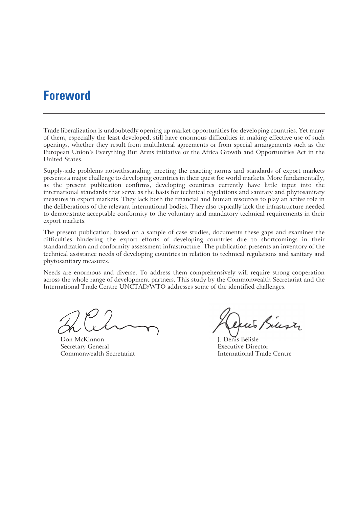# **Foreword**

Trade liberalization is undoubtedly opening up market opportunities for developing countries. Yet many of them, especially the least developed, still have enormous difficulties in making effective use of such openings, whether they result from multilateral agreements or from special arrangements such as the European Union's Everything But Arms initiative or the Africa Growth and Opportunities Act in the United States.

Supply-side problems notwithstanding, meeting the exacting norms and standards of export markets presents a major challenge to developing countries in their quest for world markets. More fundamentally, as the present publication confirms, developing countries currently have little input into the international standards that serve as the basis for technical regulations and sanitary and phytosanitary measures in export markets. They lack both the financial and human resources to play an active role in the deliberations of the relevant international bodies. They also typically lack the infrastructure needed to demonstrate acceptable conformity to the voluntary and mandatory technical requirements in their export markets.

The present publication, based on a sample of case studies, documents these gaps and examines the difficulties hindering the export efforts of developing countries due to shortcomings in their standardization and conformity assessment infrastructure. The publication presents an inventory of the technical assistance needs of developing countries in relation to technical regulations and sanitary and phytosanitary measures.

Needs are enormous and diverse. To address them comprehensively will require strong cooperation across the whole range of development partners. This study by the Commonwealth Secretariat and the International Trade Centre UNCTAD/WTO addresses some of the identified challenges.

Don McKinnon J. Denis Bélisle<br>Secretary General Belisle<br>Executive Direct Commonwealth Secretariat International Trade Centre

ut Biusz

Executive Director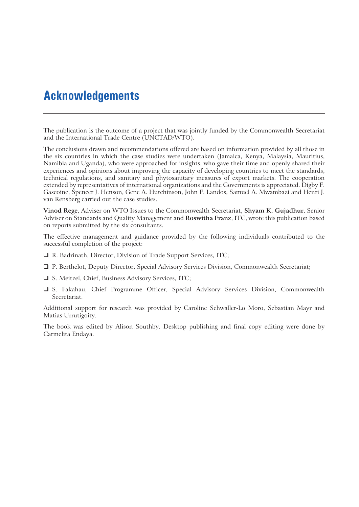# **Acknowledgements**

The publication is the outcome of a project that was jointly funded by the Commonwealth Secretariat and the International Trade Centre (UNCTAD/WTO).

The conclusions drawn and recommendations offered are based on information provided by all those in the six countries in which the case studies were undertaken (Jamaica, Kenya, Malaysia, Mauritius, Namibia and Uganda), who were approached for insights, who gave their time and openly shared their experiences and opinions about improving the capacity of developing countries to meet the standards, technical regulations, and sanitary and phytosanitary measures of export markets. The cooperation extended by representatives of international organizations and the Governments is appreciated. Digby F. Gascoine, Spencer J. Henson, Gene A. Hutchinson, John F. Landos, Samuel A. Mwambazi and Henri J. van Rensberg carried out the case studies.

**Vinod Rege**, Adviser on WTO Issues to the Commonwealth Secretariat, **Shyam K. Gujadhur**, Senior Adviser on Standards and Quality Management and **Roswitha Franz**, ITC, wrote this publication based on reports submitted by the six consultants.

The effective management and guidance provided by the following individuals contributed to the successful completion of the project:

- R. Badrinath, Director, Division of Trade Support Services, ITC;
- P. Berthelot, Deputy Director, Special Advisory Services Division, Commonwealth Secretariat;
- □ S. Meitzel, Chief, Business Advisory Services, ITC;
- S. Fakahau, Chief Programme Officer, Special Advisory Services Division, Commonwealth Secretariat.

Additional support for research was provided by Caroline Schwaller-Lo Moro, Sebastian Mayr and Matias Urrutigoity.

The book was edited by Alison Southby. Desktop publishing and final copy editing were done by Carmelita Endaya.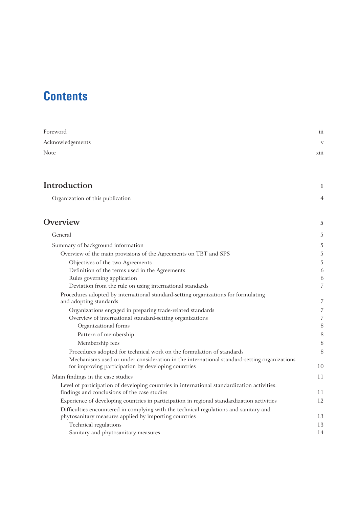# **Contents**

|                                                                                                                                                                                                                                                                                                                                                                                                                                                                                                                                                                                                                                                                                                                                                                                                                                                                                                                                                                                                                                                                                                                                                                                                                                                                                                              | iii   |
|--------------------------------------------------------------------------------------------------------------------------------------------------------------------------------------------------------------------------------------------------------------------------------------------------------------------------------------------------------------------------------------------------------------------------------------------------------------------------------------------------------------------------------------------------------------------------------------------------------------------------------------------------------------------------------------------------------------------------------------------------------------------------------------------------------------------------------------------------------------------------------------------------------------------------------------------------------------------------------------------------------------------------------------------------------------------------------------------------------------------------------------------------------------------------------------------------------------------------------------------------------------------------------------------------------------|-------|
|                                                                                                                                                                                                                                                                                                                                                                                                                                                                                                                                                                                                                                                                                                                                                                                                                                                                                                                                                                                                                                                                                                                                                                                                                                                                                                              | V     |
|                                                                                                                                                                                                                                                                                                                                                                                                                                                                                                                                                                                                                                                                                                                                                                                                                                                                                                                                                                                                                                                                                                                                                                                                                                                                                                              | xiii  |
|                                                                                                                                                                                                                                                                                                                                                                                                                                                                                                                                                                                                                                                                                                                                                                                                                                                                                                                                                                                                                                                                                                                                                                                                                                                                                                              |       |
|                                                                                                                                                                                                                                                                                                                                                                                                                                                                                                                                                                                                                                                                                                                                                                                                                                                                                                                                                                                                                                                                                                                                                                                                                                                                                                              | 1     |
| Organization of this publication                                                                                                                                                                                                                                                                                                                                                                                                                                                                                                                                                                                                                                                                                                                                                                                                                                                                                                                                                                                                                                                                                                                                                                                                                                                                             | 4     |
|                                                                                                                                                                                                                                                                                                                                                                                                                                                                                                                                                                                                                                                                                                                                                                                                                                                                                                                                                                                                                                                                                                                                                                                                                                                                                                              | 5     |
| General                                                                                                                                                                                                                                                                                                                                                                                                                                                                                                                                                                                                                                                                                                                                                                                                                                                                                                                                                                                                                                                                                                                                                                                                                                                                                                      | 5     |
|                                                                                                                                                                                                                                                                                                                                                                                                                                                                                                                                                                                                                                                                                                                                                                                                                                                                                                                                                                                                                                                                                                                                                                                                                                                                                                              | 5     |
|                                                                                                                                                                                                                                                                                                                                                                                                                                                                                                                                                                                                                                                                                                                                                                                                                                                                                                                                                                                                                                                                                                                                                                                                                                                                                                              | 5     |
|                                                                                                                                                                                                                                                                                                                                                                                                                                                                                                                                                                                                                                                                                                                                                                                                                                                                                                                                                                                                                                                                                                                                                                                                                                                                                                              | 5     |
| Foreword<br>Acknowledgements<br>Note<br>Introduction<br>Overview<br>Summary of background information<br>Overview of the main provisions of the Agreements on TBT and SPS<br>Objectives of the two Agreements<br>Definition of the terms used in the Agreements<br>Rules governing application<br>Deviation from the rule on using international standards<br>Procedures adopted by international standard-setting organizations for formulating<br>and adopting standards<br>Organizations engaged in preparing trade-related standards<br>Overview of international standard-setting organizations<br>Organizational forms<br>Pattern of membership<br>Membership fees<br>Procedures adopted for technical work on the formulation of standards<br>for improving participation by developing countries<br>Main findings in the case studies<br>Level of participation of developing countries in international standardization activities:<br>findings and conclusions of the case studies<br>Experience of developing countries in participation in regional standardization activities<br>Difficulties encountered in complying with the technical regulations and sanitary and<br>phytosanitary measures applied by importing countries<br>Technical regulations<br>Sanitary and phytosanitary measures | 6     |
|                                                                                                                                                                                                                                                                                                                                                                                                                                                                                                                                                                                                                                                                                                                                                                                                                                                                                                                                                                                                                                                                                                                                                                                                                                                                                                              | 6     |
|                                                                                                                                                                                                                                                                                                                                                                                                                                                                                                                                                                                                                                                                                                                                                                                                                                                                                                                                                                                                                                                                                                                                                                                                                                                                                                              | 7     |
|                                                                                                                                                                                                                                                                                                                                                                                                                                                                                                                                                                                                                                                                                                                                                                                                                                                                                                                                                                                                                                                                                                                                                                                                                                                                                                              | 7     |
|                                                                                                                                                                                                                                                                                                                                                                                                                                                                                                                                                                                                                                                                                                                                                                                                                                                                                                                                                                                                                                                                                                                                                                                                                                                                                                              | 7     |
|                                                                                                                                                                                                                                                                                                                                                                                                                                                                                                                                                                                                                                                                                                                                                                                                                                                                                                                                                                                                                                                                                                                                                                                                                                                                                                              | 7     |
|                                                                                                                                                                                                                                                                                                                                                                                                                                                                                                                                                                                                                                                                                                                                                                                                                                                                                                                                                                                                                                                                                                                                                                                                                                                                                                              | $8\,$ |
|                                                                                                                                                                                                                                                                                                                                                                                                                                                                                                                                                                                                                                                                                                                                                                                                                                                                                                                                                                                                                                                                                                                                                                                                                                                                                                              | $8\,$ |
|                                                                                                                                                                                                                                                                                                                                                                                                                                                                                                                                                                                                                                                                                                                                                                                                                                                                                                                                                                                                                                                                                                                                                                                                                                                                                                              | 8     |
|                                                                                                                                                                                                                                                                                                                                                                                                                                                                                                                                                                                                                                                                                                                                                                                                                                                                                                                                                                                                                                                                                                                                                                                                                                                                                                              | 8     |
| Mechanisms used or under consideration in the international standard-setting organizations                                                                                                                                                                                                                                                                                                                                                                                                                                                                                                                                                                                                                                                                                                                                                                                                                                                                                                                                                                                                                                                                                                                                                                                                                   | 10    |
|                                                                                                                                                                                                                                                                                                                                                                                                                                                                                                                                                                                                                                                                                                                                                                                                                                                                                                                                                                                                                                                                                                                                                                                                                                                                                                              | 11    |
|                                                                                                                                                                                                                                                                                                                                                                                                                                                                                                                                                                                                                                                                                                                                                                                                                                                                                                                                                                                                                                                                                                                                                                                                                                                                                                              | 11    |
|                                                                                                                                                                                                                                                                                                                                                                                                                                                                                                                                                                                                                                                                                                                                                                                                                                                                                                                                                                                                                                                                                                                                                                                                                                                                                                              | 12    |
|                                                                                                                                                                                                                                                                                                                                                                                                                                                                                                                                                                                                                                                                                                                                                                                                                                                                                                                                                                                                                                                                                                                                                                                                                                                                                                              |       |
|                                                                                                                                                                                                                                                                                                                                                                                                                                                                                                                                                                                                                                                                                                                                                                                                                                                                                                                                                                                                                                                                                                                                                                                                                                                                                                              | 13    |
|                                                                                                                                                                                                                                                                                                                                                                                                                                                                                                                                                                                                                                                                                                                                                                                                                                                                                                                                                                                                                                                                                                                                                                                                                                                                                                              | 13    |
|                                                                                                                                                                                                                                                                                                                                                                                                                                                                                                                                                                                                                                                                                                                                                                                                                                                                                                                                                                                                                                                                                                                                                                                                                                                                                                              | 14    |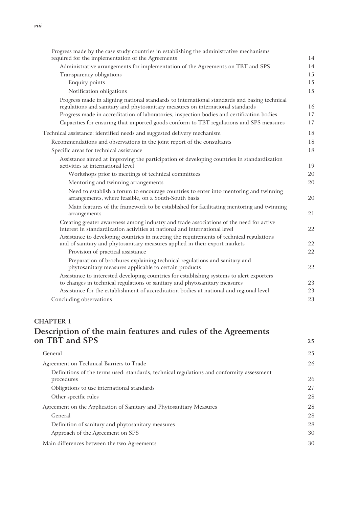| Progress made by the case study countries in establishing the administrative mechanisms<br>required for the implementation of the Agreements                                   | 14 |
|--------------------------------------------------------------------------------------------------------------------------------------------------------------------------------|----|
| Administrative arrangements for implementation of the Agreements on TBT and SPS                                                                                                | 14 |
| Transparency obligations                                                                                                                                                       | 15 |
| Enquiry points                                                                                                                                                                 | 15 |
| Notification obligations                                                                                                                                                       | 15 |
| Progress made in aligning national standards to international standards and basing technical<br>regulations and sanitary and phytosanitary measures on international standards | 16 |
| Progress made in accreditation of laboratories, inspection bodies and certification bodies                                                                                     | 17 |
| Capacities for ensuring that imported goods conform to TBT regulations and SPS measures                                                                                        | 17 |
| Technical assistance: identified needs and suggested delivery mechanism                                                                                                        | 18 |
| Recommendations and observations in the joint report of the consultants                                                                                                        | 18 |
| Specific areas for technical assistance                                                                                                                                        | 18 |
| Assistance aimed at improving the participation of developing countries in standardization<br>activities at international level                                                | 19 |
| Workshops prior to meetings of technical committees                                                                                                                            | 20 |
| Mentoring and twinning arrangements                                                                                                                                            | 20 |
| Need to establish a forum to encourage countries to enter into mentoring and twinning<br>arrangements, where feasible, on a South-South basis                                  | 20 |
| Main features of the framework to be established for facilitating mentoring and twinning<br>arrangements                                                                       | 21 |
| Creating greater awareness among industry and trade associations of the need for active<br>interest in standardization activities at national and international level          | 22 |
| Assistance to developing countries in meeting the requirements of technical regulations<br>and of sanitary and phytosanitary measures applied in their export markets          | 22 |
| Provision of practical assistance                                                                                                                                              | 22 |
| Preparation of brochures explaining technical regulations and sanitary and<br>phytosanitary measures applicable to certain products                                            | 22 |
| Assistance to interested developing countries for establishing systems to alert exporters<br>to changes in technical regulations or sanitary and phytosanitary measures        | 23 |
| Assistance for the establishment of accreditation bodies at national and regional level                                                                                        | 23 |
| Concluding observations                                                                                                                                                        | 23 |

### **CHAPTER 1**

# **Description of the main features and rules of the Agreements on TBT and SPS <sup>25</sup>**

| General                                                                                                 | 25 |
|---------------------------------------------------------------------------------------------------------|----|
| Agreement on Technical Barriers to Trade                                                                | 26 |
| Definitions of the terms used: standards, technical regulations and conformity assessment<br>procedures | 26 |
| Obligations to use international standards                                                              | 27 |
| Other specific rules                                                                                    | 28 |
| Agreement on the Application of Sanitary and Phytosanitary Measures                                     |    |
| General                                                                                                 | 28 |
| Definition of sanitary and phytosanitary measures                                                       | 28 |
| Approach of the Agreement on SPS                                                                        | 30 |
| Main differences between the two Agreements                                                             | 30 |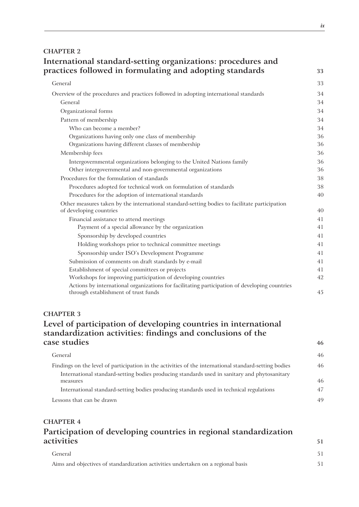# **CHAPTER 2 International standard-setting organizations: procedures and practices followed in formulating and adopting standards <sup>33</sup>**

| General                                                                                                                               | 33 |
|---------------------------------------------------------------------------------------------------------------------------------------|----|
| Overview of the procedures and practices followed in adopting international standards                                                 | 34 |
| General                                                                                                                               | 34 |
| Organizational forms                                                                                                                  | 34 |
| Pattern of membership                                                                                                                 | 34 |
| Who can become a member?                                                                                                              | 34 |
| Organizations having only one class of membership                                                                                     | 36 |
| Organizations having different classes of membership                                                                                  | 36 |
| Membership fees                                                                                                                       | 36 |
| Intergovernmental organizations belonging to the United Nations family                                                                | 36 |
| Other intergovernmental and non-governmental organizations                                                                            | 36 |
| Procedures for the formulation of standards                                                                                           | 38 |
| Procedures adopted for technical work on formulation of standards                                                                     | 38 |
| Procedures for the adoption of international standards                                                                                | 40 |
| Other measures taken by the international standard-setting bodies to facilitate participation<br>of developing countries              | 40 |
| Financial assistance to attend meetings                                                                                               | 41 |
| Payment of a special allowance by the organization                                                                                    | 41 |
| Sponsorship by developed countries                                                                                                    | 41 |
| Holding workshops prior to technical committee meetings                                                                               | 41 |
| Sponsorship under ISO's Development Programme                                                                                         | 41 |
| Submission of comments on draft standards by e-mail                                                                                   | 41 |
| Establishment of special committees or projects                                                                                       | 41 |
| Workshops for improving participation of developing countries                                                                         | 42 |
| Actions by international organizations for facilitating participation of developing countries<br>through establishment of trust funds | 45 |

#### **CHAPTER 3**

### **Level of participation of developing countries in international standardization activities: findings and conclusions of the case studies <sup>46</sup>**

| General                                                                                                  | 46 |
|----------------------------------------------------------------------------------------------------------|----|
| Findings on the level of participation in the activities of the international standard-setting bodies    | 46 |
| International standard-setting bodies producing standards used in sanitary and phytosanitary<br>measures | 46 |
| International standard-setting bodies producing standards used in technical regulations                  | 47 |
| Lessons that can be drawn                                                                                | 49 |

# **CHAPTER 4 Participation of developing countries in regional standardization activities <sup>51</sup>**

| .                                                                                |  |
|----------------------------------------------------------------------------------|--|
| General                                                                          |  |
| Aims and objectives of standardization activities undertaken on a regional basis |  |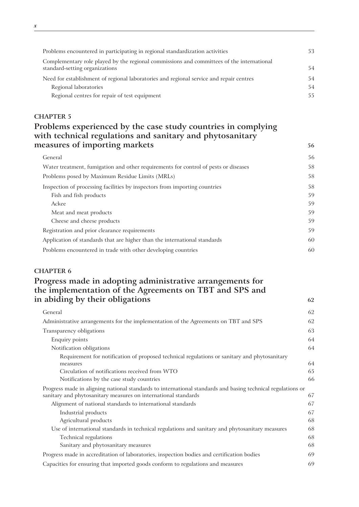| Problems encountered in participating in regional standardization activities                                                | 53 |
|-----------------------------------------------------------------------------------------------------------------------------|----|
| Complementary role played by the regional commissions and committees of the international<br>standard-setting organizations | 54 |
| Need for establishment of regional laboratories and regional service and repair centres                                     |    |
| Regional laboratories                                                                                                       | 54 |
| Regional centres for repair of test equipment                                                                               | 55 |

### **CHAPTER 5**

# **Problems experienced by the case study countries in complying with technical regulations and sanitary and phytosanitary measures of importing markets <sup>56</sup>**

| General                                                                             | 56 |
|-------------------------------------------------------------------------------------|----|
| Water treatment, fumigation and other requirements for control of pests or diseases |    |
| Problems posed by Maximum Residue Limits (MRLs)                                     |    |
| Inspection of processing facilities by inspectors from importing countries          |    |
| Fish and fish products                                                              | 59 |
| Ackee                                                                               | 59 |
| Meat and meat products                                                              | 59 |
| Cheese and cheese products                                                          | 59 |
| Registration and prior clearance requirements                                       |    |
| Application of standards that are higher than the international standards           | 60 |
| Problems encountered in trade with other developing countries                       |    |

#### **CHAPTER 6**

# **Progress made in adopting administrative arrangements for the implementation of the Agreements on TBT and SPS and in abiding by their obligations <sup>62</sup>**

| General                                                                                                                                                                       | 62 |
|-------------------------------------------------------------------------------------------------------------------------------------------------------------------------------|----|
| Administrative arrangements for the implementation of the Agreements on TBT and SPS                                                                                           | 62 |
| Transparency obligations                                                                                                                                                      | 63 |
| Enquiry points                                                                                                                                                                | 64 |
| Notification obligations                                                                                                                                                      | 64 |
| Requirement for notification of proposed technical regulations or sanitary and phytosanitary<br>measures                                                                      | 64 |
| Circulation of notifications received from WTO                                                                                                                                | 65 |
| Notifications by the case study countries                                                                                                                                     | 66 |
| Progress made in aligning national standards to international standards and basing technical regulations or<br>sanitary and phytosanitary measures on international standards | 67 |
| Alignment of national standards to international standards                                                                                                                    | 67 |
| Industrial products                                                                                                                                                           | 67 |
| Agricultural products                                                                                                                                                         | 68 |
| Use of international standards in technical regulations and sanitary and phytosanitary measures                                                                               | 68 |
| Technical regulations                                                                                                                                                         | 68 |
| Sanitary and phytosanitary measures                                                                                                                                           | 68 |
| Progress made in accreditation of laboratories, inspection bodies and certification bodies                                                                                    | 69 |
| Capacities for ensuring that imported goods conform to regulations and measures                                                                                               | 69 |
|                                                                                                                                                                               |    |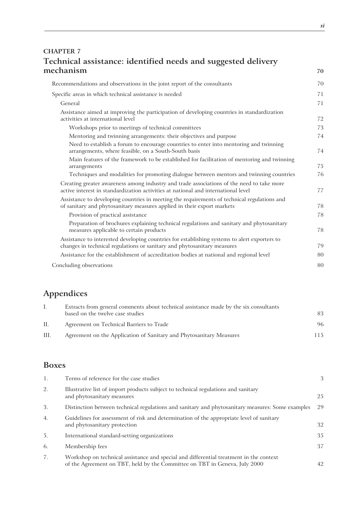# **CHAPTER 7 Technical assistance: identified needs and suggested delivery mechanism** *70*

| 70 |
|----|
| 71 |
| 71 |
| 72 |
| 73 |
| 74 |
| 74 |
| 75 |
| 76 |
| 77 |
| 78 |
| 78 |
| 78 |
| 79 |
| 80 |
| 80 |
|    |

# **Appendices**

| I.   | Extracts from general comments about technical assistance made by the six consultants |     |  |
|------|---------------------------------------------------------------------------------------|-----|--|
|      | based on the twelve case studies                                                      | 83  |  |
| Н.   | Agreement on Technical Barriers to Trade                                              | 96  |  |
| III. | Agreement on the Application of Sanitary and Phytosanitary Measures                   | 115 |  |

# **Boxes**

| -1. | Terms of reference for the case studies                                                                                                                              | 3  |
|-----|----------------------------------------------------------------------------------------------------------------------------------------------------------------------|----|
| 2.  | Illustrative list of import products subject to technical regulations and sanitary<br>and phytosanitary measures                                                     | 25 |
| 3.  | Distinction between technical regulations and sanitary and phytosanitary measures: Some examples                                                                     | 29 |
| 4.  | Guidelines for assessment of risk and determination of the appropriate level of sanitary<br>and phytosanitary protection                                             | 32 |
| 5.  | International standard-setting organizations                                                                                                                         | 35 |
| 6.  | Membership fees                                                                                                                                                      | 37 |
| 7.  | Workshop on technical assistance and special and differential treatment in the context<br>of the Agreement on TBT, held by the Committee on TBT in Geneva, July 2000 | 42 |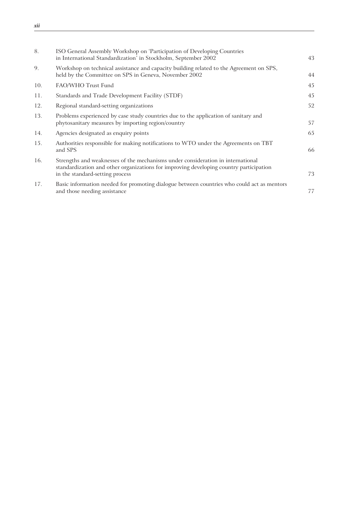|              | ×      | . . |
|--------------|--------|-----|
| ٦<br>٠       |        |     |
|              |        |     |
| ٧<br>۰,<br>. | I<br>I | ۰.  |
|              |        |     |

| 8.  | ISO General Assembly Workshop on 'Participation of Developing Countries<br>in International Standardization' in Stockholm, September 2002                                                                    | 43 |
|-----|--------------------------------------------------------------------------------------------------------------------------------------------------------------------------------------------------------------|----|
| 9.  | Workshop on technical assistance and capacity building related to the Agreement on SPS,<br>held by the Committee on SPS in Geneva, November 2002                                                             | 44 |
| 10. | FAO/WHO Trust Fund                                                                                                                                                                                           | 45 |
| 11. | Standards and Trade Development Facility (STDF)                                                                                                                                                              | 45 |
| 12. | Regional standard-setting organizations                                                                                                                                                                      | 52 |
| 13. | Problems experienced by case study countries due to the application of sanitary and<br>phytosanitary measures by importing region/country                                                                    | 57 |
| 14. | Agencies designated as enquiry points                                                                                                                                                                        | 65 |
| 15. | Authorities responsible for making notifications to WTO under the Agreements on TBT<br>and SPS                                                                                                               | 66 |
| 16. | Strengths and weaknesses of the mechanisms under consideration in international<br>standardization and other organizations for improving developing country participation<br>in the standard-setting process | 73 |
| 17. | Basic information needed for promoting dialogue between countries who could act as mentors<br>and those needing assistance                                                                                   | 77 |
|     |                                                                                                                                                                                                              |    |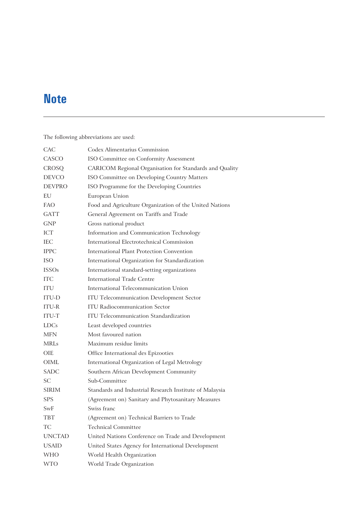# **Note**

The following abbreviations are used:

| <b>CAC</b>    | Codex Alimentarius Commission                           |
|---------------|---------------------------------------------------------|
| CASCO         | ISO Committee on Conformity Assessment                  |
| <b>CROSQ</b>  | CARICOM Regional Organisation for Standards and Quality |
| <b>DEVCO</b>  | ISO Committee on Developing Country Matters             |
| <b>DEVPRO</b> | ISO Programme for the Developing Countries              |
| EU            | European Union                                          |
| <b>FAO</b>    | Food and Agriculture Organization of the United Nations |
| <b>GATT</b>   | General Agreement on Tariffs and Trade                  |
| <b>GNP</b>    | Gross national product                                  |
| <b>ICT</b>    | Information and Communication Technology                |
| <b>IEC</b>    | International Electrotechnical Commission               |
| <b>IPPC</b>   | <b>International Plant Protection Convention</b>        |
| <b>ISO</b>    | International Organization for Standardization          |
| <b>ISSOs</b>  | International standard-setting organizations            |
| ITC           | International Trade Centre                              |
| ITU           | International Telecommunication Union                   |
| <b>ITU-D</b>  | <b>ITU Telecommunication Development Sector</b>         |
| <b>ITU-R</b>  | <b>ITU Radiocommunication Sector</b>                    |
| <b>ITU-T</b>  | <b>ITU Telecommunication Standardization</b>            |
| <b>LDCs</b>   | Least developed countries                               |
| <b>MFN</b>    | Most favoured nation                                    |
| MRLs          | Maximum residue limits                                  |
| <b>OIE</b>    | Office International des Epizooties                     |
| <b>OIML</b>   | International Organization of Legal Metrology           |
| <b>SADC</b>   | Southern African Development Community                  |
| SC            | Sub-Committee                                           |
| <b>SIRIM</b>  | Standards and Industrial Research Institute of Malaysia |
| SPS           | (Agreement on) Sanitary and Phytosanitary Measures      |
| SwF           | Swiss franc                                             |
| TBT           | (Agreement on) Technical Barriers to Trade              |
| ТC            | <b>Technical Committee</b>                              |
| <b>UNCTAD</b> | United Nations Conference on Trade and Development      |
| <b>USAID</b>  | United States Agency for International Development      |
| WHO           | World Health Organization                               |
| WTO           | World Trade Organization                                |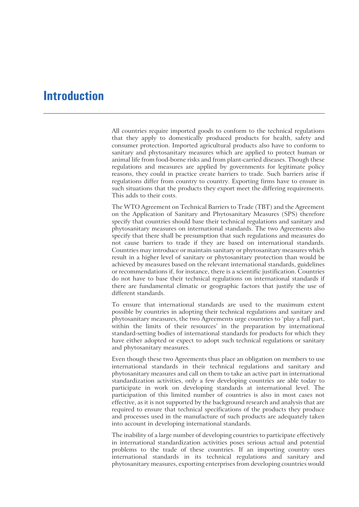# **Introduction**

All countries require imported goods to conform to the technical regulations that they apply to domestically produced products for health, safety and consumer protection. Imported agricultural products also have to conform to sanitary and phytosanitary measures which are applied to protect human or animal life from food-borne risks and from plant-carried diseases. Though these regulations and measures are applied by governments for legitimate policy reasons, they could in practice create barriers to trade. Such barriers arise if regulations differ from country to country. Exporting firms have to ensure in such situations that the products they export meet the differing requirements. This adds to their costs.

The WTO Agreement on Technical Barriers to Trade (TBT) and the Agreement on the Application of Sanitary and Phytosanitary Measures (SPS) therefore specify that countries should base their technical regulations and sanitary and phytosanitary measures on international standards. The two Agreements also specify that there shall be presumption that such regulations and measures do not cause barriers to trade if they are based on international standards. Countries may introduce or maintain sanitary or phytosanitary measures which result in a higher level of sanitary or phytosanitary protection than would be achieved by measures based on the relevant international standards, guidelines or recommendations if, for instance, there is a scientific justification. Countries do not have to base their technical regulations on international standards if there are fundamental climatic or geographic factors that justify the use of different standards.

To ensure that international standards are used to the maximum extent possible by countries in adopting their technical regulations and sanitary and phytosanitary measures, the two Agreements urge countries to 'play a full part, within the limits of their resources' in the preparation by international standard-setting bodies of international standards for products for which they have either adopted or expect to adopt such technical regulations or sanitary and phytosanitary measures.

Even though these two Agreements thus place an obligation on members to use international standards in their technical regulations and sanitary and phytosanitary measures and call on them to take an active part in international standardization activities, only a few developing countries are able today to participate in work on developing standards at international level. The participation of this limited number of countries is also in most cases not effective, as it is not supported by the background research and analysis that are required to ensure that technical specifications of the products they produce and processes used in the manufacture of such products are adequately taken into account in developing international standards.

The inability of a large number of developing countries to participate effectively in international standardization activities poses serious actual and potential problems to the trade of these countries. If an importing country uses international standards in its technical regulations and sanitary and phytosanitary measures, exporting enterprises from developing countries would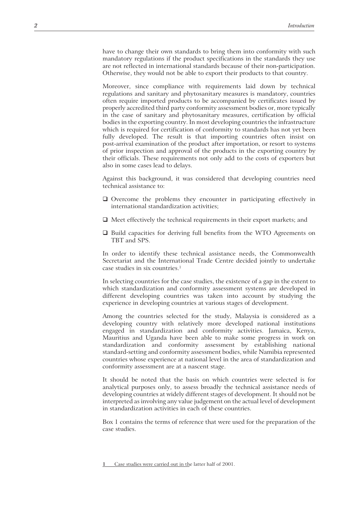have to change their own standards to bring them into conformity with such mandatory regulations if the product specifications in the standards they use are not reflected in international standards because of their non-participation. Otherwise, they would not be able to export their products to that country.

Moreover, since compliance with requirements laid down by technical regulations and sanitary and phytosanitary measures is mandatory, countries often require imported products to be accompanied by certificates issued by properly accredited third party conformity assessment bodies or, more typically in the case of sanitary and phytosanitary measures, certification by official bodies in the exporting country. In most developing countries the infrastructure which is required for certification of conformity to standards has not yet been fully developed. The result is that importing countries often insist on post-arrival examination of the product after importation, or resort to systems of prior inspection and approval of the products in the exporting country by their officials. These requirements not only add to the costs of exporters but also in some cases lead to delays.

Against this background, it was considered that developing countries need technical assistance to:

- Overcome the problems they encounter in participating effectively in international standardization activities;
- $\Box$  Meet effectively the technical requirements in their export markets; and
- □ Build capacities for deriving full benefits from the WTO Agreements on TBT and SPS.

In order to identify these technical assistance needs, the Commonwealth Secretariat and the International Trade Centre decided jointly to undertake case studies in six countries.1

In selecting countries for the case studies, the existence of a gap in the extent to which standardization and conformity assessment systems are developed in different developing countries was taken into account by studying the experience in developing countries at various stages of development.

Among the countries selected for the study, Malaysia is considered as a developing country with relatively more developed national institutions engaged in standardization and conformity activities. Jamaica, Kenya, Mauritius and Uganda have been able to make some progress in work on standardization and conformity assessment by establishing national standard-setting and conformity assessment bodies, while Namibia represented countries whose experience at national level in the area of standardization and conformity assessment are at a nascent stage.

It should be noted that the basis on which countries were selected is for analytical purposes only, to assess broadly the technical assistance needs of developing countries at widely different stages of development. It should not be interpreted as involving any value judgement on the actual level of development in standardization activities in each of these countries.

Box 1 contains the terms of reference that were used for the preparation of the case studies.

**1** Case studies were carried out in the latter half of 2001.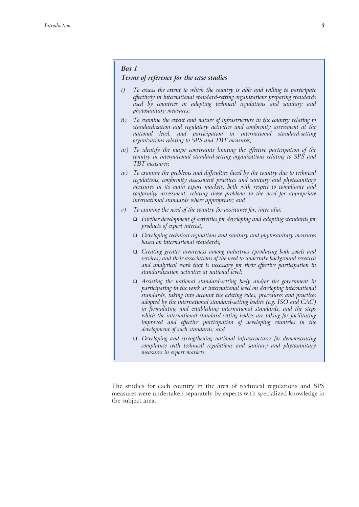#### *Box 1*

#### *Terms of reference for the case studies*

- *i) To assess the extent to which the country is able and willing to participate effectively in international standard-setting organizations preparing standards used by countries in adopting technical regulations and sanitary and phytosanitary measures;*
- *ii) To examine the extent and nature of infrastructure in the country relating to standardization and regulatory activities and conformity assessment at the national level, and participation in international standard-setting organizations relating to SPS and TBT measures;*
- *iii) To identify the major constraints limiting the effective participation of the country in international standard-setting organizations relating to SPS and TBT measures;*
- *iv) To examine the problems and difficulties faced by the country due to technical regulations, conformity assessment practices and sanitary and phytosanitary measures in its main export markets, both with respect to compliance and conformity assessment, relating these problems to the need for appropriate international standards where appropriate; and*
- *v) To examine the need of the country for assistance for, inter alia:*
	- *Further development of activities for developing and adopting standards for products of export interest;*
	- *Developing technical regulations and sanitary and phytosanitary measures based on international standards;*
	- *Creating greater awareness among industries (producing both goods and services) and their associations of the need to undertake background research and analytical work that is necessary for their effective participation in standardization activities at national level;*
	- *Assisting the national standard-setting body and/or the government in participating in the work at international level on developing international standards, taking into account the existing rules, procedures and practices adopted by the international standard-setting bodies (e.g. ISO and CAC) in formulating and establishing international standards, and the steps which the international standard-setting bodies are taking for facilitating improved and effective participation of developing countries in the development of such standards; and*
	- *Developing and strengthening national infrastructures for demonstrating compliance with technical regulations and sanitary and phytosanitary measures in export markets.*

The studies for each country in the area of technical regulations and SPS measures were undertaken separately by experts with specialized knowledge in the subject area.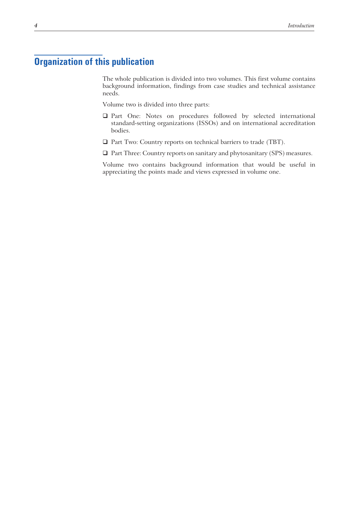# **Organization of this publication**

The whole publication is divided into two volumes. This first volume contains background information, findings from case studies and technical assistance needs.

Volume two is divided into three parts:

- Part One: Notes on procedures followed by selected international standard-setting organizations (ISSOs) and on international accreditation bodies.
- □ Part Two: Country reports on technical barriers to trade (TBT).
- $\Box$  Part Three: Country reports on sanitary and phytosanitary (SPS) measures.

Volume two contains background information that would be useful in appreciating the points made and views expressed in volume one.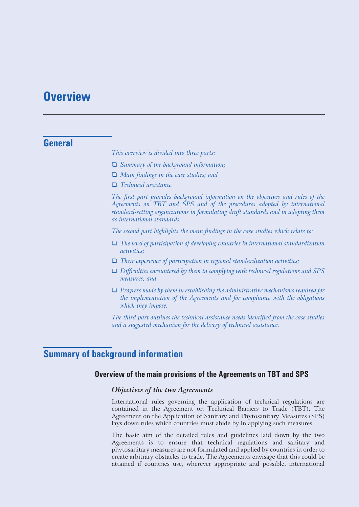# **Overview**

# **General**

*This overview is divided into three parts:*

- *Summary of the background information;*
- *Main findings in the case studies; and*
- *Technical assistance.*

*The first part provides background information on the objectives and rules of the Agreements on TBT and SPS and of the procedures adopted by international standard-setting organizations in formulating draft standards and in adopting them as international standards.*

*The second part highlights the main findings in the case studies which relate to:*

- *The level of participation of developing countries in international standardization activities;*
- *Their experience of participation in regional standardization activities;*
- *Difficulties encountered by them in complying with technical regulations and SPS measures; and*
- *Progress made by them in establishing the administrative mechanisms required for the implementation of the Agreements and for compliance with the obligations which they impose.*

*The third part outlines the technical assistance needs identified from the case studies and a suggested mechanism for the delivery of technical assistance.*

# **Summary of background information**

#### **Overview of the main provisions of the Agreements on TBT and SPS**

#### *Objectives of the two Agreements*

International rules governing the application of technical regulations are contained in the Agreement on Technical Barriers to Trade (TBT). The Agreement on the Application of Sanitary and Phytosanitary Measures (SPS) lays down rules which countries must abide by in applying such measures.

The basic aim of the detailed rules and guidelines laid down by the two Agreements is to ensure that technical regulations and sanitary and phytosanitary measures are not formulated and applied by countries in order to create arbitrary obstacles to trade. The Agreements envisage that this could be attained if countries use, wherever appropriate and possible, international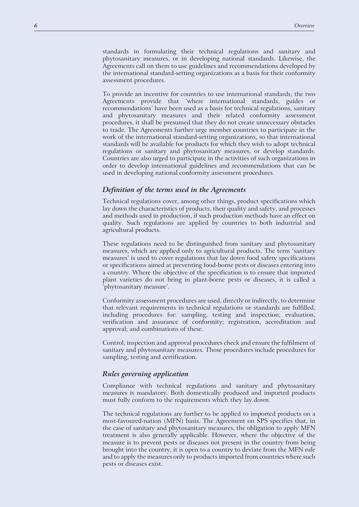standards in formulating their technical regulations and sanitary and phytosanitary measures, or in developing national standards. Likewise, the Agreements call on them to use guidelines and recommendations developed by the international standard-setting organizations as a basis for their conformity assessment procedures.

To provide an incentive for countries to use international standards, the two Agreements provide that 'where international standards, guides or recommendations' have been used as a basis for technical regulations, sanitary and phytosanitary measures and their related conformity assessment procedures, it shall be presumed that they do not create unnecessary obstacles to trade. The Agreements further urge member countries to participate in the work of the international standard-setting organizations, so that international standards will be available for products for which they wish to adopt technical regulations or sanitary and phytosanitary measures, or develop standards. Countries are also urged to participate in the activities of such organizations in order to develop international guidelines and recommendations that can be used in developing national conformity assessment procedures.

#### *Definition of the terms used in the Agreements*

Technical regulations cover, among other things, product specifications which lay down the characteristics of products, their quality and safety, and processes and methods used in production, if such production methods have an effect on quality. Such regulations are applied by countries to both industrial and agricultural products.

These regulations need to be distinguished from sanitary and phytosanitary measures, which are applied only to agricultural products. The term 'sanitary measures' is used to cover regulations that lay down food safety specifications or specifications aimed at preventing food-borne pests or diseases entering into a country. Where the objective of the specification is to ensure that imported plant varieties do not bring in plant-borne pests or diseases, it is called a 'phytosanitary measure'.

Conformity assessment procedures are used, directly or indirectly, to determine that relevant requirements in technical regulations or standards are fulfilled, including procedures for: sampling, testing and inspection; evaluation, verification and assurance of conformity; registration, accreditation and approval; and combinations of these.

Control, inspection and approval procedures check and ensure the fulfilment of sanitary and phytosanitary measures. Those procedures include procedures for sampling, testing and certification.

#### *Rules governing application*

Compliance with technical regulations and sanitary and phytosanitary measures is mandatory. Both domestically produced and imported products must fully conform to the requirements which they lay down.

The technical regulations are further to be applied to imported products on a most-favoured-nation (MFN) basis. The Agreement on SPS specifies that, in the case of sanitary and phytosanitary measures, the obligation to apply MFN treatment is also generally applicable. However, where the objective of the measure is to prevent pests or diseases not present in the country from being brought into the country, it is open to a country to deviate from the MFN rule and to apply the measures only to products imported from countries where such pests or diseases exist.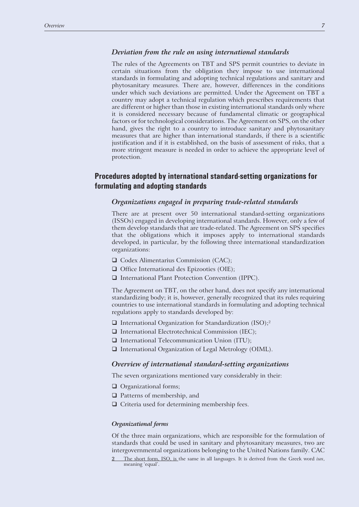#### *Deviation from the rule on using international standards*

The rules of the Agreements on TBT and SPS permit countries to deviate in certain situations from the obligation they impose to use international standards in formulating and adopting technical regulations and sanitary and phytosanitary measures. There are, however, differences in the conditions under which such deviations are permitted. Under the Agreement on TBT a country may adopt a technical regulation which prescribes requirements that are different or higher than those in existing international standards only where it is considered necessary because of fundamental climatic or geographical factors or for technological considerations. The Agreement on SPS, on the other hand, gives the right to a country to introduce sanitary and phytosanitary measures that are higher than international standards, if there is a scientific justification and if it is established, on the basis of assessment of risks, that a more stringent measure is needed in order to achieve the appropriate level of protection.

### **Procedures adopted by international standard-setting organizations for formulating and adopting standards**

#### *Organizations engaged in preparing trade-related standards*

There are at present over 50 international standard-setting organizations (ISSOs) engaged in developing international standards. However, only a few of them develop standards that are trade-related. The Agreement on SPS specifies that the obligations which it imposes apply to international standards developed, in particular, by the following three international standardization organizations:

- □ Codex Alimentarius Commission (CAC);
- $\Box$  Office International des Epizooties (OIE);
- □ International Plant Protection Convention (IPPC).

The Agreement on TBT, on the other hand, does not specify any international standardizing body; it is, however, generally recognized that its rules requiring countries to use international standards in formulating and adopting technical regulations apply to standards developed by:

- $\Box$  International Organization for Standardization (ISO);<sup>2</sup>
- $\Box$  International Electrotechnical Commission (IEC);
- $\Box$  International Telecommunication Union (ITU);
- □ International Organization of Legal Metrology (OIML).

#### *Overview of international standard-setting organizations*

The seven organizations mentioned vary considerably in their:

- □ Organizational forms;
- □ Patterns of membership, and
- $\Box$  Criteria used for determining membership fees.

#### *Organizational forms*

Of the three main organizations, which are responsible for the formulation of standards that could be used in sanitary and phytosanitary measures, two are intergovernmental organizations belonging to the United Nations family. CAC

**<sup>2</sup>** The short form, ISO, is the same in all languages. It is derived from the Greek word *isos*, meaning 'equal'.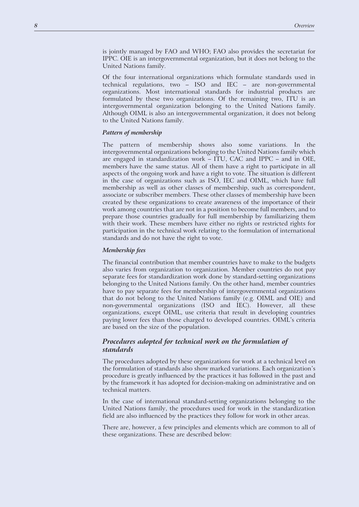is jointly managed by FAO and WHO; FAO also provides the secretariat for IPPC. OIE is an intergovernmental organization, but it does not belong to the United Nations family.

Of the four international organizations which formulate standards used in technical regulations, two – ISO and IEC – are non-governmental organizations. Most international standards for industrial products are formulated by these two organizations. Of the remaining two, ITU is an intergovernmental organization belonging to the United Nations family. Although OIML is also an intergovernmental organization, it does not belong to the United Nations family.

#### *Pattern of membership*

The pattern of membership shows also some variations. In the intergovernmental organizations belonging to the United Nations family which are engaged in standardization work – ITU, CAC and IPPC – and in OIE, members have the same status. All of them have a right to participate in all aspects of the ongoing work and have a right to vote. The situation is different in the case of organizations such as ISO, IEC and OIML, which have full membership as well as other classes of membership, such as correspondent, associate or subscriber members. These other classes of membership have been created by these organizations to create awareness of the importance of their work among countries that are not in a position to become full members, and to prepare those countries gradually for full membership by familiarizing them with their work. These members have either no rights or restricted rights for participation in the technical work relating to the formulation of international standards and do not have the right to vote.

#### *Membership fees*

The financial contribution that member countries have to make to the budgets also varies from organization to organization. Member countries do not pay separate fees for standardization work done by standard-setting organizations belonging to the United Nations family. On the other hand, member countries have to pay separate fees for membership of intergovernmental organizations that do not belong to the United Nations family (e.g. OIML and OIE) and non-governmental organizations (ISO and IEC). However, all these organizations, except OIML, use criteria that result in developing countries paying lower fees than those charged to developed countries. OIML's criteria are based on the size of the population.

#### *Procedures adopted for technical work on the formulation of standards*

The procedures adopted by these organizations for work at a technical level on the formulation of standards also show marked variations. Each organization's procedure is greatly influenced by the practices it has followed in the past and by the framework it has adopted for decision-making on administrative and on technical matters.

In the case of international standard-setting organizations belonging to the United Nations family, the procedures used for work in the standardization field are also influenced by the practices they follow for work in other areas.

There are, however, a few principles and elements which are common to all of these organizations. These are described below: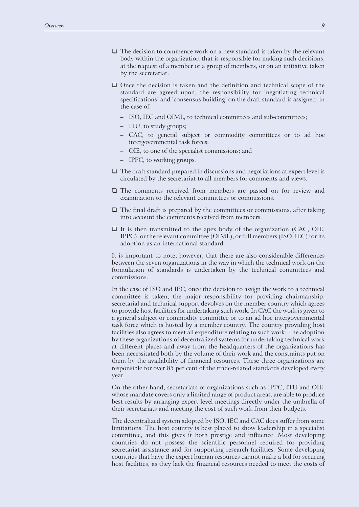- $\Box$  The decision to commence work on a new standard is taken by the relevant body within the organization that is responsible for making such decisions, at the request of a member or a group of members, or on an initiative taken by the secretariat.
- Once the decision is taken and the definition and technical scope of the standard are agreed upon, the responsibility for 'negotiating technical specifications' and 'consensus building' on the draft standard is assigned, in the case of:
	- ISO, IEC and OIML, to technical committees and sub-committees;
	- ITU, to study groups;
	- CAC, to general subject or commodity committees or to ad hoc intergovernmental task forces;
	- OIE, to one of the specialist commissions; and
	- IPPC, to working groups.
- $\Box$  The draft standard prepared in discussions and negotiations at expert level is circulated by the secretariat to all members for comments and views.
- The comments received from members are passed on for review and examination to the relevant committees or commissions.
- $\Box$  The final draft is prepared by the committees or commissions, after taking into account the comments received from members.
- $\Box$  It is then transmitted to the apex body of the organization (CAC, OIE, IPPC), or the relevant committee (OIML), or full members (ISO, IEC) for its adoption as an international standard.

It is important to note, however, that there are also considerable differences between the seven organizations in the way in which the technical work on the formulation of standards is undertaken by the technical committees and commissions.

In the case of ISO and IEC, once the decision to assign the work to a technical committee is taken, the major responsibility for providing chairmanship, secretarial and technical support devolves on the member country which agrees to provide host facilities for undertaking such work. In CAC the work is given to a general subject or commodity committee or to an ad hoc intergovernmental task force which is hosted by a member country. The country providing host facilities also agrees to meet all expenditure relating to such work. The adoption by these organizations of decentralized systems for undertaking technical work at different places and away from the headquarters of the organizations has been necessitated both by the volume of their work and the constraints put on them by the availability of financial resources. These three organizations are responsible for over 85 per cent of the trade-related standards developed every year.

On the other hand, secretariats of organizations such as IPPC, ITU and OIE, whose mandate covers only a limited range of product areas, are able to produce best results by arranging expert level meetings directly under the umbrella of their secretariats and meeting the cost of such work from their budgets.

The decentralized system adopted by ISO, IEC and CAC does suffer from some limitations. The host country is best placed to show leadership in a specialist committee, and this gives it both prestige and influence. Most developing countries do not possess the scientific personnel required for providing secretariat assistance and for supporting research facilities. Some developing countries that have the expert human resources cannot make a bid for securing host facilities, as they lack the financial resources needed to meet the costs of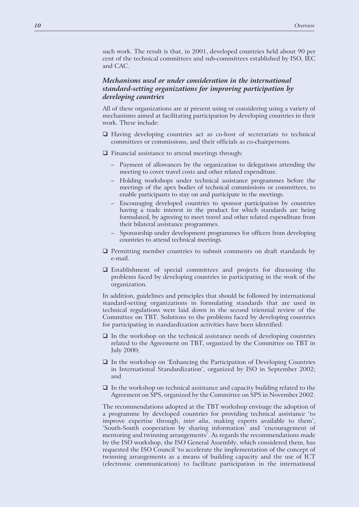such work. The result is that, in 2001, developed countries held about 90 per cent of the technical committees and sub-committees established by ISO, IEC and CAC.

#### *Mechanisms used or under consideration in the international standard-setting organizations for improving participation by developing countries*

All of these organizations are at present using or considering using a variety of mechanisms aimed at facilitating participation by developing countries in their work. These include:

- Having developing countries act as co-host of secretariats to technical committees or commissions, and their officials as co-chairpersons.
- $\Box$  Financial assistance to attend meetings through:
	- Payment of allowances by the organization to delegations attending the meeting to cover travel costs and other related expenditure.
	- Holding workshops under technical assistance programmes before the meetings of the apex bodies of technical commissions or committees, to enable participants to stay on and participate in the meetings.
	- Encouraging developed countries to sponsor participation by countries having a trade interest in the product for which standards are being formulated, by agreeing to meet travel and other related expenditure from their bilateral assistance programmes.
	- Sponsorship under development programmes for officers from developing countries to attend technical meetings.
- □ Permitting member countries to submit comments on draft standards by e-mail.
- Establishment of special committees and projects for discussing the problems faced by developing countries in participating in the work of the organization.

In addition, guidelines and principles that should be followed by international standard-setting organizations in formulating standards that are used in technical regulations were laid down in the second triennial review of the Committee on TBT. Solutions to the problems faced by developing countries for participating in standardization activities have been identified:

- $\Box$  In the workshop on the technical assistance needs of developing countries related to the Agreement on TBT, organized by the Committee on TBT in July 2000;
- $\Box$  In the workshop on 'Enhancing the Participation of Developing Countries in International Standardization', organized by ISO in September 2002; and
- $\Box$  In the workshop on technical assistance and capacity building related to the Agreement on SPS, organized by the Committee on SPS in November 2002.

The recommendations adopted at the TBT workshop envisage the adoption of a programme by developed countries for providing technical assistance 'to improve expertise through, *inter alia*, making experts available to them', 'South-South cooperation by sharing information' and 'encouragement of mentoring and twinning arrangements'. As regards the recommendations made by the ISO workshop, the ISO General Assembly, which considered them, has requested the ISO Council 'to accelerate the implementation of the concept of twinning arrangements as a means of building capacity and the use of ICT (electronic communication) to facilitate participation in the international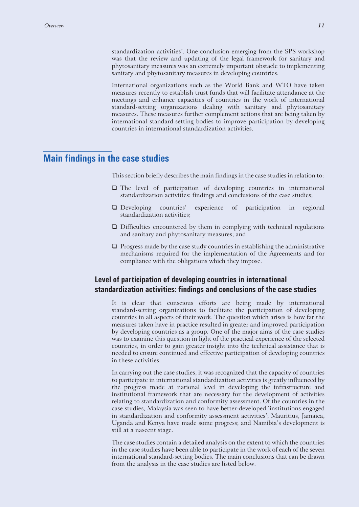standardization activities'. One conclusion emerging from the SPS workshop was that the review and updating of the legal framework for sanitary and phytosanitary measures was an extremely important obstacle to implementing sanitary and phytosanitary measures in developing countries.

International organizations such as the World Bank and WTO have taken measures recently to establish trust funds that will facilitate attendance at the meetings and enhance capacities of countries in the work of international standard-setting organizations dealing with sanitary and phytosanitary measures. These measures further complement actions that are being taken by international standard-setting bodies to improve participation by developing countries in international standardization activities.

# **Main findings in the case studies**

This section briefly describes the main findings in the case studies in relation to:

- $\Box$  The level of participation of developing countries in international standardization activities: findings and conclusions of the case studies;
- Developing countries' experience of participation in regional standardization activities;
- $\Box$  Difficulties encountered by them in complying with technical regulations and sanitary and phytosanitary measures; and
- $\Box$  Progress made by the case study countries in establishing the administrative mechanisms required for the implementation of the Agreements and for compliance with the obligations which they impose.

### **Level of participation of developing countries in international standardization activities: findings and conclusions of the case studies**

It is clear that conscious efforts are being made by international standard-setting organizations to facilitate the participation of developing countries in all aspects of their work. The question which arises is how far the measures taken have in practice resulted in greater and improved participation by developing countries as a group. One of the major aims of the case studies was to examine this question in light of the practical experience of the selected countries, in order to gain greater insight into the technical assistance that is needed to ensure continued and effective participation of developing countries in these activities.

In carrying out the case studies, it was recognized that the capacity of countries to participate in international standardization activities is greatly influenced by the progress made at national level in developing the infrastructure and institutional framework that are necessary for the development of activities relating to standardization and conformity assessment. Of the countries in the case studies, Malaysia was seen to have better-developed 'institutions engaged in standardization and conformity assessment activities'; Mauritius, Jamaica, Uganda and Kenya have made some progress; and Namibia's development is still at a nascent stage.

The case studies contain a detailed analysis on the extent to which the countries in the case studies have been able to participate in the work of each of the seven international standard-setting bodies. The main conclusions that can be drawn from the analysis in the case studies are listed below.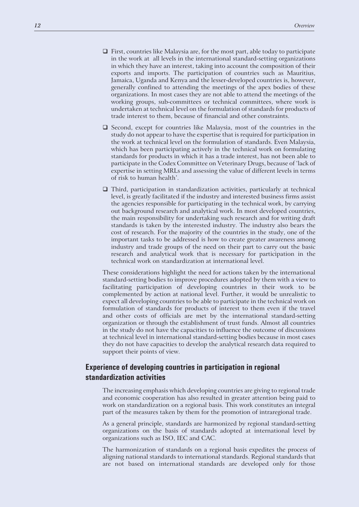- $\Box$  First, countries like Malaysia are, for the most part, able today to participate in the work at all levels in the international standard-setting organizations in which they have an interest, taking into account the composition of their exports and imports. The participation of countries such as Mauritius, Jamaica, Uganda and Kenya and the lesser-developed countries is, however, generally confined to attending the meetings of the apex bodies of these organizations. In most cases they are not able to attend the meetings of the working groups, sub-committees or technical committees, where work is undertaken at technical level on the formulation of standards for products of trade interest to them, because of financial and other constraints.
- $\square$  Second, except for countries like Malaysia, most of the countries in the study do not appear to have the expertise that is required for participation in the work at technical level on the formulation of standards. Even Malaysia, which has been participating actively in the technical work on formulating standards for products in which it has a trade interest, has not been able to participate in the Codex Committee on Veterinary Drugs, because of 'lack of expertise in setting MRLs and assessing the value of different levels in terms of risk to human health'.
- Third, participation in standardization activities, particularly at technical level, is greatly facilitated if the industry and interested business firms assist the agencies responsible for participating in the technical work, by carrying out background research and analytical work. In most developed countries, the main responsibility for undertaking such research and for writing draft standards is taken by the interested industry. The industry also bears the cost of research. For the majority of the countries in the study, one of the important tasks to be addressed is how to create greater awareness among industry and trade groups of the need on their part to carry out the basic research and analytical work that is necessary for participation in the technical work on standardization at international level.

These considerations highlight the need for actions taken by the international standard-setting bodies to improve procedures adopted by them with a view to facilitating participation of developing countries in their work to be complemented by action at national level. Further, it would be unrealistic to expect all developing countries to be able to participate in the technical work on formulation of standards for products of interest to them even if the travel and other costs of officials are met by the international standard-setting organization or through the establishment of trust funds. Almost all countries in the study do not have the capacities to influence the outcome of discussions at technical level in international standard-setting bodies because in most cases they do not have capacities to develop the analytical research data required to support their points of view.

### **Experience of developing countries in participation in regional standardization activities**

The increasing emphasis which developing countries are giving to regional trade and economic cooperation has also resulted in greater attention being paid to work on standardization on a regional basis. This work constitutes an integral part of the measures taken by them for the promotion of intraregional trade.

As a general principle, standards are harmonized by regional standard-setting organizations on the basis of standards adopted at international level by organizations such as ISO, IEC and CAC.

The harmonization of standards on a regional basis expedites the process of aligning national standards to international standards. Regional standards that are not based on international standards are developed only for those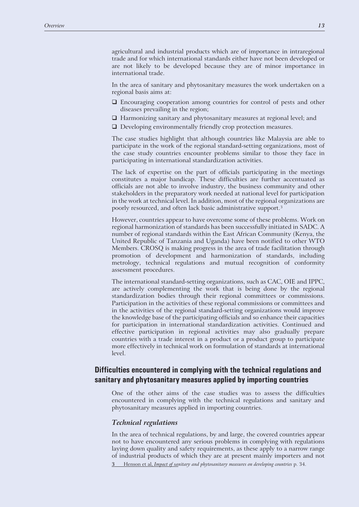agricultural and industrial products which are of importance in intraregional trade and for which international standards either have not been developed or are not likely to be developed because they are of minor importance in international trade.

In the area of sanitary and phytosanitary measures the work undertaken on a regional basis aims at:

- Encouraging cooperation among countries for control of pests and other diseases prevailing in the region;
- $\Box$  Harmonizing sanitary and phytosanitary measures at regional level; and
- □ Developing environmentally friendly crop protection measures.

The case studies highlight that although countries like Malaysia are able to participate in the work of the regional standard-setting organizations, most of the case study countries encounter problems similar to those they face in participating in international standardization activities.

The lack of expertise on the part of officials participating in the meetings constitutes a major handicap. These difficulties are further accentuated as officials are not able to involve industry, the business community and other stakeholders in the preparatory work needed at national level for participation in the work at technical level. In addition, most of the regional organizations are poorly resourced, and often lack basic administrative support.3

However, countries appear to have overcome some of these problems. Work on regional harmonization of standards has been successfully initiated in SADC. A number of regional standards within the East African Community (Kenya, the United Republic of Tanzania and Uganda) have been notified to other WTO Members. CROSQ is making progress in the area of trade facilitation through promotion of development and harmonization of standards, including metrology, technical regulations and mutual recognition of conformity assessment procedures.

The international standard-setting organizations, such as CAC, OIE and IPPC, are actively complementing the work that is being done by the regional standardization bodies through their regional committees or commissions. Participation in the activities of these regional commissions or committees and in the activities of the regional standard-setting organizations would improve the knowledge base of the participating officials and so enhance their capacities for participation in international standardization activities. Continued and effective participation in regional activities may also gradually prepare countries with a trade interest in a product or a product group to participate more effectively in technical work on formulation of standards at international level.

### **Difficulties encountered in complying with the technical regulations and sanitary and phytosanitary measures applied by importing countries**

One of the other aims of the case studies was to assess the difficulties encountered in complying with the technical regulations and sanitary and phytosanitary measures applied in importing countries.

#### *Technical regulations*

In the area of technical regulations, by and large, the covered countries appear not to have encountered any serious problems in complying with regulations laying down quality and safety requirements, as these apply to a narrow range of industrial products of which they are at present mainly importers and not

**3** Henson et al, *Impact of sanitary and phytosanitary measures on developing countries* p. 34.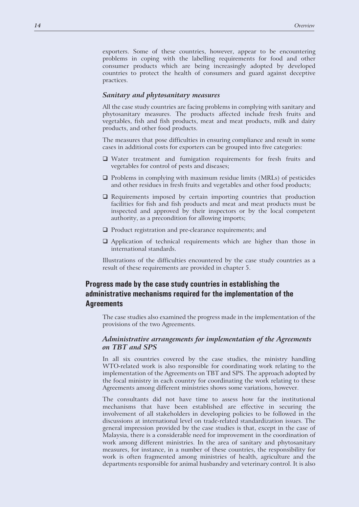exporters. Some of these countries, however, appear to be encountering problems in coping with the labelling requirements for food and other consumer products which are being increasingly adopted by developed countries to protect the health of consumers and guard against deceptive practices.

#### *Sanitary and phytosanitary measures*

All the case study countries are facing problems in complying with sanitary and phytosanitary measures. The products affected include fresh fruits and vegetables, fish and fish products, meat and meat products, milk and dairy products, and other food products.

The measures that pose difficulties in ensuring compliance and result in some cases in additional costs for exporters can be grouped into five categories:

- Water treatment and fumigation requirements for fresh fruits and vegetables for control of pests and diseases;
- $\Box$  Problems in complying with maximum residue limits (MRLs) of pesticides and other residues in fresh fruits and vegetables and other food products;
- $\Box$  Requirements imposed by certain importing countries that production facilities for fish and fish products and meat and meat products must be inspected and approved by their inspectors or by the local competent authority, as a precondition for allowing imports;
- □ Product registration and pre-clearance requirements; and
- Application of technical requirements which are higher than those in international standards.

Illustrations of the difficulties encountered by the case study countries as a result of these requirements are provided in chapter 5.

### **Progress made by the case study countries in establishing the administrative mechanisms required for the implementation of the Agreements**

The case studies also examined the progress made in the implementation of the provisions of the two Agreements.

#### *Administrative arrangements for implementation of the Agreements on TBT and SPS*

In all six countries covered by the case studies, the ministry handling WTO-related work is also responsible for coordinating work relating to the implementation of the Agreements on TBT and SPS. The approach adopted by the focal ministry in each country for coordinating the work relating to these Agreements among different ministries shows some variations, however.

The consultants did not have time to assess how far the institutional mechanisms that have been established are effective in securing the involvement of all stakeholders in developing policies to be followed in the discussions at international level on trade-related standardization issues. The general impression provided by the case studies is that, except in the case of Malaysia, there is a considerable need for improvement in the coordination of work among different ministries. In the area of sanitary and phytosanitary measures, for instance, in a number of these countries, the responsibility for work is often fragmented among ministries of health, agriculture and the departments responsible for animal husbandry and veterinary control. It is also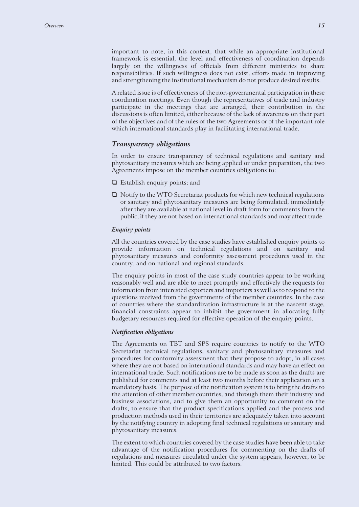important to note, in this context, that while an appropriate institutional framework is essential, the level and effectiveness of coordination depends largely on the willingness of officials from different ministries to share responsibilities. If such willingness does not exist, efforts made in improving and strengthening the institutional mechanism do not produce desired results.

A related issue is of effectiveness of the non-governmental participation in these coordination meetings. Even though the representatives of trade and industry participate in the meetings that are arranged, their contribution in the discussions is often limited, either because of the lack of awareness on their part of the objectives and of the rules of the two Agreements or of the important role which international standards play in facilitating international trade.

#### *Transparency obligations*

In order to ensure transparency of technical regulations and sanitary and phytosanitary measures which are being applied or under preparation, the two Agreements impose on the member countries obligations to:

- $\Box$  Establish enquiry points; and
- $\Box$  Notify to the WTO Secretariat products for which new technical regulations or sanitary and phytosanitary measures are being formulated, immediately after they are available at national level in draft form for comments from the public, if they are not based on international standards and may affect trade.

#### *Enquiry points*

All the countries covered by the case studies have established enquiry points to provide information on technical regulations and on sanitary and phytosanitary measures and conformity assessment procedures used in the country, and on national and regional standards.

The enquiry points in most of the case study countries appear to be working reasonably well and are able to meet promptly and effectively the requests for information from interested exporters and importers as well as to respond to the questions received from the governments of the member countries. In the case of countries where the standardization infrastructure is at the nascent stage, financial constraints appear to inhibit the government in allocating fully budgetary resources required for effective operation of the enquiry points.

#### *Notification obligations*

The Agreements on TBT and SPS require countries to notify to the WTO Secretariat technical regulations, sanitary and phytosanitary measures and procedures for conformity assessment that they propose to adopt, in all cases where they are not based on international standards and may have an effect on international trade. Such notifications are to be made as soon as the drafts are published for comments and at least two months before their application on a mandatory basis. The purpose of the notification system is to bring the drafts to the attention of other member countries, and through them their industry and business associations, and to give them an opportunity to comment on the drafts, to ensure that the product specifications applied and the process and production methods used in their territories are adequately taken into account by the notifying country in adopting final technical regulations or sanitary and phytosanitary measures.

The extent to which countries covered by the case studies have been able to take advantage of the notification procedures for commenting on the drafts of regulations and measures circulated under the system appears, however, to be limited. This could be attributed to two factors.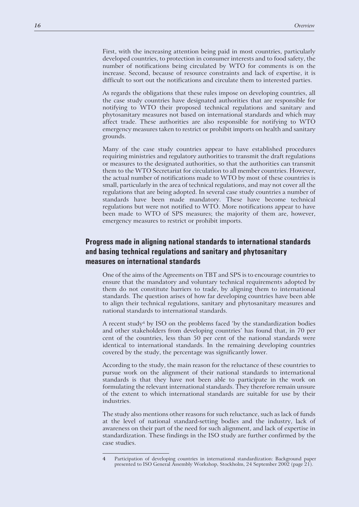First, with the increasing attention being paid in most countries, particularly developed countries, to protection in consumer interests and to food safety, the number of notifications being circulated by WTO for comments is on the increase. Second, because of resource constraints and lack of expertise, it is difficult to sort out the notifications and circulate them to interested parties.

As regards the obligations that these rules impose on developing countries, all the case study countries have designated authorities that are responsible for notifying to WTO their proposed technical regulations and sanitary and phytosanitary measures not based on international standards and which may affect trade. These authorities are also responsible for notifying to WTO emergency measures taken to restrict or prohibit imports on health and sanitary grounds.

Many of the case study countries appear to have established procedures requiring ministries and regulatory authorities to transmit the draft regulations or measures to the designated authorities, so that the authorities can transmit them to the WTO Secretariat for circulation to all member countries. However, the actual number of notifications made to WTO by most of these countries is small, particularly in the area of technical regulations, and may not cover all the regulations that are being adopted. In several case study countries a number of standards have been made mandatory. These have become technical regulations but were not notified to WTO. More notifications appear to have been made to WTO of SPS measures; the majority of them are, however, emergency measures to restrict or prohibit imports.

# **Progress made in aligning national standards to international standards and basing technical regulations and sanitary and phytosanitary measures on international standards**

One of the aims of the Agreements on TBT and SPS is to encourage countries to ensure that the mandatory and voluntary technical requirements adopted by them do not constitute barriers to trade, by aligning them to international standards. The question arises of how far developing countries have been able to align their technical regulations, sanitary and phytosanitary measures and national standards to international standards.

A recent study4 by ISO on the problems faced 'by the standardization bodies and other stakeholders from developing countries' has found that, in 70 per cent of the countries, less than 50 per cent of the national standards were identical to international standards. In the remaining developing countries covered by the study, the percentage was significantly lower.

According to the study, the main reason for the reluctance of these countries to pursue work on the alignment of their national standards to international standards is that they have not been able to participate in the work on formulating the relevant international standards. They therefore remain unsure of the extent to which international standards are suitable for use by their industries.

The study also mentions other reasons for such reluctance, such as lack of funds at the level of national standard-setting bodies and the industry, lack of awareness on their part of the need for such alignment, and lack of expertise in standardization. These findings in the ISO study are further confirmed by the case studies.

**<sup>4</sup>** Participation of developing countries in international standardization: Background paper presented to ISO General Assembly Workshop, Stockholm, 24 September 2002 (page 21).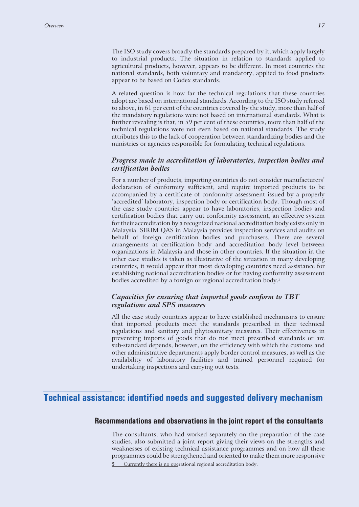The ISO study covers broadly the standards prepared by it, which apply largely to industrial products. The situation in relation to standards applied to agricultural products, however, appears to be different. In most countries the national standards, both voluntary and mandatory, applied to food products appear to be based on Codex standards.

A related question is how far the technical regulations that these countries adopt are based on international standards. According to the ISO study referred to above, in 61 per cent of the countries covered by the study, more than half of the mandatory regulations were not based on international standards. What is further revealing is that, in 59 per cent of these countries, more than half of the technical regulations were not even based on national standards. The study attributes this to the lack of cooperation between standardizing bodies and the ministries or agencies responsible for formulating technical regulations.

#### *Progress made in accreditation of laboratories, inspection bodies and certification bodies*

For a number of products, importing countries do not consider manufacturers' declaration of conformity sufficient, and require imported products to be accompanied by a certificate of conformity assessment issued by a properly 'accredited' laboratory, inspection body or certification body. Though most of the case study countries appear to have laboratories, inspection bodies and certification bodies that carry out conformity assessment, an effective system for their accreditation by a recognized national accreditation body exists only in Malaysia. SIRIM QAS in Malaysia provides inspection services and audits on behalf of foreign certification bodies and purchasers. There are several arrangements at certification body and accreditation body level between organizations in Malaysia and those in other countries. If the situation in the other case studies is taken as illustrative of the situation in many developing countries, it would appear that most developing countries need assistance for establishing national accreditation bodies or for having conformity assessment bodies accredited by a foreign or regional accreditation body.5

#### *Capacities for ensuring that imported goods conform to TBT regulations and SPS measures*

All the case study countries appear to have established mechanisms to ensure that imported products meet the standards prescribed in their technical regulations and sanitary and phytosanitary measures. Their effectiveness in preventing imports of goods that do not meet prescribed standards or are sub-standard depends, however, on the efficiency with which the customs and other administrative departments apply border control measures, as well as the availability of laboratory facilities and trained personnel required for undertaking inspections and carrying out tests.

# **Technical assistance: identified needs and suggested delivery mechanism**

#### **Recommendations and observations in the joint report of the consultants**

The consultants, who had worked separately on the preparation of the case studies, also submitted a joint report giving their views on the strengths and weaknesses of existing technical assistance programmes and on how all these programmes could be strengthened and oriented to make them more responsive

**5** Currently there is no operational regional accreditation body.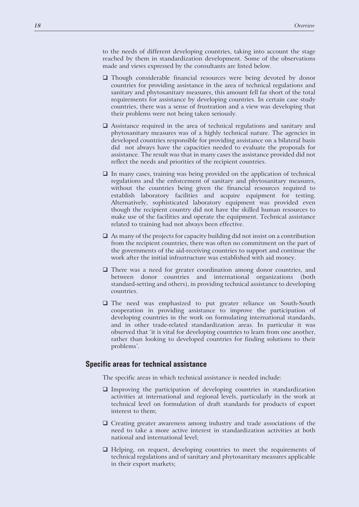to the needs of different developing countries, taking into account the stage reached by them in standardization development. Some of the observations made and views expressed by the consultants are listed below.

- Though considerable financial resources were being devoted by donor countries for providing assistance in the area of technical regulations and sanitary and phytosanitary measures, this amount fell far short of the total requirements for assistance by developing countries. In certain case study countries, there was a sense of frustration and a view was developing that their problems were not being taken seriously.
- Assistance required in the area of technical regulations and sanitary and phytosanitary measures was of a highly technical nature. The agencies in developed countries responsible for providing assistance on a bilateral basis did not always have the capacities needed to evaluate the proposals for assistance. The result was that in many cases the assistance provided did not reflect the needs and priorities of the recipient countries.
- $\Box$  In many cases, training was being provided on the application of technical regulations and the enforcement of sanitary and phytosanitary measures, without the countries being given the financial resources required to establish laboratory facilities and acquire equipment for testing. Alternatively, sophisticated laboratory equipment was provided even though the recipient country did not have the skilled human resources to make use of the facilities and operate the equipment. Technical assistance related to training had not always been effective.
- $\Box$  <br> As many of the projects for capacity building did not insist on a contribution from the recipient countries, there was often no commitment on the part of the governments of the aid-receiving countries to support and continue the work after the initial infrastructure was established with aid money.
- □ There was a need for greater coordination among donor countries, and between donor countries and international organizations (both standard-setting and others), in providing technical assistance to developing countries.
- The need was emphasized to put greater reliance on South-South cooperation in providing assistance to improve the participation of developing countries in the work on formulating international standards, and in other trade-related standardization areas. In particular it was observed that 'it is vital for developing countries to learn from one another, rather than looking to developed countries for finding solutions to their problems'.

#### **Specific areas for technical assistance**

The specific areas in which technical assistance is needed include:

- $\Box$  Improving the participation of developing countries in standardization activities at international and regional levels, particularly in the work at technical level on formulation of draft standards for products of export interest to them;
- Creating greater awareness among industry and trade associations of the need to take a more active interest in standardization activities at both national and international level;
- $\Box$  Helping, on request, developing countries to meet the requirements of technical regulations and of sanitary and phytosanitary measures applicable in their export markets;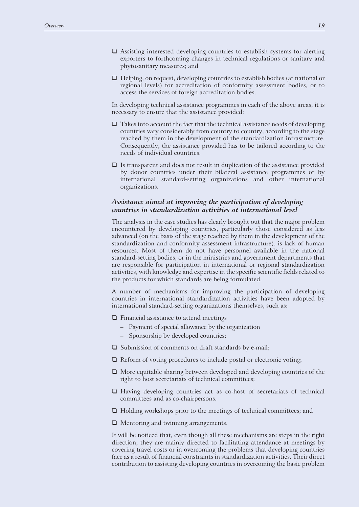- Assisting interested developing countries to establish systems for alerting exporters to forthcoming changes in technical regulations or sanitary and phytosanitary measures; and
- Helping, on request, developing countries to establish bodies (at national or regional levels) for accreditation of conformity assessment bodies, or to access the services of foreign accreditation bodies.

In developing technical assistance programmes in each of the above areas, it is necessary to ensure that the assistance provided:

- $\Box$  Takes into account the fact that the technical assistance needs of developing countries vary considerably from country to country, according to the stage reached by them in the development of the standardization infrastructure. Consequently, the assistance provided has to be tailored according to the needs of individual countries.
- $\Box$  Is transparent and does not result in duplication of the assistance provided by donor countries under their bilateral assistance programmes or by international standard-setting organizations and other international organizations.

#### *Assistance aimed at improving the participation of developing countries in standardization activities at international level*

The analysis in the case studies has clearly brought out that the major problem encountered by developing countries, particularly those considered as less advanced (on the basis of the stage reached by them in the development of the standardization and conformity assessment infrastructure), is lack of human resources. Most of them do not have personnel available in the national standard-setting bodies, or in the ministries and government departments that are responsible for participation in international or regional standardization activities, with knowledge and expertise in the specific scientific fields related to the products for which standards are being formulated.

A number of mechanisms for improving the participation of developing countries in international standardization activities have been adopted by international standard-setting organizations themselves, such as:

 $\Box$  Financial assistance to attend meetings

- Payment of special allowance by the organization
- Sponsorship by developed countries;
- $\Box$  Submission of comments on draft standards by e-mail;
- $\Box$  Reform of voting procedures to include postal or electronic voting;
- $\Box$  More equitable sharing between developed and developing countries of the right to host secretariats of technical committees;
- $\Box$  Having developing countries act as co-host of secretariats of technical committees and as co-chairpersons.
- $\Box$  Holding workshops prior to the meetings of technical committees; and
- $\Box$  Mentoring and twinning arrangements.

It will be noticed that, even though all these mechanisms are steps in the right direction, they are mainly directed to facilitating attendance at meetings by covering travel costs or in overcoming the problems that developing countries face as a result of financial constraints in standardization activities. Their direct contribution to assisting developing countries in overcoming the basic problem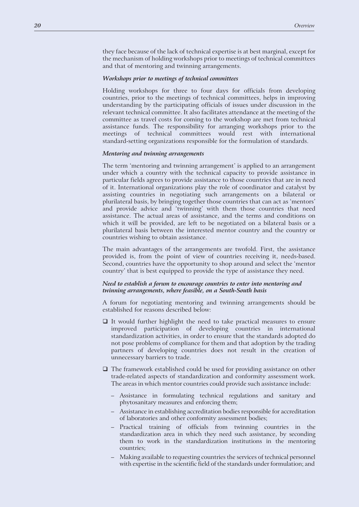they face because of the lack of technical expertise is at best marginal, except for the mechanism of holding workshops prior to meetings of technical committees and that of mentoring and twinning arrangements.

#### *Workshops prior to meetings of technical committees*

Holding workshops for three to four days for officials from developing countries, prior to the meetings of technical committees, helps in improving understanding by the participating officials of issues under discussion in the relevant technical committee. It also facilitates attendance at the meeting of the committee as travel costs for coming to the workshop are met from technical assistance funds. The responsibility for arranging workshops prior to the meetings of technical committees would rest with international standard-setting organizations responsible for the formulation of standards.

#### *Mentoring and twinning arrangements*

The term 'mentoring and twinning arrangement' is applied to an arrangement under which a country with the technical capacity to provide assistance in particular fields agrees to provide assistance to those countries that are in need of it. International organizations play the role of coordinator and catalyst by assisting countries in negotiating such arrangements on a bilateral or plurilateral basis, by bringing together those countries that can act as 'mentors' and provide advice and 'twinning' with them those countries that need assistance. The actual areas of assistance, and the terms and conditions on which it will be provided, are left to be negotiated on a bilateral basis or a plurilateral basis between the interested mentor country and the country or countries wishing to obtain assistance.

The main advantages of the arrangements are twofold. First, the assistance provided is, from the point of view of countries receiving it, needs-based. Second, countries have the opportunity to shop around and select the 'mentor country' that is best equipped to provide the type of assistance they need.

#### *Need to establish a forum to encourage countries to enter into mentoring and twinning arrangements, where feasible, on a South-South basis*

A forum for negotiating mentoring and twinning arrangements should be established for reasons described below:

- $\Box$  It would further highlight the need to take practical measures to ensure improved participation of developing countries in international standardization activities, in order to ensure that the standards adopted do not pose problems of compliance for them and that adoption by the trading partners of developing countries does not result in the creation of unnecessary barriers to trade.
- The framework established could be used for providing assistance on other trade-related aspects of standardization and conformity assessment work. The areas in which mentor countries could provide such assistance include:
	- Assistance in formulating technical regulations and sanitary and phytosanitary measures and enforcing them;
	- Assistance in establishing accreditation bodies responsible for accreditation of laboratories and other conformity assessment bodies;
	- Practical training of officials from twinning countries in the standardization area in which they need such assistance, by seconding them to work in the standardization institutions in the mentoring countries;
	- Making available to requesting countries the services of technical personnel with expertise in the scientific field of the standards under formulation; and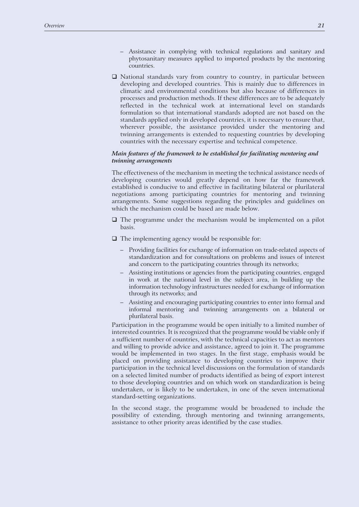- Assistance in complying with technical regulations and sanitary and phytosanitary measures applied to imported products by the mentoring countries.
- $\Box$  National standards vary from country to country, in particular between developing and developed countries. This is mainly due to differences in climatic and environmental conditions but also because of differences in processes and production methods. If these differences are to be adequately reflected in the technical work at international level on standards formulation so that international standards adopted are not based on the standards applied only in developed countries, it is necessary to ensure that, wherever possible, the assistance provided under the mentoring and twinning arrangements is extended to requesting countries by developing countries with the necessary expertise and technical competence.

#### *Main features of the framework to be established for facilitating mentoring and twinning arrangements*

The effectiveness of the mechanism in meeting the technical assistance needs of developing countries would greatly depend on how far the framework established is conducive to and effective in facilitating bilateral or plurilateral negotiations among participating countries for mentoring and twinning arrangements. Some suggestions regarding the principles and guidelines on which the mechanism could be based are made below.

- The programme under the mechanism would be implemented on a pilot basis.
- $\Box$  The implementing agency would be responsible for:
	- Providing facilities for exchange of information on trade-related aspects of standardization and for consultations on problems and issues of interest and concern to the participating countries through its networks;
	- Assisting institutions or agencies from the participating countries, engaged in work at the national level in the subject area, in building up the information technology infrastructures needed for exchange of information through its networks; and
	- Assisting and encouraging participating countries to enter into formal and informal mentoring and twinning arrangements on a bilateral or plurilateral basis.

Participation in the programme would be open initially to a limited number of interested countries. It is recognized that the programme would be viable only if a sufficient number of countries, with the technical capacities to act as mentors and willing to provide advice and assistance, agreed to join it. The programme would be implemented in two stages. In the first stage, emphasis would be placed on providing assistance to developing countries to improve their participation in the technical level discussions on the formulation of standards on a selected limited number of products identified as being of export interest to those developing countries and on which work on standardization is being undertaken, or is likely to be undertaken, in one of the seven international standard-setting organizations.

In the second stage, the programme would be broadened to include the possibility of extending, through mentoring and twinning arrangements, assistance to other priority areas identified by the case studies.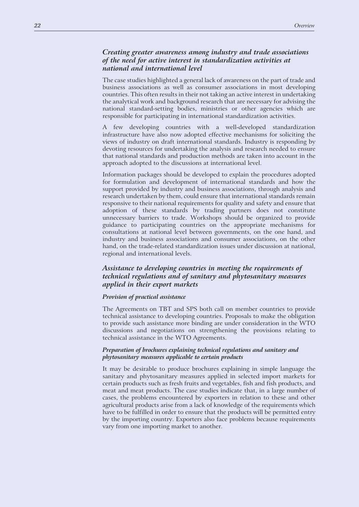#### *Creating greater awareness among industry and trade associations of the need for active interest in standardization activities at national and international level*

The case studies highlighted a general lack of awareness on the part of trade and business associations as well as consumer associations in most developing countries. This often results in their not taking an active interest in undertaking the analytical work and background research that are necessary for advising the national standard-setting bodies, ministries or other agencies which are responsible for participating in international standardization activities.

A few developing countries with a well-developed standardization infrastructure have also now adopted effective mechanisms for soliciting the views of industry on draft international standards. Industry is responding by devoting resources for undertaking the analysis and research needed to ensure that national standards and production methods are taken into account in the approach adopted to the discussions at international level.

Information packages should be developed to explain the procedures adopted for formulation and development of international standards and how the support provided by industry and business associations, through analysis and research undertaken by them, could ensure that international standards remain responsive to their national requirements for quality and safety and ensure that adoption of these standards by trading partners does not constitute unnecessary barriers to trade. Workshops should be organized to provide guidance to participating countries on the appropriate mechanisms for consultations at national level between governments, on the one hand, and industry and business associations and consumer associations, on the other hand, on the trade-related standardization issues under discussion at national, regional and international levels.

#### *Assistance to developing countries in meeting the requirements of technical regulations and of sanitary and phytosanitary measures applied in their export markets*

#### *Provision of practical assistance*

The Agreements on TBT and SPS both call on member countries to provide technical assistance to developing countries. Proposals to make the obligation to provide such assistance more binding are under consideration in the WTO discussions and negotiations on strengthening the provisions relating to technical assistance in the WTO Agreements.

#### *Preparation of brochures explaining technical regulations and sanitary and phytosanitary measures applicable to certain products*

It may be desirable to produce brochures explaining in simple language the sanitary and phytosanitary measures applied in selected import markets for certain products such as fresh fruits and vegetables, fish and fish products, and meat and meat products. The case studies indicate that, in a large number of cases, the problems encountered by exporters in relation to these and other agricultural products arise from a lack of knowledge of the requirements which have to be fulfilled in order to ensure that the products will be permitted entry by the importing country. Exporters also face problems because requirements vary from one importing market to another.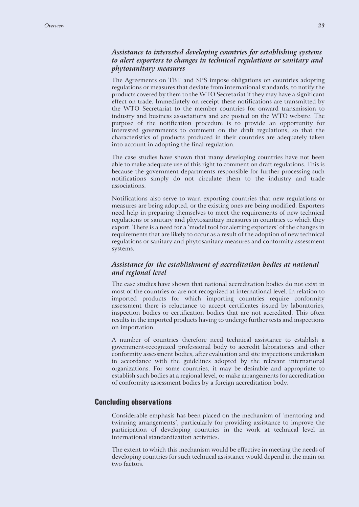### *Assistance to interested developing countries for establishing systems to alert exporters to changes in technical regulations or sanitary and phytosanitary measures*

The Agreements on TBT and SPS impose obligations on countries adopting regulations or measures that deviate from international standards, to notify the products covered by them to the WTO Secretariat if they may have a significant effect on trade. Immediately on receipt these notifications are transmitted by the WTO Secretariat to the member countries for onward transmission to industry and business associations and are posted on the WTO website. The purpose of the notification procedure is to provide an opportunity for interested governments to comment on the draft regulations, so that the characteristics of products produced in their countries are adequately taken into account in adopting the final regulation.

The case studies have shown that many developing countries have not been able to make adequate use of this right to comment on draft regulations. This is because the government departments responsible for further processing such notifications simply do not circulate them to the industry and trade associations.

Notifications also serve to warn exporting countries that new regulations or measures are being adopted, or the existing ones are being modified. Exporters need help in preparing themselves to meet the requirements of new technical regulations or sanitary and phytosanitary measures in countries to which they export. There is a need for a 'model tool for alerting exporters' of the changes in requirements that are likely to occur as a result of the adoption of new technical regulations or sanitary and phytosanitary measures and conformity assessment systems.

### *Assistance for the establishment of accreditation bodies at national and regional level*

The case studies have shown that national accreditation bodies do not exist in most of the countries or are not recognized at international level. In relation to imported products for which importing countries require conformity assessment there is reluctance to accept certificates issued by laboratories, inspection bodies or certification bodies that are not accredited. This often results in the imported products having to undergo further tests and inspections on importation.

A number of countries therefore need technical assistance to establish a government-recognized professional body to accredit laboratories and other conformity assessment bodies, after evaluation and site inspections undertaken in accordance with the guidelines adopted by the relevant international organizations. For some countries, it may be desirable and appropriate to establish such bodies at a regional level, or make arrangements for accreditation of conformity assessment bodies by a foreign accreditation body.

### **Concluding observations**

Considerable emphasis has been placed on the mechanism of 'mentoring and twinning arrangements', particularly for providing assistance to improve the participation of developing countries in the work at technical level in international standardization activities.

The extent to which this mechanism would be effective in meeting the needs of developing countries for such technical assistance would depend in the main on two factors.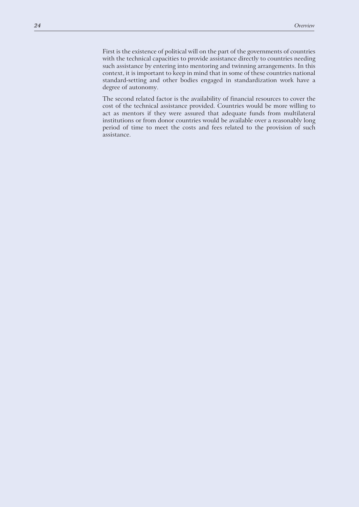First is the existence of political will on the part of the governments of countries with the technical capacities to provide assistance directly to countries needing such assistance by entering into mentoring and twinning arrangements. In this context, it is important to keep in mind that in some of these countries national standard-setting and other bodies engaged in standardization work have a degree of autonomy.

The second related factor is the availability of financial resources to cover the cost of the technical assistance provided. Countries would be more willing to act as mentors if they were assured that adequate funds from multilateral institutions or from donor countries would be available over a reasonably long period of time to meet the costs and fees related to the provision of such assistance.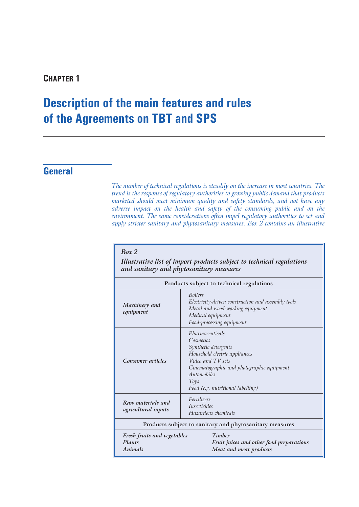# **CHAPTER 1**

# **Description of the main features and rules of the Agreements on TBT and SPS**

# **General**

*The number of technical regulations is steadily on the increase in most countries. The trend is the response of regulatory authorities to growing public demand that products marketed should meet minimum quality and safety standards, and not have any adverse impact on the health and safety of the consuming public and on the environment. The same considerations often impel regulatory authorities to set and apply stricter sanitary and phytosanitary measures. Box 2 contains an illustrative*

| юх |  |
|----|--|

*Illustrative list of import products subject to technical regulations and sanitary and phytosanitary measures*

| Products subject to technical regulations                                                                                               |                                                                                                                                                                                                                             |  |  |  |  |  |
|-----------------------------------------------------------------------------------------------------------------------------------------|-----------------------------------------------------------------------------------------------------------------------------------------------------------------------------------------------------------------------------|--|--|--|--|--|
| Machinery and<br>equipment                                                                                                              | <b>Boilers</b><br>Electricity-driven construction and assembly tools<br>Metal and wood-working equipment<br>Medical equipment<br>Food-processing equipment                                                                  |  |  |  |  |  |
| <b>Consumer</b> articles                                                                                                                | Pharmaceuticals<br>Cosmetics<br>Synthetic detergents<br>Household electric appliances<br>Video and TV sets<br>Cinematographic and photographic equipment<br><i>Automobiles</i><br>Toys<br>Food (e.g. nutritional labelling) |  |  |  |  |  |
| Raw materials and<br>agricultural inputs                                                                                                | Fertilizers<br>Insecticides<br>Hazardous chemicals                                                                                                                                                                          |  |  |  |  |  |
| Products subject to sanitary and phytosanitary measures                                                                                 |                                                                                                                                                                                                                             |  |  |  |  |  |
| <b>Timber</b><br>Fresh fruits and vegetables<br>Plants<br>Fruit juices and other food preparations<br>Animals<br>Meat and meat products |                                                                                                                                                                                                                             |  |  |  |  |  |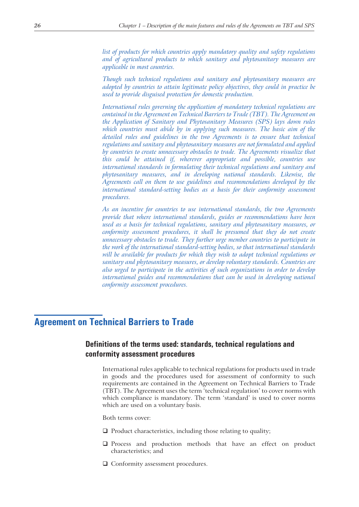*list of products for which countries apply mandatory quality and safety regulations and of agricultural products to which sanitary and phytosanitary measures are applicable in most countries.*

*Though such technical regulations and sanitary and phytosanitary measures are adopted by countries to attain legitimate policy objectives, they could in practice be used to provide disguised protection for domestic production.*

*International rules governing the application of mandatory technical regulations are contained in the Agreement on Technical Barriers to Trade (TBT). The Agreement on the Application of Sanitary and Phytosanitary Measures (SPS) lays down rules which countries must abide by in applying such measures. The basic aim of the detailed rules and guidelines in the two Agreements is to ensure that technical regulations and sanitary and phytosanitary measures are not formulated and applied by countries to create unnecessary obstacles to trade. The Agreements visualize that this could be attained if, wherever appropriate and possible, countries use international standards in formulating their technical regulations and sanitary and phytosanitary measures, and in developing national standards. Likewise, the Agreements call on them to use guidelines and recommendations developed by the international standard-setting bodies as a basis for their conformity assessment procedures.*

*As an incentive for countries to use international standards, the two Agreements provide that where international standards, guides or recommendations have been used as a basis for technical regulations, sanitary and phytosanitary measures, or conformity assessment procedures, it shall be presumed that they do not create unnecessary obstacles to trade. They further urge member countries to participate in the work of the international standard-setting bodies, so that international standards will be available for products for which they wish to adopt technical regulations or sanitary and phytosanitary measures, or develop voluntary standards. Countries are also urged to participate in the activities of such organizations in order to develop international guides and recommendations that can be used in developing national conformity assessment procedures.*

# **Agreement on Technical Barriers to Trade**

### **Definitions of the terms used: standards, technical regulations and conformity assessment procedures**

International rules applicable to technical regulations for products used in trade in goods and the procedures used for assessment of conformity to such requirements are contained in the Agreement on Technical Barriers to Trade (TBT). The Agreement uses the term 'technical regulation' to cover norms with which compliance is mandatory. The term 'standard' is used to cover norms which are used on a voluntary basis.

Both terms cover:

- $\Box$  Product characteristics, including those relating to quality;
- Process and production methods that have an effect on product characteristics; and
- □ Conformity assessment procedures.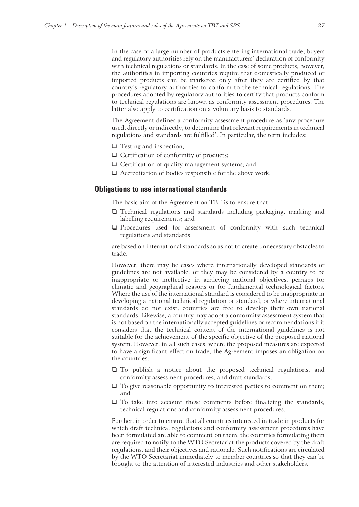In the case of a large number of products entering international trade, buyers and regulatory authorities rely on the manufacturers' declaration of conformity with technical regulations or standards. In the case of some products, however, the authorities in importing countries require that domestically produced or imported products can be marketed only after they are certified by that country's regulatory authorities to conform to the technical regulations. The procedures adopted by regulatory authorities to certify that products conform to technical regulations are known as conformity assessment procedures. The latter also apply to certification on a voluntary basis to standards.

The Agreement defines a conformity assessment procedure as 'any procedure used, directly or indirectly, to determine that relevant requirements in technical regulations and standards are fulfilled'. In particular, the term includes:

- $\Box$  Testing and inspection;
- $\Box$  Certification of conformity of products;
- $\Box$  Certification of quality management systems; and
- $\Box$  Accreditation of bodies responsible for the above work.

### **Obligations to use international standards**

The basic aim of the Agreement on TBT is to ensure that:

- Technical regulations and standards including packaging, marking and labelling requirements; and
- Procedures used for assessment of conformity with such technical regulations and standards

are based on international standards so as not to create unnecessary obstacles to trade.

However, there may be cases where internationally developed standards or guidelines are not available, or they may be considered by a country to be inappropriate or ineffective in achieving national objectives, perhaps for climatic and geographical reasons or for fundamental technological factors. Where the use of the international standard is considered to be inappropriate in developing a national technical regulation or standard, or where international standards do not exist, countries are free to develop their own national standards. Likewise, a country may adopt a conformity assessment system that is not based on the internationally accepted guidelines or recommendations if it considers that the technical content of the international guidelines is not suitable for the achievement of the specific objective of the proposed national system. However, in all such cases, where the proposed measures are expected to have a significant effect on trade, the Agreement imposes an obligation on the countries:

- To publish a notice about the proposed technical regulations, and conformity assessment procedures, and draft standards;
- $\Box$  To give reasonable opportunity to interested parties to comment on them; and
- $\Box$  To take into account these comments before finalizing the standards, technical regulations and conformity assessment procedures.

Further, in order to ensure that all countries interested in trade in products for which draft technical regulations and conformity assessment procedures have been formulated are able to comment on them, the countries formulating them are required to notify to the WTO Secretariat the products covered by the draft regulations, and their objectives and rationale. Such notifications are circulated by the WTO Secretariat immediately to member countries so that they can be brought to the attention of interested industries and other stakeholders.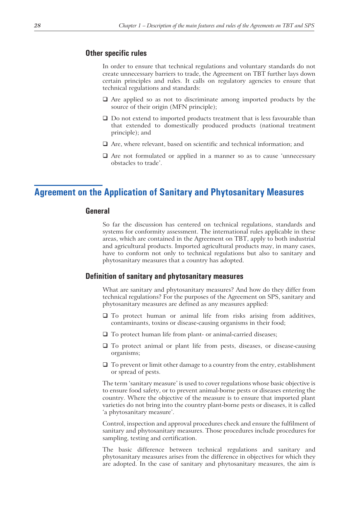### **Other specific rules**

In order to ensure that technical regulations and voluntary standards do not create unnecessary barriers to trade, the Agreement on TBT further lays down certain principles and rules. It calls on regulatory agencies to ensure that technical regulations and standards:

- Are applied so as not to discriminate among imported products by the source of their origin (MFN principle);
- □ Do not extend to imported products treatment that is less favourable than that extended to domestically produced products (national treatment principle); and
- Are, where relevant, based on scientific and technical information; and
- Are not formulated or applied in a manner so as to cause 'unnecessary obstacles to trade'.

## **Agreement on the Application of Sanitary and Phytosanitary Measures**

#### **General**

So far the discussion has centered on technical regulations, standards and systems for conformity assessment. The international rules applicable in these areas, which are contained in the Agreement on TBT, apply to both industrial and agricultural products. Imported agricultural products may, in many cases, have to conform not only to technical regulations but also to sanitary and phytosanitary measures that a country has adopted.

### **Definition of sanitary and phytosanitary measures**

What are sanitary and phytosanitary measures? And how do they differ from technical regulations? For the purposes of the Agreement on SPS, sanitary and phytosanitary measures are defined as any measures applied:

- To protect human or animal life from risks arising from additives, contaminants, toxins or disease-causing organisms in their food;
- □ To protect human life from plant- or animal-carried diseases;
- To protect animal or plant life from pests, diseases, or disease-causing organisms;
- $\Box$  To prevent or limit other damage to a country from the entry, establishment or spread of pests.

The term 'sanitary measure' is used to cover regulations whose basic objective is to ensure food safety, or to prevent animal-borne pests or diseases entering the country. Where the objective of the measure is to ensure that imported plant varieties do not bring into the country plant-borne pests or diseases, it is called 'a phytosanitary measure'.

Control, inspection and approval procedures check and ensure the fulfilment of sanitary and phytosanitary measures. Those procedures include procedures for sampling, testing and certification.

The basic difference between technical regulations and sanitary and phytosanitary measures arises from the difference in objectives for which they are adopted. In the case of sanitary and phytosanitary measures, the aim is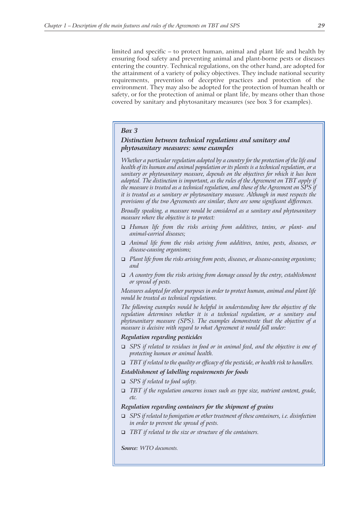limited and specific – to protect human, animal and plant life and health by ensuring food safety and preventing animal and plant-borne pests or diseases entering the country. Technical regulations, on the other hand, are adopted for the attainment of a variety of policy objectives. They include national security requirements, prevention of deceptive practices and protection of the environment. They may also be adopted for the protection of human health or safety, or for the protection of animal or plant life, by means other than those covered by sanitary and phytosanitary measures (see box 3 for examples).

#### *Box 3*

### *Distinction between technical regulations and sanitary and phytosanitary measures: some examples*

*Whether a particular regulation adopted by a country for the protection of the life and health of its human and animal population or its plants is a technical regulation, or a sanitary or phytosanitary measure, depends on the objectives for which it has been adopted. The distinction is important, as the rules of the Agreement on TBT apply if the measure is treated as a technical regulation, and those of the Agreement on SPS if it is treated as a sanitary or phytosanitary measure. Although in most respects the provisions of the two Agreements are similar, there are some significant differences.*

*Broadly speaking, a measure would be considered as a sanitary and phytosanitary measure where the objective is to protect:*

- *Human life from the risks arising from additives, toxins, or plant- and animal-carried diseases;*
- *Animal life from the risks arising from additives, toxins, pests, diseases, or disease-causing organisms;*
- *Plant life from the risks arising from pests, diseases, or disease-causing organisms; and*
- *A country from the risks arising from damage caused by the entry, establishment or spread of pests.*

*Measures adopted for other purposes in order to protect human, animal and plant life would be treated as technical regulations.*

*The following examples would be helpful in understanding how the objective of the regulation determines whether it is a technical regulation, or a sanitary and phytosanitary measure (SPS). The examples demonstrate that the objective of a measure is decisive with regard to what Agreement it would fall under:*

#### *Regulation regarding pesticides*

- *SPS if related to residues in food or in animal feed, and the objective is one of protecting human or animal health.*
- *TBT if related to the quality or efficacy of the pesticide, or health risk to handlers.*

#### *Establishment of labelling requirements for foods*

- *SPS if related to food safety.*
- *TBT if the regulation concerns issues such as type size, nutrient content, grade, etc.*

#### *Regulation regarding containers for the shipment of grains*

- *SPS if related to fumigation or other treatment of these containers, i.e. disinfection in order to prevent the spread of pests.*
- *TBT if related to the size or structure of the containers.*

*Source: WTO documents.*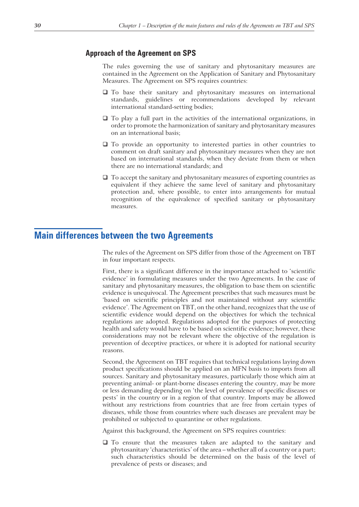### **Approach of the Agreement on SPS**

The rules governing the use of sanitary and phytosanitary measures are contained in the Agreement on the Application of Sanitary and Phytosanitary Measures. The Agreement on SPS requires countries:

- To base their sanitary and phytosanitary measures on international standards, guidelines or recommendations developed by relevant international standard-setting bodies;
- To play a full part in the activities of the international organizations, in order to promote the harmonization of sanitary and phytosanitary measures on an international basis;
- To provide an opportunity to interested parties in other countries to comment on draft sanitary and phytosanitary measures when they are not based on international standards, when they deviate from them or when there are no international standards; and
- □ To accept the sanitary and phytosanitary measures of exporting countries as equivalent if they achieve the same level of sanitary and phytosanitary protection and, where possible, to enter into arrangements for mutual recognition of the equivalence of specified sanitary or phytosanitary measures.

# **Main differences between the two Agreements**

The rules of the Agreement on SPS differ from those of the Agreement on TBT in four important respects.

First, there is a significant difference in the importance attached to 'scientific evidence' in formulating measures under the two Agreements. In the case of sanitary and phytosanitary measures, the obligation to base them on scientific evidence is unequivocal. The Agreement prescribes that such measures must be 'based on scientific principles and not maintained without any scientific evidence'. The Agreement on TBT, on the other hand, recognizes that the use of scientific evidence would depend on the objectives for which the technical regulations are adopted. Regulations adopted for the purposes of protecting health and safety would have to be based on scientific evidence; however, these considerations may not be relevant where the objective of the regulation is prevention of deceptive practices, or where it is adopted for national security reasons.

Second, the Agreement on TBT requires that technical regulations laying down product specifications should be applied on an MFN basis to imports from all sources. Sanitary and phytosanitary measures, particularly those which aim at preventing animal- or plant-borne diseases entering the country, may be more or less demanding depending on 'the level of prevalence of specific diseases or pests' in the country or in a region of that country. Imports may be allowed without any restrictions from countries that are free from certain types of diseases, while those from countries where such diseases are prevalent may be prohibited or subjected to quarantine or other regulations.

Against this background, the Agreement on SPS requires countries:

 To ensure that the measures taken are adapted to the sanitary and phytosanitary 'characteristics' of the area – whether all of a country or a part; such characteristics should be determined on the basis of the level of prevalence of pests or diseases; and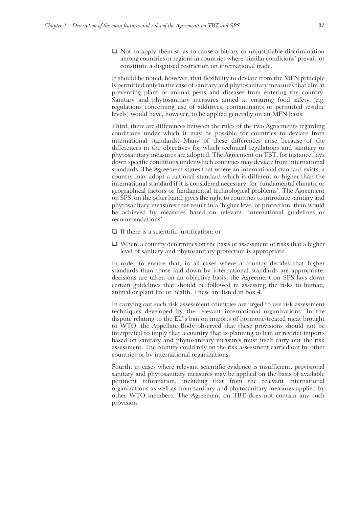$\Box$  Not to apply them so as to cause arbitrary or unjustifiable discrimination among countries or regions in countries where 'similar conditions' prevail, or constitute a disguised restriction on international trade.

It should be noted, however, that flexibility to deviate from the MFN principle is permitted only in the case of sanitary and phytosanitary measures that aim at preventing plant or animal pests and diseases from entering the country. Sanitary and phytosanitary measures aimed at ensuring food safety (e.g. regulations concerning use of additives, contaminants or permitted residue levels) would have, however, to be applied generally on an MFN basis.

Third, there are differences between the rules of the two Agreements regarding conditions under which it may be possible for countries to deviate from international standards. Many of these differences arise because of the differences in the objectives for which technical regulations and sanitary or phytosanitary measures are adopted. The Agreement on TBT, for instance, lays down specific conditions under which countries may deviate from international standards. The Agreement states that where an international standard exists, a country may adopt a national standard which is different or higher than the international standard if it is considered necessary, for 'fundamental climatic or geographical factors or fundamental technological problems'. The Agreement on SPS, on the other hand, gives the right to countries to introduce sanitary and phytosanitary measures that result in a 'higher level of protection' than would be achieved by measures based on relevant 'international guidelines or recommendations':

- $\Box$  If there is a scientific justification; or
- $\Box$  Where a country determines on the basis of assessment of risks that a higher level of sanitary and phytosanitary protection is appropriate.

In order to ensure that, in all cases where a country decides that higher standards than those laid down by international standards are appropriate, decisions are taken on an objective basis, the Agreement on SPS lays down certain guidelines that should be followed in assessing the risks to human, animal or plant life or health. These are listed in box 4.

In carrying out such risk assessment countries are urged to use risk assessment techniques developed by the relevant international organizations. In the dispute relating to the EU's ban on imports of hormone-treated meat brought to WTO, the Appellate Body observed that these provisions should not be interpreted to imply that a country that is planning to ban or restrict imports based on sanitary and phytosanitary measures must itself carry out the risk assessment. The country could rely on the risk assessment carried out by other countries or by international organizations.

Fourth, in cases where relevant scientific evidence is insufficient, provisional sanitary and phytosanitary measures may be applied on the basis of available pertinent information, including that from the relevant international organizations as well as from sanitary and phytosanitary measures applied by other WTO members. The Agreement on TBT does not contain any such provision.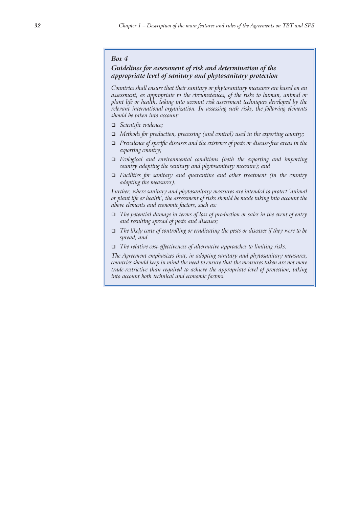#### *Box 4*

### *Guidelines for assessment of risk and determination of the appropriate level of sanitary and phytosanitary protection*

*Countries shall ensure that their sanitary or phytosanitary measures are based on an assessment, as appropriate to the circumstances, of the risks to human, animal or plant life or health, taking into account risk assessment techniques developed by the relevant international organization. In assessing such risks, the following elements should be taken into account:*

- *Scientific evidence;*
- *Methods for production, processing (and control) used in the exporting country;*
- *Prevalence of specific diseases and the existence of pests or disease-free areas in the exporting country;*
- *Ecological and environmental conditions (both the exporting and importing country adopting the sanitary and phytosanitary measure); and*
- *Facilities for sanitary and quarantine and other treatment (in the country adopting the measures).*

*Further, where sanitary and phytosanitary measures are intended to protect 'animal or plant life or health', the assessment of risks should be made taking into account the above elements and economic factors, such as:*

- *The potential damage in terms of loss of production or sales in the event of entry and resulting spread of pests and diseases;*
- *The likely costs of controlling or eradicating the pests or diseases if they were to be spread; and*
- *The relative cost-effectiveness of alternative approaches to limiting risks.*

*The Agreement emphasizes that, in adopting sanitary and phytosanitary measures, countries should keep in mind the need to ensure that the measures taken are not more trade-restrictive than required to achieve the appropriate level of protection, taking into account both technical and economic factors.*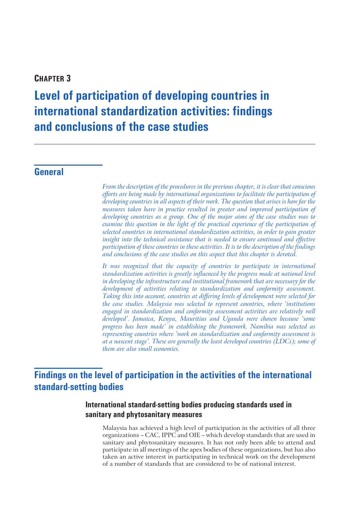# **CHAPTER 3**

# **Level of participation of developing countries in international standardization activities: findings and conclusions of the case studies**

# **General**

*From the description of the procedures in the previous chapter, it is clear that conscious efforts are being made by international organizations to facilitate the participation of developing countries in all aspects of their work. The question that arises is how far the measures taken have in practice resulted in greater and improved participation of developing countries as a group. One of the major aims of the case studies was to examine this question in the light of the practical experience of the participation of selected countries in international standardization activities, in order to gain greater insight into the technical assistance that is needed to ensure continued and effective participation of these countries in these activities. It is to the description of the findings and conclusions of the case studies on this aspect that this chapter is devoted.*

*It was recognized that the capacity of countries to participate in international standardization activities is greatly influenced by the progress made at national level in developing the infrastructure and institutional framework that are necessary for the development of activities relating to standardization and conformity assessment. Taking this into account, countries at differing levels of development were selected for the case studies. Malaysia was selected to represent countries, where 'institutions engaged in standardization and conformity assessment activities are relatively well developed'. Jamaica, Kenya, Mauritius and Uganda were chosen because 'some progress has been made' in establishing the framework. Namibia was selected as representing countries where 'work on standardization and conformity assessment is at a nascent stage'. These are generally the least developed countries (LDCs); some of them are also small economies.*

# **Findings on the level of participation in the activities of the international standard-setting bodies**

### **International standard-setting bodies producing standards used in sanitary and phytosanitary measures**

Malaysia has achieved a high level of participation in the activities of all three organizations – CAC, IPPC and OIE – which develop standards that are used in sanitary and phytosanitary measures. It has not only been able to attend and participate in all meetings of the apex bodies of these organizations, but has also taken an active interest in participating in technical work on the development of a number of standards that are considered to be of national interest.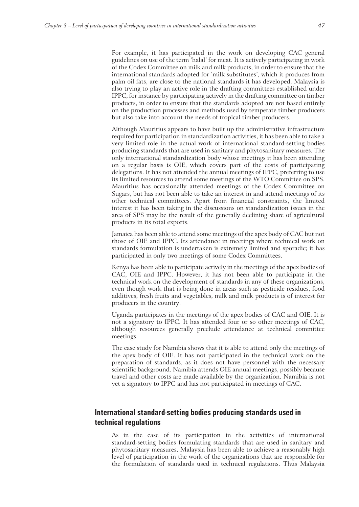For example, it has participated in the work on developing CAC general guidelines on use of the term 'halal' for meat. It is actively participating in work of the Codex Committee on milk and milk products, in order to ensure that the international standards adopted for 'milk substitutes', which it produces from palm oil fats, are close to the national standards it has developed. Malaysia is also trying to play an active role in the drafting committees established under IPPC, for instance by participating actively in the drafting committee on timber products, in order to ensure that the standards adopted are not based entirely on the production processes and methods used by temperate timber producers but also take into account the needs of tropical timber producers.

Although Mauritius appears to have built up the administrative infrastructure required for participation in standardization activities, it has been able to take a very limited role in the actual work of international standard-setting bodies producing standards that are used in sanitary and phytosanitary measures. The only international standardization body whose meetings it has been attending on a regular basis is OIE, which covers part of the costs of participating delegations. It has not attended the annual meetings of IPPC, preferring to use its limited resources to attend some meetings of the WTO Committee on SPS. Mauritius has occasionally attended meetings of the Codex Committee on Sugars, but has not been able to take an interest in and attend meetings of its other technical committees. Apart from financial constraints, the limited interest it has been taking in the discussions on standardization issues in the area of SPS may be the result of the generally declining share of agricultural products in its total exports.

Jamaica has been able to attend some meetings of the apex body of CAC but not those of OIE and IPPC. Its attendance in meetings where technical work on standards formulation is undertaken is extremely limited and sporadic; it has participated in only two meetings of some Codex Committees.

Kenya has been able to participate actively in the meetings of the apex bodies of CAC, OIE and IPPC. However, it has not been able to participate in the technical work on the development of standards in any of these organizations, even though work that is being done in areas such as pesticide residues, food additives, fresh fruits and vegetables, milk and milk products is of interest for producers in the country.

Uganda participates in the meetings of the apex bodies of CAC and OIE. It is not a signatory to IPPC. It has attended four or so other meetings of CAC, although resources generally preclude attendance at technical committee meetings.

The case study for Namibia shows that it is able to attend only the meetings of the apex body of OIE. It has not participated in the technical work on the preparation of standards, as it does not have personnel with the necessary scientific background. Namibia attends OIE annual meetings, possibly because travel and other costs are made available by the organization. Namibia is not yet a signatory to IPPC and has not participated in meetings of CAC.

### **International standard-setting bodies producing standards used in technical regulations**

As in the case of its participation in the activities of international standard-setting bodies formulating standards that are used in sanitary and phytosanitary measures, Malaysia has been able to achieve a reasonably high level of participation in the work of the organizations that are responsible for the formulation of standards used in technical regulations. Thus Malaysia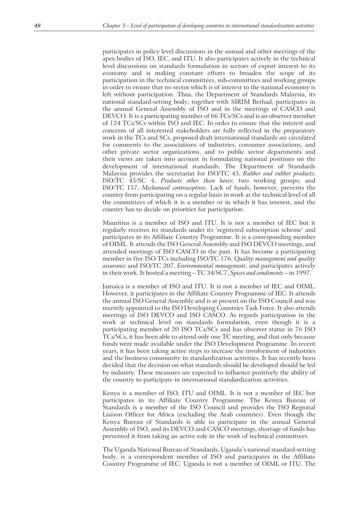participates in policy level discussions in the annual and other meetings of the apex bodies of ISO, IEC, and ITU. It also participates actively in the technical level discussions on standards formulation in sectors of export interest to its economy and is making constant efforts to broaden the scope of its participation in the technical committees, sub-committees and working groups in order to ensure that no sector which is of interest to the national economy is left without participation. Thus, the Department of Standards Malaysia, its national standard-setting body, together with SIRIM Berhad, participates in the annual General Assembly of ISO and in the meetings of CASCO and DEVCO. It is a participating member of 66 TCs/SCs and is an observer member of 124 TCs/SCs within ISO and IEC. In order to ensure that the interest and concerns of all interested stakeholders are fully reflected in the preparatory work in the TCs and SCs, proposed draft international standards are circulated for comments to the associations of industries, consumer associations, and other private sector organizations, and to public sector departments and their views are taken into account in formulating national positions on the development of international standards. The Department of Standards Malaysia provides the secretariat for ISO/TC 45, *Rubber and rubber products* ; ISO/TC 45/SC 4, *Products other than hoses*; two working groups; and ISO/TC 157, *Mechanical contraceptives*. Lack of funds, however, prevents the country from participating on a regular basis in work at the technical level of all the committees of which it is a member or in which it has interest, and the country has to decide on priorities for participation.

Mauritius is a member of ISO and ITU. It is not a member of IEC but it regularly receives its standards under its 'registered subscription scheme' and participates in its Affiliate Country Programme. It is a corresponding member of OIML. It attends the ISO General Assembly and ISO DEVCO meetings, and attended meetings of ISO CASCO in the past. It has become a participating member in five ISO TCs including ISO/TC 176, *Quality management and quality assurance* and ISO/TC 207, *Environmental management*, and participates actively in their work. It hosted a meeting – TC 34/SC7, *Spices and condiments* – in 1997.

Jamaica is a member of ISO and ITU. It is not a member of IEC and OIML. However, it participates in the Affiliate Country Programme of IEC. It attends the annual ISO General Assembly and is at present on the ISO Council and was recently appointed to the ISO Developing Countries Task Force. It also attends meetings of ISO DEVCO and ISO CASCO. As regards participation in the work at technical level on standards formulation, even though it is a participating member of 20 ISO TCs/SCs and has observer status in 76 ISO TCs/SCs, it has been able to attend only one TC meeting, and that only because funds were made available under the ISO Development Programme. In recent years, it has been taking active steps to increase the involvement of industries and the business community in standardization activities. It has recently been decided that the decision on what standards should be developed should be led by industry. These measures are expected to influence positively the ability of the country to participate in international standardization activities.

Kenya is a member of ISO, ITU and OIML. It is not a member of IEC but participates in its Affiliate Country Programme. The Kenya Bureau of Standards is a member of the ISO Council and provides the ISO Regional Liaison Officer for Africa (excluding the Arab countries). Even though the Kenya Bureau of Standards is able to participate in the annual General Assembly of ISO, and its DEVCO and CASCO meetings, shortage of funds has prevented it from taking an active role in the work of technical committees.

The Uganda National Bureau of Standards, Uganda's national standard-setting body, is a correspondent member of ISO and participates in the Affiliate Country Programme of IEC. Uganda is not a member of OIML or ITU. The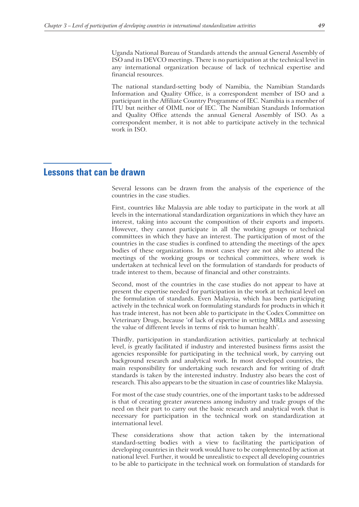Uganda National Bureau of Standards attends the annual General Assembly of ISO and its DEVCO meetings. There is no participation at the technical level in any international organization because of lack of technical expertise and financial resources.

The national standard-setting body of Namibia, the Namibian Standards Information and Quality Office, is a correspondent member of ISO and a participant in the Affiliate Country Programme of IEC. Namibia is a member of ITU but neither of OIML nor of IEC. The Namibian Standards Information and Quality Office attends the annual General Assembly of ISO. As a correspondent member, it is not able to participate actively in the technical work in ISO.

## **Lessons that can be drawn**

Several lessons can be drawn from the analysis of the experience of the countries in the case studies.

First, countries like Malaysia are able today to participate in the work at all levels in the international standardization organizations in which they have an interest, taking into account the composition of their exports and imports. However, they cannot participate in all the working groups or technical committees in which they have an interest. The participation of most of the countries in the case studies is confined to attending the meetings of the apex bodies of these organizations. In most cases they are not able to attend the meetings of the working groups or technical committees, where work is undertaken at technical level on the formulation of standards for products of trade interest to them, because of financial and other constraints.

Second, most of the countries in the case studies do not appear to have at present the expertise needed for participation in the work at technical level on the formulation of standards. Even Malaysia, which has been participating actively in the technical work on formulating standards for products in which it has trade interest, has not been able to participate in the Codex Committee on Veterinary Drugs, because 'of lack of expertise in setting MRLs and assessing the value of different levels in terms of risk to human health'.

Thirdly, participation in standardization activities, particularly at technical level, is greatly facilitated if industry and interested business firms assist the agencies responsible for participating in the technical work, by carrying out background research and analytical work. In most developed countries, the main responsibility for undertaking such research and for writing of draft standards is taken by the interested industry. Industry also bears the cost of research. This also appears to be the situation in case of countries like Malaysia.

For most of the case study countries, one of the important tasks to be addressed is that of creating greater awareness among industry and trade groups of the need on their part to carry out the basic research and analytical work that is necessary for participation in the technical work on standardization at international level.

These considerations show that action taken by the international standard-setting bodies with a view to facilitating the participation of developing countries in their work would have to be complemented by action at national level. Further, it would be unrealistic to expect all developing countries to be able to participate in the technical work on formulation of standards for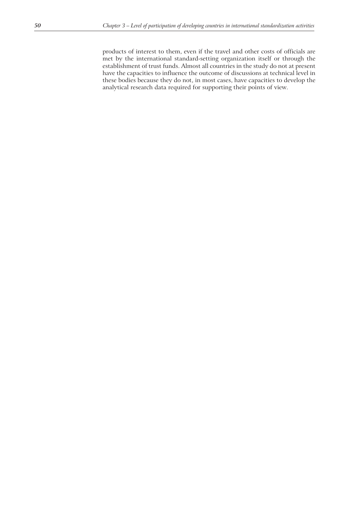products of interest to them, even if the travel and other costs of officials are met by the international standard-setting organization itself or through the establishment of trust funds. Almost all countries in the study do not at present have the capacities to influence the outcome of discussions at technical level in these bodies because they do not, in most cases, have capacities to develop the analytical research data required for supporting their points of view.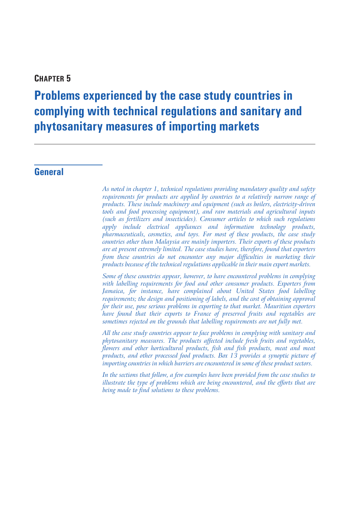## **CHAPTER 5**

# **Problems experienced by the case study countries in complying with technical regulations and sanitary and phytosanitary measures of importing markets**

# **General**

*As noted in chapter 1, technical regulations providing mandatory quality and safety requirements for products are applied by countries to a relatively narrow range of products. These include machinery and equipment (such as boilers, electricity-driven tools and food processing equipment), and raw materials and agricultural inputs (such as fertilizers and insecticides). Consumer articles to which such regulations apply include electrical appliances and information technology products, pharmaceuticals, cosmetics, and toys. For most of these products, the case study countries other than Malaysia are mainly importers. Their exports of these products are at present extremely limited. The case studies have, therefore, found that exporters from these countries do not encounter any major difficulties in marketing their products because of the technical regulations applicable in their main export markets.*

*Some of these countries appear, however, to have encountered problems in complying with labelling requirements for food and other consumer products. Exporters from Jamaica, for instance, have complained about United States food labelling requirements; the design and positioning of labels, and the cost of obtaining approval for their use, pose serious problems in exporting to that market. Mauritian exporters have found that their exports to France of preserved fruits and vegetables are sometimes rejected on the grounds that labelling requirements are not fully met.*

*All the case study countries appear to face problems in complying with sanitary and phytosanitary measures. The products affected include fresh fruits and vegetables, flowers and other horticultural products, fish and fish products, meat and meat products, and other processed food products. Box 13 provides a synoptic picture of importing countries in which barriers are encountered in some of these product sectors.*

*In the sections that follow, a few examples have been provided from the case studies to illustrate the type of problems which are being encountered, and the efforts that are being made to find solutions to these problems.*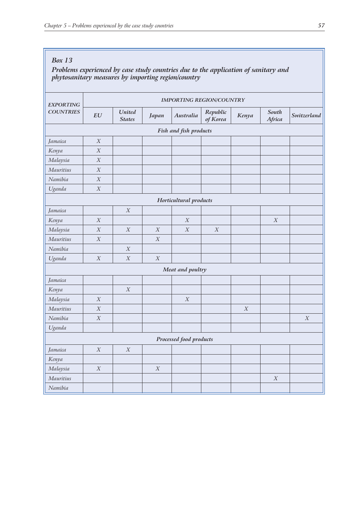### *Box 13*

### *Problems experienced by case study countries due to the application of sanitary and phytosanitary measures by importing region/country*

| <b>EXPORTING</b><br><b>COUNTRIES</b> | <b>IMPORTING REGION/COUNTRY</b> |                         |                  |                         |                      |                  |                  |             |  |
|--------------------------------------|---------------------------------|-------------------------|------------------|-------------------------|----------------------|------------------|------------------|-------------|--|
|                                      | ${\cal E}U$                     | United<br><b>States</b> | Japan            | Australia               | Republic<br>of Korea | Kenya            | South<br>Africa  | Switzerland |  |
|                                      |                                 |                         |                  | Fish and fish products  |                      |                  |                  |             |  |
| Jamaica                              | $\boldsymbol{X}$                |                         |                  |                         |                      |                  |                  |             |  |
| Kenya                                | $\boldsymbol{X}$                |                         |                  |                         |                      |                  |                  |             |  |
| Malaysia                             | $\boldsymbol{X}$                |                         |                  |                         |                      |                  |                  |             |  |
| Mauritius                            | $\boldsymbol{X}$                |                         |                  |                         |                      |                  |                  |             |  |
| Namibia                              | $\boldsymbol{X}$                |                         |                  |                         |                      |                  |                  |             |  |
| Uganda                               | $\boldsymbol{X}$                |                         |                  |                         |                      |                  |                  |             |  |
| Horticultural products               |                                 |                         |                  |                         |                      |                  |                  |             |  |
| Jamaica                              |                                 | $\boldsymbol{X}$        |                  |                         |                      |                  |                  |             |  |
| Kenya                                | X                               |                         |                  | X                       |                      |                  | $\boldsymbol{X}$ |             |  |
| Malaysia                             | $\boldsymbol{X}$                | $\boldsymbol{X}$        | $\boldsymbol{X}$ | $\boldsymbol{X}$        | $\boldsymbol{X}$     |                  |                  |             |  |
| Mauritius                            | X                               |                         | $\boldsymbol{X}$ |                         |                      |                  |                  |             |  |
| Namibia                              |                                 | $\boldsymbol{X}$        |                  |                         |                      |                  |                  |             |  |
| Uganda                               | $\boldsymbol{X}$                | $\boldsymbol{X}$        | $\boldsymbol{X}$ |                         |                      |                  |                  |             |  |
|                                      |                                 |                         |                  | Meat and poultry        |                      |                  |                  |             |  |
| Jamaica                              |                                 |                         |                  |                         |                      |                  |                  |             |  |
| Kenya                                |                                 | $\boldsymbol{X}$        |                  |                         |                      |                  |                  |             |  |
| Malaysia                             | X                               |                         |                  | $\boldsymbol{X}$        |                      |                  |                  |             |  |
| Mauritius                            | $\boldsymbol{X}$                |                         |                  |                         |                      | $\boldsymbol{X}$ |                  |             |  |
| Namibia                              | $\boldsymbol{X}$                |                         |                  |                         |                      |                  |                  | X           |  |
| Uganda                               |                                 |                         |                  |                         |                      |                  |                  |             |  |
|                                      |                                 |                         |                  | Processed food products |                      |                  |                  |             |  |
| Jamaica                              | $\boldsymbol{X}$                | $\boldsymbol{X}$        |                  |                         |                      |                  |                  |             |  |
| Kenya                                |                                 |                         |                  |                         |                      |                  |                  |             |  |
| Malaysia                             | $\boldsymbol{X}$                |                         | $\boldsymbol{X}$ |                         |                      |                  |                  |             |  |
| Mauritius                            |                                 |                         |                  |                         |                      |                  | $\boldsymbol{X}$ |             |  |
| Namibia                              |                                 |                         |                  |                         |                      |                  |                  |             |  |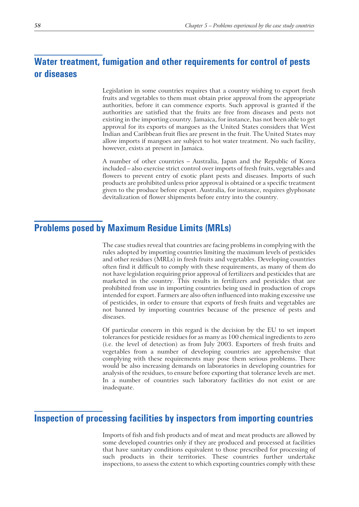# **Water treatment, fumigation and other requirements for control of pests or diseases**

Legislation in some countries requires that a country wishing to export fresh fruits and vegetables to them must obtain prior approval from the appropriate authorities, before it can commence exports. Such approval is granted if the authorities are satisfied that the fruits are free from diseases and pests not existing in the importing country. Jamaica, for instance, has not been able to get approval for its exports of mangoes as the United States considers that West Indian and Caribbean fruit flies are present in the fruit. The United States may allow imports if mangoes are subject to hot water treatment. No such facility, however, exists at present in Jamaica.

A number of other countries – Australia, Japan and the Republic of Korea included – also exercise strict control over imports of fresh fruits, vegetables and flowers to prevent entry of exotic plant pests and diseases. Imports of such products are prohibited unless prior approval is obtained or a specific treatment given to the produce before export. Australia, for instance, requires glyphosate devitalization of flower shipments before entry into the country.

# **Problems posed by Maximum Residue Limits (MRLs)**

The case studies reveal that countries are facing problems in complying with the rules adopted by importing countries limiting the maximum levels of pesticides and other residues (MRLs) in fresh fruits and vegetables. Developing countries often find it difficult to comply with these requirements, as many of them do not have legislation requiring prior approval of fertilizers and pesticides that are marketed in the country. This results in fertilizers and pesticides that are prohibited from use in importing countries being used in production of crops intended for export. Farmers are also often influenced into making excessive use of pesticides, in order to ensure that exports of fresh fruits and vegetables are not banned by importing countries because of the presence of pests and diseases.

Of particular concern in this regard is the decision by the EU to set import tolerances for pesticide residues for as many as 100 chemical ingredients to zero (i.e. the level of detection) as from July 2003. Exporters of fresh fruits and vegetables from a number of developing countries are apprehensive that complying with these requirements may pose them serious problems. There would be also increasing demands on laboratories in developing countries for analysis of the residues, to ensure before exporting that tolerance levels are met. In a number of countries such laboratory facilities do not exist or are inadequate.

# **Inspection of processing facilities by inspectors from importing countries**

Imports of fish and fish products and of meat and meat products are allowed by some developed countries only if they are produced and processed at facilities that have sanitary conditions equivalent to those prescribed for processing of such products in their territories. These countries further undertake inspections, to assess the extent to which exporting countries comply with these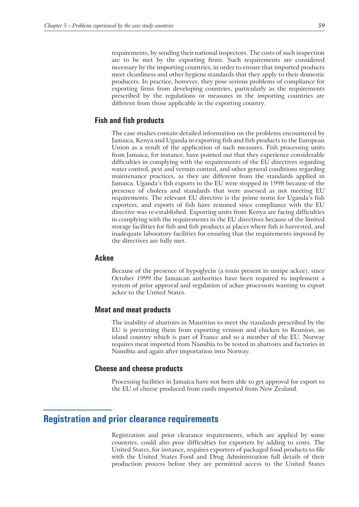requirements, by sending their national inspectors. The costs of such inspection are to be met by the exporting firms. Such requirements are considered necessary by the importing countries, in order to ensure that imported products meet cleanliness and other hygiene standards that they apply to their domestic producers. In practice, however, they pose serious problems of compliance for exporting firms from developing countries, particularly as the requirements prescribed by the regulations or measures in the importing countries are different from those applicable in the exporting country.

#### **Fish and fish products**

The case studies contain detailed information on the problems encountered by Jamaica, Kenya and Uganda in exporting fish and fish products to the European Union as a result of the application of such measures. Fish processing units from Jamaica, for instance, have pointed out that they experience considerable difficulties in complying with the requirements of the EU directives regarding water control, pest and vermin control, and other general conditions regarding maintenance practices, as they are different from the standards applied in Jamaica. Uganda's fish exports to the EU were stopped in 1998 because of the presence of cholera and standards that were assessed as not meeting EU requirements. The relevant EU directive is the prime norm for Uganda's fish exporters, and exports of fish have resumed since compliance with the EU directive was re-established. Exporting units from Kenya are facing difficulties in complying with the requirements in the EU directives because of the limited storage facilities for fish and fish products at places where fish is harvested, and inadequate laboratory facilities for ensuring that the requirements imposed by the directives are fully met.

#### **Ackee**

Because of the presence of hypoglycin (a toxin present in unripe ackee), since October 1999 the Jamaican authorities have been required to implement a system of prior approval and regulation of ackee processors wanting to export ackee to the United States.

### **Meat and meat products**

The inability of abattoirs in Mauritius to meet the standards prescribed by the EU is preventing them from exporting venison and chicken to Reunion, an island country which is part of France and so a member of the EU. Norway requires meat imported from Namibia to be tested in abattoirs and factories in Namibia and again after importation into Norway.

#### **Cheese and cheese products**

Processing facilities in Jamaica have not been able to get approval for export to the EU of cheese produced from curds imported from New Zealand.

### **Registration and prior clearance requirements**

Registration and prior clearance requirements, which are applied by some countries, could also pose difficulties for exporters by adding to costs. The United States, for instance, requires exporters of packaged food products to file with the United States Food and Drug Administration full details of their production process before they are permitted access to the United States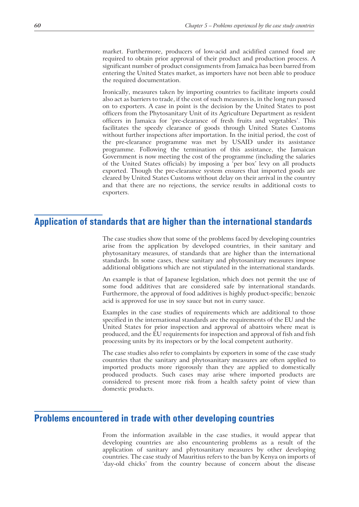market. Furthermore, producers of low-acid and acidified canned food are required to obtain prior approval of their product and production process. A significant number of product consignments from Jamaica has been barred from entering the United States market, as importers have not been able to produce the required documentation.

Ironically, measures taken by importing countries to facilitate imports could also act as barriers to trade, if the cost of such measures is, in the long run passed on to exporters. A case in point is the decision by the United States to post officers from the Phytosanitary Unit of its Agriculture Department as resident officers in Jamaica for 'pre-clearance of fresh fruits and vegetables'. This facilitates the speedy clearance of goods through United States Customs without further inspections after importation. In the initial period, the cost of the pre-clearance programme was met by USAID under its assistance programme. Following the termination of this assistance, the Jamaican Government is now meeting the cost of the programme (including the salaries of the United States officials) by imposing a 'per box' levy on all products exported. Though the pre-clearance system ensures that imported goods are cleared by United States Customs without delay on their arrival in the country and that there are no rejections, the service results in additional costs to exporters.

### **Application of standards that are higher than the international standards**

The case studies show that some of the problems faced by developing countries arise from the application by developed countries, in their sanitary and phytosanitary measures, of standards that are higher than the international standards. In some cases, these sanitary and phytosanitary measures impose additional obligations which are not stipulated in the international standards.

An example is that of Japanese legislation, which does not permit the use of some food additives that are considered safe by international standards. Furthermore, the approval of food additives is highly product-specific; benzoic acid is approved for use in soy sauce but not in curry sauce.

Examples in the case studies of requirements which are additional to those specified in the international standards are the requirements of the EU and the United States for prior inspection and approval of abattoirs where meat is produced, and the EU requirements for inspection and approval of fish and fish processing units by its inspectors or by the local competent authority.

The case studies also refer to complaints by exporters in some of the case study countries that the sanitary and phytosanitary measures are often applied to imported products more rigorously than they are applied to domestically produced products. Such cases may arise where imported products are considered to present more risk from a health safety point of view than domestic products.

### **Problems encountered in trade with other developing countries**

From the information available in the case studies, it would appear that developing countries are also encountering problems as a result of the application of sanitary and phytosanitary measures by other developing countries. The case study of Mauritius refers to the ban by Kenya on imports of 'day-old chicks' from the country because of concern about the disease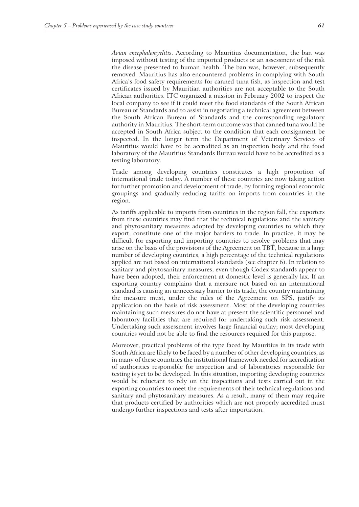*Avian encephalomyelitis*. According to Mauritius documentation, the ban was imposed without testing of the imported products or an assessment of the risk the disease presented to human health. The ban was, however, subsequently removed. Mauritius has also encountered problems in complying with South Africa's food safety requirements for canned tuna fish, as inspection and test certificates issued by Mauritian authorities are not acceptable to the South African authorities. ITC organized a mission in February 2002 to inspect the local company to see if it could meet the food standards of the South African Bureau of Standards and to assist in negotiating a technical agreement between the South African Bureau of Standards and the corresponding regulatory authority in Mauritius. The short-term outcome was that canned tuna would be accepted in South Africa subject to the condition that each consignment be inspected. In the longer term the Department of Veterinary Services of Mauritius would have to be accredited as an inspection body and the food laboratory of the Mauritius Standards Bureau would have to be accredited as a testing laboratory.

Trade among developing countries constitutes a high proportion of international trade today. A number of these countries are now taking action for further promotion and development of trade, by forming regional economic groupings and gradually reducing tariffs on imports from countries in the region.

As tariffs applicable to imports from countries in the region fall, the exporters from these countries may find that the technical regulations and the sanitary and phytosanitary measures adopted by developing countries to which they export, constitute one of the major barriers to trade. In practice, it may be difficult for exporting and importing countries to resolve problems that may arise on the basis of the provisions of the Agreement on TBT, because in a large number of developing countries, a high percentage of the technical regulations applied are not based on international standards (see chapter 6). In relation to sanitary and phytosanitary measures, even though Codex standards appear to have been adopted, their enforcement at domestic level is generally lax. If an exporting country complains that a measure not based on an international standard is causing an unnecessary barrier to its trade, the country maintaining the measure must, under the rules of the Agreement on SPS, justify its application on the basis of risk assessment. Most of the developing countries maintaining such measures do not have at present the scientific personnel and laboratory facilities that are required for undertaking such risk assessment. Undertaking such assessment involves large financial outlay; most developing countries would not be able to find the resources required for this purpose.

Moreover, practical problems of the type faced by Mauritius in its trade with South Africa are likely to be faced by a number of other developing countries, as in many of these countries the institutional framework needed for accreditation of authorities responsible for inspection and of laboratories responsible for testing is yet to be developed. In this situation, importing developing countries would be reluctant to rely on the inspections and tests carried out in the exporting countries to meet the requirements of their technical regulations and sanitary and phytosanitary measures. As a result, many of them may require that products certified by authorities which are not properly accredited must undergo further inspections and tests after importation.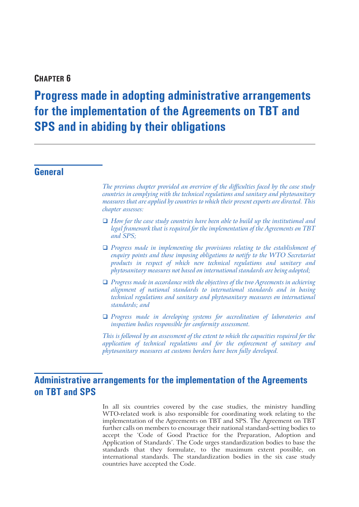### **CHAPTER 6**

# **Progress made in adopting administrative arrangements for the implementation of the Agreements on TBT and SPS and in abiding by their obligations**

### **General**

*The previous chapter provided an overview of the difficulties faced by the case study countries in complying with the technical regulations and sanitary and phytosanitary measures that are applied by countries to which their present exports are directed. This chapter assesses:*

- *How far the case study countries have been able to build up the institutional and legal framework that is required for the implementation of the Agreements on TBT and SPS;*
- *Progress made in implementing the provisions relating to the establishment of enquiry points and those imposing obligations to notify to the WTO Secretariat products in respect of which new technical regulations and sanitary and phytosanitary measures not based on international standards are being adopted;*
- *Progress made in accordance with the objectives of the two Agreements in achieving alignment of national standards to international standards and in basing technical regulations and sanitary and phytosanitary measures on international standards; and*
- *Progress made in developing systems for accreditation of laboratories and inspection bodies responsible for conformity assessment.*

*This is followed by an assessment of the extent to which the capacities required for the application of technical regulations and for the enforcement of sanitary and phytosanitary measures at customs borders have been fully developed.*

# **Administrative arrangements for the implementation of the Agreements on TBT and SPS**

In all six countries covered by the case studies, the ministry handling WTO-related work is also responsible for coordinating work relating to the implementation of the Agreements on TBT and SPS. The Agreement on TBT further calls on members to encourage their national standard-setting bodies to accept the 'Code of Good Practice for the Preparation, Adoption and Application of Standards'. The Code urges standardization bodies to base the standards that they formulate, to the maximum extent possible, on international standards. The standardization bodies in the six case study countries have accepted the Code.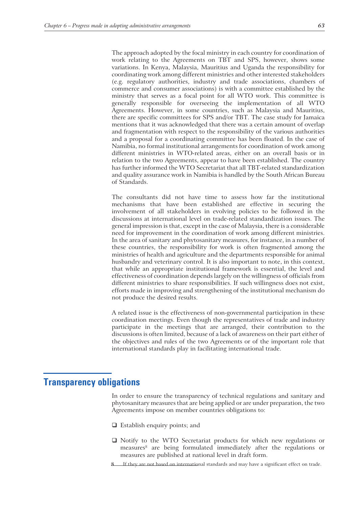The approach adopted by the focal ministry in each country for coordination of work relating to the Agreements on TBT and SPS, however, shows some variations. In Kenya, Malaysia, Mauritius and Uganda the responsibility for coordinating work among different ministries and other interested stakeholders (e.g. regulatory authorities, industry and trade associations, chambers of commerce and consumer associations) is with a committee established by the ministry that serves as a focal point for all WTO work. This committee is generally responsible for overseeing the implementation of all WTO Agreements. However, in some countries, such as Malaysia and Mauritius, there are specific committees for SPS and/or TBT. The case study for Jamaica mentions that it was acknowledged that there was a certain amount of overlap and fragmentation with respect to the responsibility of the various authorities and a proposal for a coordinating committee has been floated. In the case of Namibia, no formal institutional arrangements for coordination of work among different ministries in WTO-related areas, either on an overall basis or in relation to the two Agreements, appear to have been established. The country has further informed the WTO Secretariat that all TBT-related standardization and quality assurance work in Namibia is handled by the South African Bureau of Standards.

The consultants did not have time to assess how far the institutional mechanisms that have been established are effective in securing the involvement of all stakeholders in evolving policies to be followed in the discussions at international level on trade-related standardization issues. The general impression is that, except in the case of Malaysia, there is a considerable need for improvement in the coordination of work among different ministries. In the area of sanitary and phytosanitary measures, for instance, in a number of these countries, the responsibility for work is often fragmented among the ministries of health and agriculture and the departments responsible for animal husbandry and veterinary control. It is also important to note, in this context, that while an appropriate institutional framework is essential, the level and effectiveness of coordination depends largely on the willingness of officials from different ministries to share responsibilities. If such willingness does not exist, efforts made in improving and strengthening of the institutional mechanism do not produce the desired results.

A related issue is the effectiveness of non-governmental participation in these coordination meetings. Even though the representatives of trade and industry participate in the meetings that are arranged, their contribution to the discussions is often limited, because of a lack of awareness on their part either of the objectives and rules of the two Agreements or of the important role that international standards play in facilitating international trade.

### **Transparency obligations**

In order to ensure the transparency of technical regulations and sanitary and phytosanitary measures that are being applied or are under preparation, the two Agreements impose on member countries obligations to:

- $\Box$  Establish enquiry points; and
- Notify to the WTO Secretariat products for which new regulations or measures8 are being formulated immediately after the regulations or measures are published at national level in draft form.
- If they are not based on international standards and may have a significant effect on trade.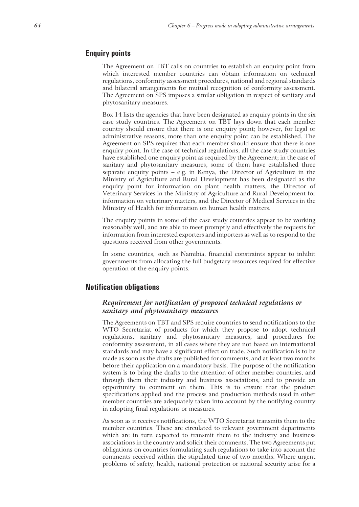#### **Enquiry points**

The Agreement on TBT calls on countries to establish an enquiry point from which interested member countries can obtain information on technical regulations, conformity assessment procedures, national and regional standards and bilateral arrangements for mutual recognition of conformity assessment. The Agreement on SPS imposes a similar obligation in respect of sanitary and phytosanitary measures.

Box 14 lists the agencies that have been designated as enquiry points in the six case study countries. The Agreement on TBT lays down that each member country should ensure that there is one enquiry point; however, for legal or administrative reasons, more than one enquiry point can be established. The Agreement on SPS requires that each member should ensure that there is one enquiry point. In the case of technical regulations, all the case study countries have established one enquiry point as required by the Agreement; in the case of sanitary and phytosanitary measures, some of them have established three separate enquiry points – e.g. in Kenya, the Director of Agriculture in the Ministry of Agriculture and Rural Development has been designated as the enquiry point for information on plant health matters, the Director of Veterinary Services in the Ministry of Agriculture and Rural Development for information on veterinary matters, and the Director of Medical Services in the Ministry of Health for information on human health matters.

The enquiry points in some of the case study countries appear to be working reasonably well, and are able to meet promptly and effectively the requests for information from interested exporters and importers as well as to respond to the questions received from other governments.

In some countries, such as Namibia, financial constraints appear to inhibit governments from allocating the full budgetary resources required for effective operation of the enquiry points.

#### **Notification obligations**

#### *Requirement for notification of proposed technical regulations or sanitary and phytosanitary measures*

The Agreements on TBT and SPS require countries to send notifications to the WTO Secretariat of products for which they propose to adopt technical regulations, sanitary and phytosanitary measures, and procedures for conformity assessment, in all cases where they are not based on international standards and may have a significant effect on trade. Such notification is to be made as soon as the drafts are published for comments, and at least two months before their application on a mandatory basis. The purpose of the notification system is to bring the drafts to the attention of other member countries, and through them their industry and business associations, and to provide an opportunity to comment on them. This is to ensure that the product specifications applied and the process and production methods used in other member countries are adequately taken into account by the notifying country in adopting final regulations or measures.

As soon as it receives notifications, the WTO Secretariat transmits them to the member countries. These are circulated to relevant government departments which are in turn expected to transmit them to the industry and business associations in the country and solicit their comments. The two Agreements put obligations on countries formulating such regulations to take into account the comments received within the stipulated time of two months. Where urgent problems of safety, health, national protection or national security arise for a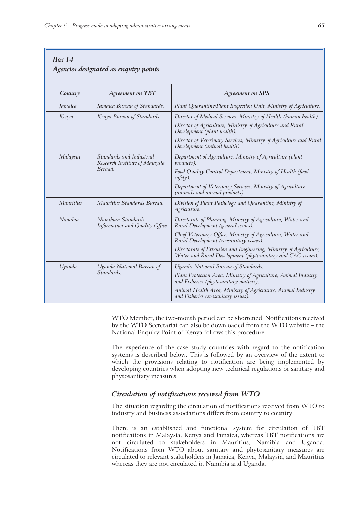| Country          | Agreement on TBT                                                      | <b>Agreement on SPS</b>                                                                                                           |
|------------------|-----------------------------------------------------------------------|-----------------------------------------------------------------------------------------------------------------------------------|
| Jamaica          | Jamaica Bureau of Standards.                                          | Plant Quarantine/Plant Inspection Unit, Ministry of Agriculture.                                                                  |
| Kenya            | Kenya Bureau of Standards.                                            | Director of Medical Services, Ministry of Health (human health).                                                                  |
|                  |                                                                       | Director of Agriculture, Ministry of Agriculture and Rural<br>Development (plant health).                                         |
|                  |                                                                       | Director of Veterinary Services, Ministry of Agriculture and Rural<br>Development (animal health).                                |
| Malaysia         | Standards and Industrial<br>Research Institute of Malaysia<br>Berhad. | Department of Agriculture, Ministry of Agriculture (plant<br><i>products</i> ).                                                   |
|                  |                                                                       | Food Quality Control Department, Ministry of Health (food<br>safety).                                                             |
|                  |                                                                       | Department of Veterinary Services, Ministry of Agriculture<br>(animals and animal products).                                      |
| <i>Mauritius</i> | Mauritius Standards Bureau.                                           | Division of Plant Pathology and Quarantine, Ministry of<br>Agriculture.                                                           |
| Namihia          | Namibian Standards<br>Information and Quality Office.                 | Directorate of Planning, Ministry of Agriculture, Water and<br>Rural Development (general issues).                                |
|                  |                                                                       | Chief Veterinary Office, Ministry of Agriculture, Water and<br>Rural Development (zoosanitary issues).                            |
|                  |                                                                       | Directorate of Extension and Engineering, Ministry of Agriculture,<br>Water and Rural Development (phytosanitary and CAC issues). |
| Uganda           | Uganda National Bureau of<br><i>Standards</i>                         | Uganda National Bureau of Standards.                                                                                              |
|                  |                                                                       | Plant Protection Area, Ministry of Agriculture, Animal Industry<br>and Fisheries (phytosanitary matters).                         |
|                  |                                                                       | Animal Health Area, Ministry of Agriculture, Animal Industry<br>and Fisheries (zoosanitary issues).                               |

### *Box 14 Agencies designated as enquiry points*

WTO Member, the two-month period can be shortened. Notifications received by the WTO Secretariat can also be downloaded from the WTO website – the National Enquiry Point of Kenya follows this procedure.

The experience of the case study countries with regard to the notification systems is described below. This is followed by an overview of the extent to which the provisions relating to notification are being implemented by developing countries when adopting new technical regulations or sanitary and phytosanitary measures.

#### *Circulation of notifications received from WTO*

The situation regarding the circulation of notifications received from WTO to industry and business associations differs from country to country.

There is an established and functional system for circulation of TBT notifications in Malaysia, Kenya and Jamaica, whereas TBT notifications are not circulated to stakeholders in Mauritius, Namibia and Uganda. Notifications from WTO about sanitary and phytosanitary measures are circulated to relevant stakeholders in Jamaica, Kenya, Malaysia, and Mauritius whereas they are not circulated in Namibia and Uganda.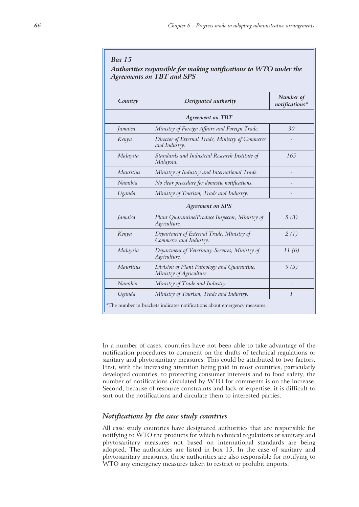#### *Box 15*

*Authorities responsible for making notifications to WTO under the Agreements on TBT and SPS*

| Country                 | Designated authority                                                    | Number of<br>notifications* |  |  |
|-------------------------|-------------------------------------------------------------------------|-----------------------------|--|--|
| <b>Agreement on TBT</b> |                                                                         |                             |  |  |
| Jamaica                 | Ministry of Foreign Affairs and Foreign Trade.                          | 30                          |  |  |
| Kenya                   | Director of External Trade, Ministry of Commerce<br>and Industry.       |                             |  |  |
| Malaysia                | Standards and Industrial Research Institute of<br>Malaysia.             | 165                         |  |  |
| <i>Mauritius</i>        | Ministry of Industry and International Trade.                           |                             |  |  |
| Namihia                 | No clear procedure for domestic notifications.                          |                             |  |  |
| Uganda                  | Ministry of Tourism, Trade and Industry.                                |                             |  |  |
|                         | <b>Agreement on SPS</b>                                                 |                             |  |  |
| <i>Iamaica</i>          | Plant Quarantine/Produce Inspector, Ministry of<br>Agriculture.         | 5(3)                        |  |  |
| Kenya                   | Department of External Trade, Ministry of<br>Commerce and Industry.     | 2(I)                        |  |  |
| Malaysia                | Department of Veterinary Services, Ministry of<br>Agriculture.          | 11(6)                       |  |  |
| <b>Mauritius</b>        | Division of Plant Pathology and Quarantine,<br>Ministry of Agriculture. | 9(5)                        |  |  |
| Namihia                 | Ministry of Trade and Industry.                                         |                             |  |  |
|                         |                                                                         |                             |  |  |

In a number of cases, countries have not been able to take advantage of the notification procedures to comment on the drafts of technical regulations or sanitary and phytosanitary measures. This could be attributed to two factors. First, with the increasing attention being paid in most countries, particularly developed countries, to protecting consumer interests and to food safety, the number of notifications circulated by WTO for comments is on the increase. Second, because of resource constraints and lack of expertise, it is difficult to sort out the notifications and circulate them to interested parties.

#### *Notifications by the case study countries*

All case study countries have designated authorities that are responsible for notifying to WTO the products for which technical regulations or sanitary and phytosanitary measures not based on international standards are being adopted. The authorities are listed in box 15. In the case of sanitary and phytosanitary measures, these authorities are also responsible for notifying to WTO any emergency measures taken to restrict or prohibit imports.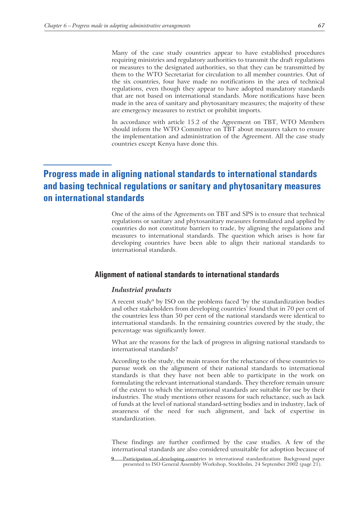Many of the case study countries appear to have established procedures requiring ministries and regulatory authorities to transmit the draft regulations or measures to the designated authorities, so that they can be transmitted by them to the WTO Secretariat for circulation to all member countries. Out of the six countries, four have made no notifications in the area of technical regulations, even though they appear to have adopted mandatory standards that are not based on international standards. More notifications have been made in the area of sanitary and phytosanitary measures; the majority of these are emergency measures to restrict or prohibit imports.

In accordance with article 15.2 of the Agreement on TBT, WTO Members should inform the WTO Committee on TBT about measures taken to ensure the implementation and administration of the Agreement. All the case study countries except Kenya have done this.

# **Progress made in aligning national standards to international standards and basing technical regulations or sanitary and phytosanitary measures on international standards**

One of the aims of the Agreements on TBT and SPS is to ensure that technical regulations or sanitary and phytosanitary measures formulated and applied by countries do not constitute barriers to trade, by aligning the regulations and measures to international standards. The question which arises is how far developing countries have been able to align their national standards to international standards.

#### **Alignment of national standards to international standards**

#### *Industrial products*

A recent study9 by ISO on the problems faced 'by the standardization bodies and other stakeholders from developing countries' found that in 70 per cent of the countries less than 50 per cent of the national standards were identical to international standards. In the remaining countries covered by the study, the percentage was significantly lower.

What are the reasons for the lack of progress in aligning national standards to international standards?

According to the study, the main reason for the reluctance of these countries to pursue work on the alignment of their national standards to international standards is that they have not been able to participate in the work on formulating the relevant international standards. They therefore remain unsure of the extent to which the international standards are suitable for use by their industries. The study mentions other reasons for such reluctance, such as lack of funds at the level of national standard-setting bodies and in industry, lack of awareness of the need for such alignment, and lack of expertise in standardization.

These findings are further confirmed by the case studies. A few of the international standards are also considered unsuitable for adoption because of

**<sup>9</sup>** Participation of developing countries in international standardization: Background paper presented to ISO General Assembly Workshop, Stockholm, 24 September 2002 (page 21).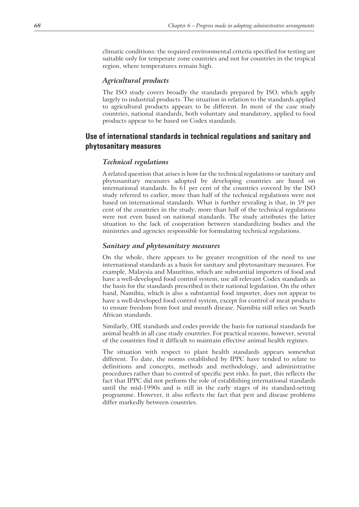climatic conditions: the required environmental criteria specified for testing are suitable only for temperate zone countries and not for countries in the tropical region, where temperatures remain high.

#### *Agricultural products*

The ISO study covers broadly the standards prepared by ISO, which apply largely to industrial products. The situation in relation to the standards applied to agricultural products appears to be different. In most of the case study countries, national standards, both voluntary and mandatory, applied to food products appear to be based on Codex standards.

### **Use of international standards in technical regulations and sanitary and phytosanitary measures**

#### *Technical regulations*

A related question that arises is how far the technical regulations or sanitary and phytosanitary measures adopted by developing countries are based on international standards. In 61 per cent of the countries covered by the ISO study referred to earlier, more than half of the technical regulations were not based on international standards. What is further revealing is that, in 59 per cent of the countries in the study, more than half of the technical regulations were not even based on national standards. The study attributes the latter situation to the lack of cooperation between standardizing bodies and the ministries and agencies responsible for formulating technical regulations.

#### *Sanitary and phytosanitary measures*

On the whole, there appears to be greater recognition of the need to use international standards as a basis for sanitary and phytosanitary measures. For example, Malaysia and Mauritius, which are substantial importers of food and have a well-developed food control system, use all relevant Codex standards as the basis for the standards prescribed in their national legislation. On the other hand, Namibia, which is also a substantial food importer, does not appear to have a well-developed food control system, except for control of meat products to ensure freedom from foot and mouth disease. Namibia still relies on South African standards.

Similarly, OIE standards and codes provide the basis for national standards for animal health in all case study countries. For practical reasons, however, several of the countries find it difficult to maintain effective animal health regimes.

The situation with respect to plant health standards appears somewhat different. To date, the norms established by IPPC have tended to relate to definitions and concepts, methods and methodology, and administrative procedures rather than to control of specific pest risks. In part, this reflects the fact that IPPC did not perform the role of establishing international standards until the mid-1990s and is still in the early stages of its standard-setting programme. However, it also reflects the fact that pest and disease problems differ markedly between countries.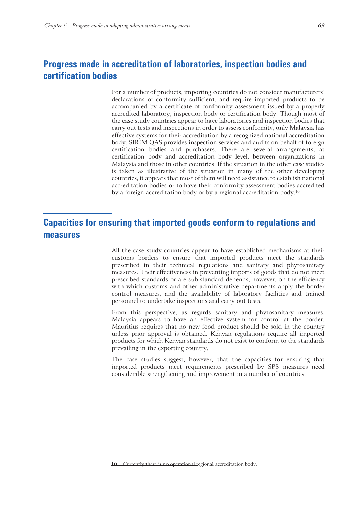## **Progress made in accreditation of laboratories, inspection bodies and certification bodies**

For a number of products, importing countries do not consider manufacturers' declarations of conformity sufficient, and require imported products to be accompanied by a certificate of conformity assessment issued by a properly accredited laboratory, inspection body or certification body. Though most of the case study countries appear to have laboratories and inspection bodies that carry out tests and inspections in order to assess conformity, only Malaysia has effective systems for their accreditation by a recognized national accreditation body: SIRIM QAS provides inspection services and audits on behalf of foreign certification bodies and purchasers. There are several arrangements, at certification body and accreditation body level, between organizations in Malaysia and those in other countries. If the situation in the other case studies is taken as illustrative of the situation in many of the other developing countries, it appears that most of them will need assistance to establish national accreditation bodies or to have their conformity assessment bodies accredited by a foreign accreditation body or by a regional accreditation body.10

## **Capacities for ensuring that imported goods conform to regulations and measures**

All the case study countries appear to have established mechanisms at their customs borders to ensure that imported products meet the standards prescribed in their technical regulations and sanitary and phytosanitary measures. Their effectiveness in preventing imports of goods that do not meet prescribed standards or are sub-standard depends, however, on the efficiency with which customs and other administrative departments apply the border control measures, and the availability of laboratory facilities and trained personnel to undertake inspections and carry out tests.

From this perspective, as regards sanitary and phytosanitary measures, Malaysia appears to have an effective system for control at the border. Mauritius requires that no new food product should be sold in the country unless prior approval is obtained. Kenyan regulations require all imported products for which Kenyan standards do not exist to conform to the standards prevailing in the exporting country.

The case studies suggest, however, that the capacities for ensuring that imported products meet requirements prescribed by SPS measures need considerable strengthening and improvement in a number of countries.

**10** Currently there is no operational regional accreditation body.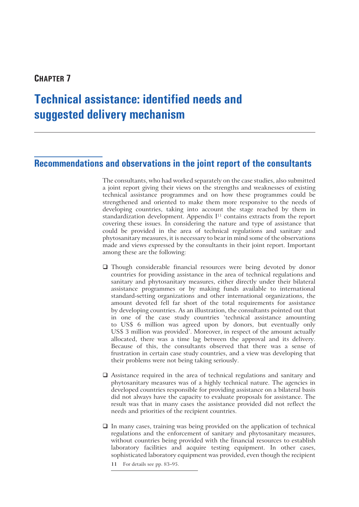### **CHAPTER 7**

# **Technical assistance: identified needs and suggested delivery mechanism**

### **Recommendations and observations in the joint report of the consultants**

The consultants, who had worked separately on the case studies, also submitted a joint report giving their views on the strengths and weaknesses of existing technical assistance programmes and on how these programmes could be strengthened and oriented to make them more responsive to the needs of developing countries, taking into account the stage reached by them in standardization development. Appendix I<sup>11</sup> contains extracts from the report covering these issues. In considering the nature and type of assistance that could be provided in the area of technical regulations and sanitary and phytosanitary measures, it is necessary to bear in mind some of the observations made and views expressed by the consultants in their joint report. Important among these are the following:

- Though considerable financial resources were being devoted by donor countries for providing assistance in the area of technical regulations and sanitary and phytosanitary measures, either directly under their bilateral assistance programmes or by making funds available to international standard-setting organizations and other international organizations, the amount devoted fell far short of the total requirements for assistance by developing countries. As an illustration, the consultants pointed out that in one of the case study countries 'technical assistance amounting to US\$ 6 million was agreed upon by donors, but eventually only US\$ 3 million was provided'. Moreover, in respect of the amount actually allocated, there was a time lag between the approval and its delivery. Because of this, the consultants observed that there was a sense of frustration in certain case study countries, and a view was developing that their problems were not being taking seriously.
- Assistance required in the area of technical regulations and sanitary and phytosanitary measures was of a highly technical nature. The agencies in developed countries responsible for providing assistance on a bilateral basis did not always have the capacity to evaluate proposals for assistance. The result was that in many cases the assistance provided did not reflect the needs and priorities of the recipient countries.
- $\Box$  In many cases, training was being provided on the application of technical regulations and the enforcement of sanitary and phytosanitary measures, without countries being provided with the financial resources to establish laboratory facilities and acquire testing equipment. In other cases, sophisticated laboratory equipment was provided, even though the recipient
	- **11** For details see pp. 83–95.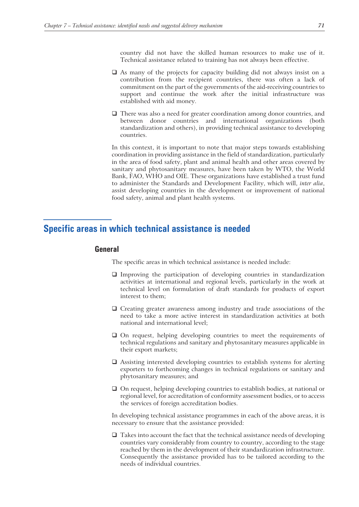country did not have the skilled human resources to make use of it. Technical assistance related to training has not always been effective.

- As many of the projects for capacity building did not always insist on a contribution from the recipient countries, there was often a lack of commitment on the part of the governments of the aid-receiving countries to support and continue the work after the initial infrastructure was established with aid money.
- □ There was also a need for greater coordination among donor countries, and between donor countries and international organizations (both standardization and others), in providing technical assistance to developing countries.

In this context, it is important to note that major steps towards establishing coordination in providing assistance in the field of standardization, particularly in the area of food safety, plant and animal health and other areas covered by sanitary and phytosanitary measures, have been taken by WTO, the World Bank, FAO, WHO and OIE. These organizations have established a trust fund to administer the Standards and Development Facility, which will, *inter alia*, assist developing countries in the development or improvement of national food safety, animal and plant health systems.

# **Specific areas in which technical assistance is needed**

#### **General**

The specific areas in which technical assistance is needed include:

- $\Box$  Improving the participation of developing countries in standardization activities at international and regional levels, particularly in the work at technical level on formulation of draft standards for products of export interest to them;
- Creating greater awareness among industry and trade associations of the need to take a more active interest in standardization activities at both national and international level;
- On request, helping developing countries to meet the requirements of technical regulations and sanitary and phytosanitary measures applicable in their export markets;
- Assisting interested developing countries to establish systems for alerting exporters to forthcoming changes in technical regulations or sanitary and phytosanitary measures; and
- On request, helping developing countries to establish bodies, at national or regional level, for accreditation of conformity assessment bodies, or to access the services of foreign accreditation bodies.

In developing technical assistance programmes in each of the above areas, it is necessary to ensure that the assistance provided:

 $\Box$  Takes into account the fact that the technical assistance needs of developing countries vary considerably from country to country, according to the stage reached by them in the development of their standardization infrastructure. Consequently the assistance provided has to be tailored according to the needs of individual countries.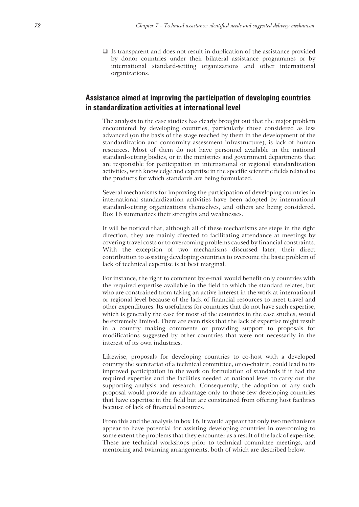$\Box$  Is transparent and does not result in duplication of the assistance provided by donor countries under their bilateral assistance programmes or by international standard-setting organizations and other international organizations.

### **Assistance aimed at improving the participation of developing countries in standardization activities at international level**

The analysis in the case studies has clearly brought out that the major problem encountered by developing countries, particularly those considered as less advanced (on the basis of the stage reached by them in the development of the standardization and conformity assessment infrastructure), is lack of human resources. Most of them do not have personnel available in the national standard-setting bodies, or in the ministries and government departments that are responsible for participation in international or regional standardization activities, with knowledge and expertise in the specific scientific fields related to the products for which standards are being formulated.

Several mechanisms for improving the participation of developing countries in international standardization activities have been adopted by international standard-setting organizations themselves, and others are being considered. Box 16 summarizes their strengths and weaknesses.

It will be noticed that, although all of these mechanisms are steps in the right direction, they are mainly directed to facilitating attendance at meetings by covering travel costs or to overcoming problems caused by financial constraints. With the exception of two mechanisms discussed later, their direct contribution to assisting developing countries to overcome the basic problem of lack of technical expertise is at best marginal.

For instance, the right to comment by e-mail would benefit only countries with the required expertise available in the field to which the standard relates, but who are constrained from taking an active interest in the work at international or regional level because of the lack of financial resources to meet travel and other expenditures. Its usefulness for countries that do not have such expertise, which is generally the case for most of the countries in the case studies, would be extremely limited. There are even risks that the lack of expertise might result in a country making comments or providing support to proposals for modifications suggested by other countries that were not necessarily in the interest of its own industries.

Likewise, proposals for developing countries to co-host with a developed country the secretariat of a technical committee, or co-chair it, could lead to its improved participation in the work on formulation of standards if it had the required expertise and the facilities needed at national level to carry out the supporting analysis and research. Consequently, the adoption of any such proposal would provide an advantage only to those few developing countries that have expertise in the field but are constrained from offering host facilities because of lack of financial resources.

From this and the analysis in box 16, it would appear that only two mechanisms appear to have potential for assisting developing countries in overcoming to some extent the problems that they encounter as a result of the lack of expertise. These are technical workshops prior to technical committee meetings, and mentoring and twinning arrangements, both of which are described below.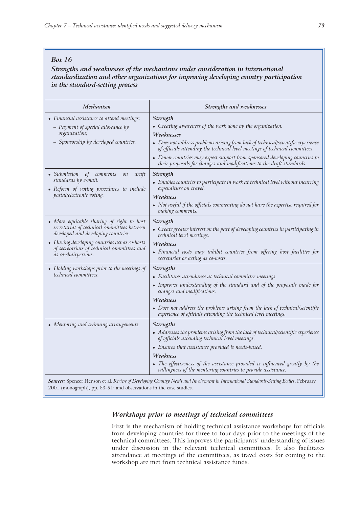#### *Box 16*

#### *Strengths and weaknesses of the mechanisms under consideration in international standardization and other organizations for improving developing country participation in the standard-setting process*

| Mechanism                                                                                                                                                                                                                                              | Strengths and weaknesses                                                                                                                                                                                                                                                                                                                                                                                                                                                                                             |
|--------------------------------------------------------------------------------------------------------------------------------------------------------------------------------------------------------------------------------------------------------|----------------------------------------------------------------------------------------------------------------------------------------------------------------------------------------------------------------------------------------------------------------------------------------------------------------------------------------------------------------------------------------------------------------------------------------------------------------------------------------------------------------------|
| • Financial assistance to attend meetings:<br>- Payment of special allowance by<br>organization;<br>- Sponsorship by developed countries.                                                                                                              | Strength<br>• Creating awareness of the work done by the organization.<br>Weaknesses<br>• Does not address problems arising from lack of technical/scientific experience<br>of officials attending the technical level meetings of technical committees.<br>• Donor countries may expect support from sponsored developing countries to<br>their proposals for changes and modifications to the draft standards.                                                                                                     |
| • Submission of comments<br>draft<br>on<br>standards by e-mail.<br>• Reform of voting procedures to include<br>postal/electronic voting.                                                                                                               | Strength<br>• Enables countries to participate in work at technical level without incurring<br>expenditure on travel.<br>Weakness<br>• Not useful if the officials commenting do not have the expertise required for<br>making comments.                                                                                                                                                                                                                                                                             |
| • More equitable sharing of right to host<br>secretariat of technical committees between<br>developed and developing countries.<br>• Having developing countries act as co-hosts<br>of secretariats of technical committees and<br>as co-chairpersons. | <b>Strength</b><br>• Create greater interest on the part of developing countries in participating in<br>technical level meetings.<br>Weakness<br>• Financial costs may inhibit countries from offering host facilities for<br>secretariat or acting as co-hosts.                                                                                                                                                                                                                                                     |
| • Holding workshops prior to the meetings of<br>technical committees.                                                                                                                                                                                  | <b>Strengths</b><br>• Facilitates attendance at technical committee meetings.<br>• Improves understanding of the standard and of the proposals made for<br>changes and modifications.<br><b>Weakness</b><br>• Does not address the problems arising from the lack of technical/scientific<br>experience of officials attending the technical level meetings.                                                                                                                                                         |
| • Mentoring and twinning arrangements.                                                                                                                                                                                                                 | <b>Strengths</b><br>• Addresses the problems arising from the lack of technical/scientific experience<br>of officials attending technical level meetings.<br>• Ensures that assistance provided is needs-based.<br>Weakness<br>• The effectiveness of the assistance provided is influenced greatly by the<br>willingness of the mentoring countries to provide assistance.<br>Sources: Spencer Henson et al, Review of Developing Country Needs and Involvement in International Standards-Setting Bodies, February |

#### *Workshops prior to meetings of technical committees*

First is the mechanism of holding technical assistance workshops for officials from developing countries for three to four days prior to the meetings of the technical committees. This improves the participants' understanding of issues under discussion in the relevant technical committees. It also facilitates attendance at meetings of the committees, as travel costs for coming to the workshop are met from technical assistance funds.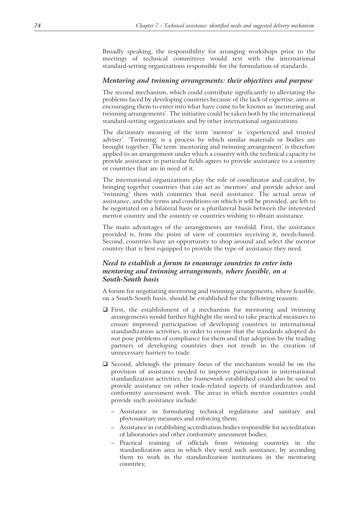Broadly speaking, the responsibility for arranging workshops prior to the meetings of technical committees would rest with the international standard-setting organizations responsible for the formulation of standards.

#### *Mentoring and twinning arrangements: their objectives and purpose*

The second mechanism, which could contribute significantly to alleviating the problems faced by developing countries because of the lack of expertise, aims at encouraging them to enter into what have come to be known as 'mentoring and twinning arrangements'. The initiative could be taken both by the international standard-setting organizations and by other international organizations.

The dictionary meaning of the term 'mentor' is 'experienced and trusted adviser'. 'Twinning' is a process by which similar materials or bodies are brought together. The term 'mentoring and twinning arrangement' is therefore applied to an arrangement under which a country with the technical capacity to provide assistance in particular fields agrees to provide assistance to a country or countries that are in need of it.

The international organizations play the role of coordinator and catalyst, by bringing together countries that can act as 'mentors' and provide advice and 'twinning' them with countries that need assistance. The actual areas of assistance, and the terms and conditions on which it will be provided, are left to be negotiated on a bilateral basis or a plurilateral basis between the interested mentor country and the country or countries wishing to obtain assistance.

The main advantages of the arrangements are twofold. First, the assistance provided is, from the point of view of countries receiving it, needs-based. Second, countries have an opportunity to shop around and select the mentor country that is best equipped to provide the type of assistance they need.

#### *Need to establish a forum to encourage countries to enter into mentoring and twinning arrangements, where feasible, on a South-South basis*

A forum for negotiating mentoring and twinning arrangements, where feasible, on a South-South basis, should be established for the following reasons:

- $\Box$  First, the establishment of a mechanism for mentoring and twinning arrangements would further highlight the need to take practical measures to ensure improved participation of developing countries in international standardization activities, in order to ensure that the standards adopted do not pose problems of compliance for them and that adoption by the trading partners of developing countries does not result in the creation of unnecessary barriers to trade.
- $\Box$  Second, although the primary focus of the mechanism would be on the provision of assistance needed to improve participation in international standardization activities, the framework established could also be used to provide assistance on other trade-related aspects of standardization and conformity assessment work. The areas in which mentor countries could provide such assistance include:
	- Assistance in formulating technical regulations and sanitary and phytosanitary measures and enforcing them;
	- Assistance in establishing accreditation bodies responsible for accreditation of laboratories and other conformity assessment bodies;
	- Practical training of officials from twinning countries in the standardization area in which they need such assistance, by seconding them to work in the standardization institutions in the mentoring countries;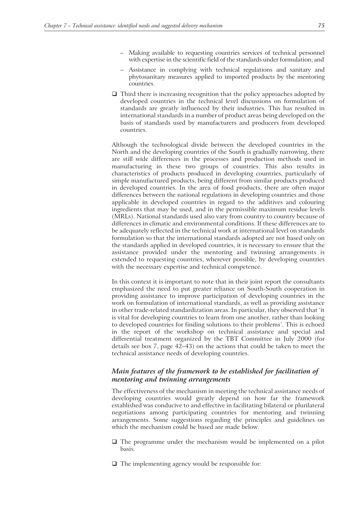- 
- Making available to requesting countries services of technical personnel with expertise in the scientific field of the standards under formulation; and
- Assistance in complying with technical regulations and sanitary and phytosanitary measures applied to imported products by the mentoring countries.
- $\Box$  Third there is increasing recognition that the policy approaches adopted by developed countries in the technical level discussions on formulation of standards are greatly influenced by their industries. This has resulted in international standards in a number of product areas being developed on the basis of standards used by manufacturers and producers from developed countries.

Although the technological divide between the developed countries in the North and the developing countries of the South is gradually narrowing, there are still wide differences in the processes and production methods used in manufacturing in these two groups of countries. This also results in characteristics of products produced in developing countries, particularly of simple manufactured products, being different from similar products produced in developed countries. In the area of food products, there are often major differences between the national regulations in developing countries and those applicable in developed countries in regard to the additives and colouring ingredients that may be used, and in the permissible maximum residue levels (MRLs). National standards used also vary from country to country because of differences in climatic and environmental conditions. If these differences are to be adequately reflected in the technical work at international level on standards formulation so that the international standards adopted are not based only on the standards applied in developed countries, it is necessary to ensure that the assistance provided under the mentoring and twinning arrangements is extended to requesting countries, wherever possible, by developing countries with the necessary expertise and technical competence.

In this context it is important to note that in their joint report the consultants emphasized the need to put greater reliance on South-South cooperation in providing assistance to improve participation of developing countries in the work on formulation of international standards, as well as providing assistance in other trade-related standardization areas. In particular, they observed that 'it is vital for developing countries to learn from one another, rather than looking to developed countries for finding solutions to their problems'. This is echoed in the report of the workshop on technical assistance and special and differential treatment organized by the TBT Committee in July 2000 (for details see box 7, page 42–43) on the actions that could be taken to meet the technical assistance needs of developing countries.

#### *Main features of the framework to be established for facilitation of mentoring and twinning arrangements*

The effectiveness of the mechanism in meeting the technical assistance needs of developing countries would greatly depend on how far the framework established was conducive to and effective in facilitating bilateral or plurilateral negotiations among participating countries for mentoring and twinning arrangements. Some suggestions regarding the principles and guidelines on which the mechanism could be based are made below.

- The programme under the mechanism would be implemented on a pilot basis.
- $\Box$  The implementing agency would be responsible for: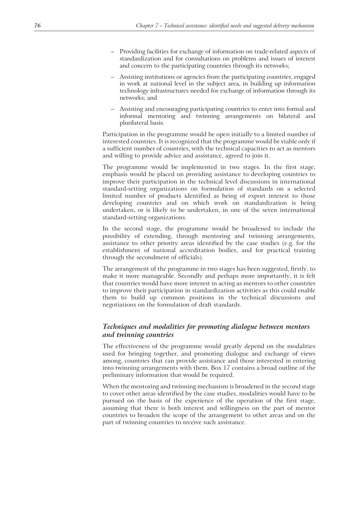- Providing facilities for exchange of information on trade-related aspects of standardization and for consultations on problems and issues of interest and concern to the participating countries through its networks;
- Assisting institutions or agencies from the participating countries, engaged in work at national level in the subject area, in building up information technology infrastructures needed for exchange of information through its networks; and
- Assisting and encouraging participating countries to enter into formal and informal mentoring and twinning arrangements on bilateral and plurilateral basis.

Participation in the programme would be open initially to a limited number of interested countries. It is recognized that the programme would be viable only if a sufficient number of countries, with the technical capacities to act as mentors and willing to provide advice and assistance, agreed to join it.

The programme would be implemented in two stages. In the first stage, emphasis would be placed on providing assistance to developing countries to improve their participation in the technical level discussions in international standard-setting organizations on formulation of standards on a selected limited number of products identified as being of export interest to those developing countries and on which work on standardization is being undertaken, or is likely to be undertaken, in one of the seven international standard-setting organizations.

In the second stage, the programme would be broadened to include the possibility of extending, through mentoring and twinning arrangements, assistance to other priority areas identified by the case studies (e.g. for the establishment of national accreditation bodies, and for practical training through the secondment of officials).

The arrangement of the programme in two stages has been suggested, firstly, to make it more manageable. Secondly and perhaps more importantly, it is felt that countries would have more interest in acting as mentors to other countries to improve their participation in standardization activities as this could enable them to build up common positions in the technical discussions and negotiations on the formulation of draft standards.

#### *Techniques and modalities for promoting dialogue between mentors and twinning countries*

The effectiveness of the programme would greatly depend on the modalities used for bringing together, and promoting dialogue and exchange of views among, countries that can provide assistance and those interested in entering into twinning arrangements with them. Box 17 contains a broad outline of the preliminary information that would be required.

When the mentoring and twinning mechanism is broadened in the second stage to cover other areas identified by the case studies, modalities would have to be pursued on the basis of the experience of the operation of the first stage, assuming that there is both interest and willingness on the part of mentor countries to broaden the scope of the arrangement to other areas and on the part of twinning countries to receive such assistance.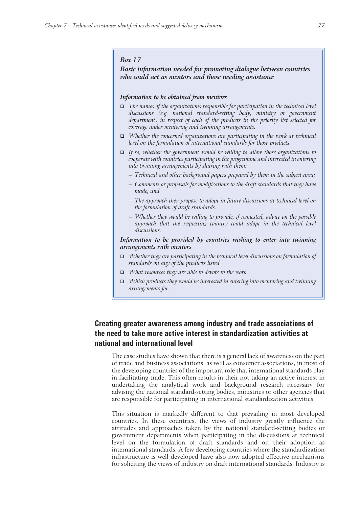#### *Box 17*

#### *Basic information needed for promoting dialogue between countries who could act as mentors and those needing assistance*

#### *Information to be obtained from mentors*

- *The names of the organizations responsible for participation in the technical level discussions (e.g. national standard-setting body, ministry or government department) in respect of each of the products in the priority list selected for coverage under mentoring and twinning arrangements.*
- *Whether the concerned organizations are participating in the work at technical level on the formulation of international standards for those products.*
- *If so, whether the government would be willing to allow those organizations to cooperate with countries participating in the programme and interested in entering into twinning arrangements by sharing with them:*
	- *Technical and other background papers prepared by them in the subject area;*
	- *Comments or proposals for modifications to the draft standards that they have made; and*
	- *The approach they propose to adopt in future discussions at technical level on the formulation of draft standards.*
	- *Whether they would be willing to provide, if requested, advice on the possible approach that the requesting country could adopt in the technical level discussions.*

*Information to be provided by countries wishing to enter into twinning arrangements with mentors*

- *Whether they are participating in the technical level discussions on formulation of standards on any of the products listed.*
- *What resources they are able to devote to the work.*
- *Which products they would be interested in entering into mentoring and twinning arrangements for.*

### **Creating greater awareness among industry and trade associations of the need to take more active interest in standardization activities at national and international level**

The case studies have shown that there is a general lack of awareness on the part of trade and business associations, as well as consumer associations, in most of the developing countries of the important role that international standards play in facilitating trade. This often results in their not taking an active interest in undertaking the analytical work and background research necessary for advising the national standard-setting bodies, ministries or other agencies that are responsible for participating in international standardization activities.

This situation is markedly different to that prevailing in most developed countries. In these countries, the views of industry greatly influence the attitudes and approaches taken by the national standard-setting bodies or government departments when participating in the discussions at technical level on the formulation of draft standards and on their adoption as international standards. A few developing countries where the standardization infrastructure is well developed have also now adopted effective mechanisms for soliciting the views of industry on draft international standards. Industry is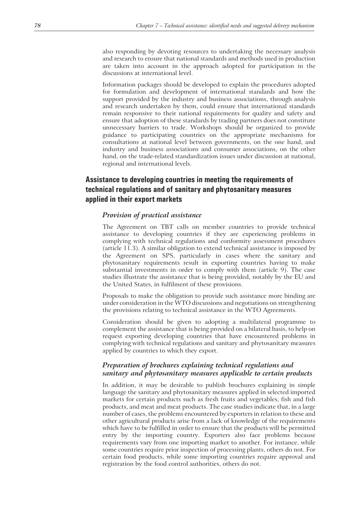also responding by devoting resources to undertaking the necessary analysis and research to ensure that national standards and methods used in production are taken into account in the approach adopted for participation in the discussions at international level.

Information packages should be developed to explain the procedures adopted for formulation and development of international standards and how the support provided by the industry and business associations, through analysis and research undertaken by them, could ensure that international standards remain responsive to their national requirements for quality and safety and ensure that adoption of these standards by trading partners does not constitute unnecessary barriers to trade. Workshops should be organized to provide guidance to participating countries on the appropriate mechanisms for consultations at national level between governments, on the one hand, and industry and business associations and consumer associations, on the other hand, on the trade-related standardization issues under discussion at national, regional and international levels.

### **Assistance to developing countries in meeting the requirements of technical regulations and of sanitary and phytosanitary measures applied in their export markets**

#### *Provision of practical assistance*

The Agreement on TBT calls on member countries to provide technical assistance to developing countries if they are experiencing problems in complying with technical regulations and conformity assessment procedures (article 11.3). A similar obligation to extend technical assistance is imposed by the Agreement on SPS, particularly in cases where the sanitary and phytosanitary requirements result in exporting countries having to make substantial investments in order to comply with them (article 9). The case studies illustrate the assistance that is being provided, notably by the EU and the United States, in fulfilment of these provisions.

Proposals to make the obligation to provide such assistance more binding are under consideration in the WTO discussions and negotiations on strengthening the provisions relating to technical assistance in the WTO Agreements.

Consideration should be given to adopting a multilateral programme to complement the assistance that is being provided on a bilateral basis, to help on request exporting developing countries that have encountered problems in complying with technical regulations and sanitary and phytosanitary measures applied by countries to which they export.

#### *Preparation of brochures explaining technical regulations and sanitary and phytosanitary measures applicable to certain products*

In addition, it may be desirable to publish brochures explaining in simple language the sanitary and phytosanitary measures applied in selected imported markets for certain products such as fresh fruits and vegetables, fish and fish products, and meat and meat products. The case studies indicate that, in a large number of cases, the problems encountered by exporters in relation to these and other agricultural products arise from a lack of knowledge of the requirements which have to be fulfilled in order to ensure that the products will be permitted entry by the importing country. Exporters also face problems because requirements vary from one importing market to another. For instance, while some countries require prior inspection of processing plants, others do not. For certain food products, while some importing countries require approval and registration by the food control authorities, others do not.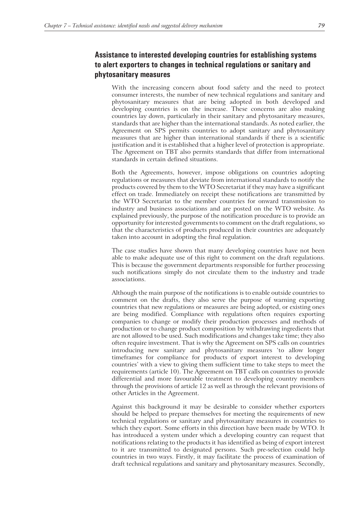### **Assistance to interested developing countries for establishing systems to alert exporters to changes in technical regulations or sanitary and phytosanitary measures**

With the increasing concern about food safety and the need to protect consumer interests, the number of new technical regulations and sanitary and phytosanitary measures that are being adopted in both developed and developing countries is on the increase. These concerns are also making countries lay down, particularly in their sanitary and phytosanitary measures, standards that are higher than the international standards. As noted earlier, the Agreement on SPS permits countries to adopt sanitary and phytosanitary measures that are higher than international standards if there is a scientific justification and it is established that a higher level of protection is appropriate. The Agreement on TBT also permits standards that differ from international standards in certain defined situations.

Both the Agreements, however, impose obligations on countries adopting regulations or measures that deviate from international standards to notify the products covered by them to the WTO Secretariat if they may have a significant effect on trade. Immediately on receipt these notifications are transmitted by the WTO Secretariat to the member countries for onward transmission to industry and business associations and are posted on the WTO website. As explained previously, the purpose of the notification procedure is to provide an opportunity for interested governments to comment on the draft regulations, so that the characteristics of products produced in their countries are adequately taken into account in adopting the final regulation.

The case studies have shown that many developing countries have not been able to make adequate use of this right to comment on the draft regulations. This is because the government departments responsible for further processing such notifications simply do not circulate them to the industry and trade associations.

Although the main purpose of the notifications is to enable outside countries to comment on the drafts, they also serve the purpose of warning exporting countries that new regulations or measures are being adopted, or existing ones are being modified. Compliance with regulations often requires exporting companies to change or modify their production processes and methods of production or to change product composition by withdrawing ingredients that are not allowed to be used. Such modifications and changes take time; they also often require investment. That is why the Agreement on SPS calls on countries introducing new sanitary and phytosanitary measures 'to allow longer timeframes for compliance for products of export interest to developing countries' with a view to giving them sufficient time to take steps to meet the requirements (article 10). The Agreement on TBT calls on countries to provide differential and more favourable treatment to developing country members through the provisions of article 12 as well as through the relevant provisions of other Articles in the Agreement.

Against this background it may be desirable to consider whether exporters should be helped to prepare themselves for meeting the requirements of new technical regulations or sanitary and phytosanitary measures in countries to which they export. Some efforts in this direction have been made by WTO. It has introduced a system under which a developing country can request that notifications relating to the products it has identified as being of export interest to it are transmitted to designated persons. Such pre-selection could help countries in two ways. Firstly, it may facilitate the process of examination of draft technical regulations and sanitary and phytosanitary measures. Secondly,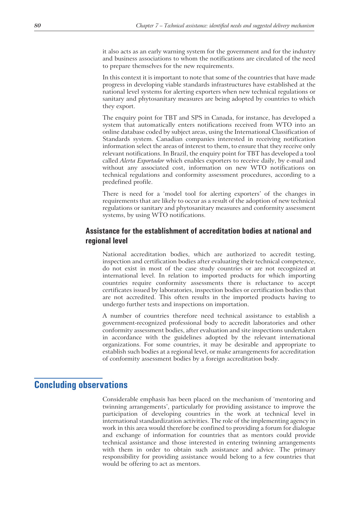it also acts as an early warning system for the government and for the industry and business associations to whom the notifications are circulated of the need to prepare themselves for the new requirements.

In this context it is important to note that some of the countries that have made progress in developing viable standards infrastructures have established at the national level systems for alerting exporters when new technical regulations or sanitary and phytosanitary measures are being adopted by countries to which they export.

The enquiry point for TBT and SPS in Canada, for instance, has developed a system that automatically enters notifications received from WTO into an online database coded by subject areas, using the International Classification of Standards system. Canadian companies interested in receiving notification information select the areas of interest to them, to ensure that they receive only relevant notifications. In Brazil, the enquiry point for TBT has developed a tool called *Alerta Exportador* which enables exporters to receive daily, by e-mail and without any associated cost, information on new WTO notifications on technical regulations and conformity assessment procedures, according to a predefined profile.

There is need for a 'model tool for alerting exporters' of the changes in requirements that are likely to occur as a result of the adoption of new technical regulations or sanitary and phytosanitary measures and conformity assessment systems, by using WTO notifications.

### **Assistance for the establishment of accreditation bodies at national and regional level**

National accreditation bodies, which are authorized to accredit testing, inspection and certification bodies after evaluating their technical competence, do not exist in most of the case study countries or are not recognized at international level. In relation to imported products for which importing countries require conformity assessments there is reluctance to accept certificates issued by laboratories, inspection bodies or certification bodies that are not accredited. This often results in the imported products having to undergo further tests and inspections on importation.

A number of countries therefore need technical assistance to establish a government-recognized professional body to accredit laboratories and other conformity assessment bodies, after evaluation and site inspections undertaken in accordance with the guidelines adopted by the relevant international organizations. For some countries, it may be desirable and appropriate to establish such bodies at a regional level, or make arrangements for accreditation of conformity assessment bodies by a foreign accreditation body.

### **Concluding observations**

Considerable emphasis has been placed on the mechanism of 'mentoring and twinning arrangements', particularly for providing assistance to improve the participation of developing countries in the work at technical level in international standardization activities. The role of the implementing agency in work in this area would therefore be confined to providing a forum for dialogue and exchange of information for countries that as mentors could provide technical assistance and those interested in entering twinning arrangements with them in order to obtain such assistance and advice. The primary responsibility for providing assistance would belong to a few countries that would be offering to act as mentors.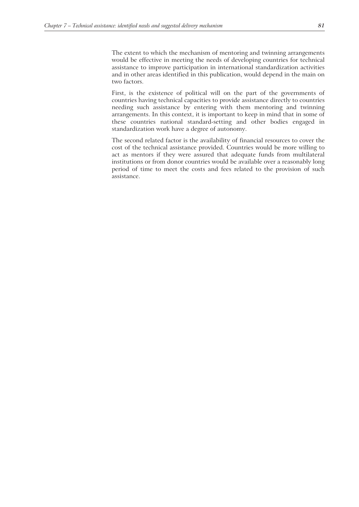The extent to which the mechanism of mentoring and twinning arrangements would be effective in meeting the needs of developing countries for technical assistance to improve participation in international standardization activities and in other areas identified in this publication, would depend in the main on two factors.

First, is the existence of political will on the part of the governments of countries having technical capacities to provide assistance directly to countries needing such assistance by entering with them mentoring and twinning arrangements. In this context, it is important to keep in mind that in some of these countries national standard-setting and other bodies engaged in standardization work have a degree of autonomy.

The second related factor is the availability of financial resources to cover the cost of the technical assistance provided. Countries would be more willing to act as mentors if they were assured that adequate funds from multilateral institutions or from donor countries would be available over a reasonably long period of time to meet the costs and fees related to the provision of such assistance.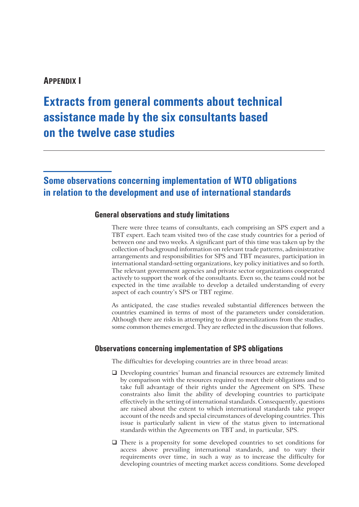### **APPENDIX I**

# **Extracts from general comments about technical assistance made by the six consultants based on the twelve case studies**

**Some observations concerning implementation of WTO obligations in relation to the development and use of international standards**

### **General observations and study limitations**

There were three teams of consultants, each comprising an SPS expert and a TBT expert. Each team visited two of the case study countries for a period of between one and two weeks. A significant part of this time was taken up by the collection of background information on relevant trade patterns, administrative arrangements and responsibilities for SPS and TBT measures, participation in international standard-setting organizations, key policy initiatives and so forth. The relevant government agencies and private sector organizations cooperated actively to support the work of the consultants. Even so, the teams could not be expected in the time available to develop a detailed understanding of every aspect of each country's SPS or TBT regime.

As anticipated, the case studies revealed substantial differences between the countries examined in terms of most of the parameters under consideration. Although there are risks in attempting to draw generalizations from the studies, some common themes emerged. They are reflected in the discussion that follows.

#### **Observations concerning implementation of SPS obligations**

The difficulties for developing countries are in three broad areas:

- Developing countries' human and financial resources are extremely limited by comparison with the resources required to meet their obligations and to take full advantage of their rights under the Agreement on SPS. These constraints also limit the ability of developing countries to participate effectively in the setting of international standards. Consequently, questions are raised about the extent to which international standards take proper account of the needs and special circumstances of developing countries. This issue is particularly salient in view of the status given to international standards within the Agreements on TBT and, in particular, SPS.
- There is a propensity for some developed countries to set conditions for access above prevailing international standards, and to vary their requirements over time, in such a way as to increase the difficulty for developing countries of meeting market access conditions. Some developed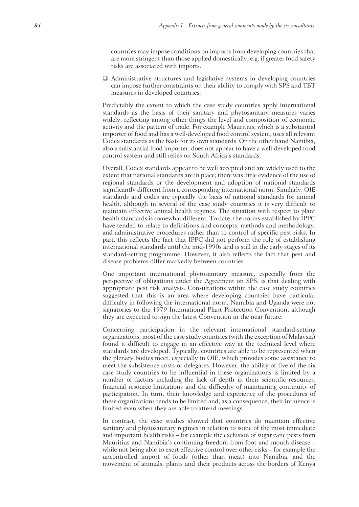countries may impose conditions on imports from developing countries that are more stringent than those applied domestically, e.g. if greater food safety risks are associated with imports.

 $\Box$  Administrative structures and legislative systems in developing countries can impose further constraints on their ability to comply with SPS and TBT measures in developed countries.

Predictably the extent to which the case study countries apply international standards as the basis of their sanitary and phytosanitary measures varies widely, reflecting among other things the level and composition of economic activity and the pattern of trade. For example Mauritius, which is a substantial importer of food and has a well-developed food control system, uses all relevant Codex standards as the basis for its own standards. On the other hand Namibia, also a substantial food importer, does not appear to have a well-developed food control system and still relies on South Africa's standards.

Overall, Codex standards appear to be well accepted and are widely used to the extent that national standards are in place; there was little evidence of the use of regional standards or the development and adoption of national standards significantly different from a corresponding international norm. Similarly, OIE standards and codes are typically the basis of national standards for animal health, although in several of the case study countries it is very difficult to maintain effective animal health regimes. The situation with respect to plant health standards is somewhat different. To date, the norms established by IPPC have tended to relate to definitions and concepts, methods and methodology, and administrative procedures rather than to control of specific pest risks. In part, this reflects the fact that IPPC did not perform the role of establishing international standards until the mid-1990s and is still in the early stages of its standard-setting programme. However, it also reflects the fact that pest and disease problems differ markedly between countries.

One important international phytosanitary measure, especially from the perspective of obligations under the Agreement on SPS, is that dealing with appropriate pest risk analysis. Consultations within the case study countries suggested that this is an area where developing countries have particular difficulty in following the international norm. Namibia and Uganda were not signatories to the 1979 International Plant Protection Convention, although they are expected to sign the latest Convention in the near future.

Concerning participation in the relevant international standard-setting organizations, most of the case study countries (with the exception of Malaysia) found it difficult to engage in an effective way at the technical level where standards are developed. Typically, countries are able to be represented when the plenary bodies meet, especially in OIE, which provides some assistance to meet the subsistence costs of delegates. However, the ability of five of the six case study countries to be influential in these organizations is limited by a number of factors including the lack of depth in their scientific resources, financial resource limitations and the difficulty of maintaining continuity of participation. In turn, their knowledge and experience of the procedures of these organizations tends to be limited and, as a consequence, their influence is limited even when they are able to attend meetings.

In contrast, the case studies showed that countries do maintain effective sanitary and phytosanitary regimes in relation to some of the most immediate and important health risks – for example the exclusion of sugar cane pests from Mauritius and Namibia's continuing freedom from foot and mouth disease – while not being able to exert effective control over other risks – for example the uncontrolled import of foods (other than meat) into Namibia, and the movement of animals, plants and their products across the borders of Kenya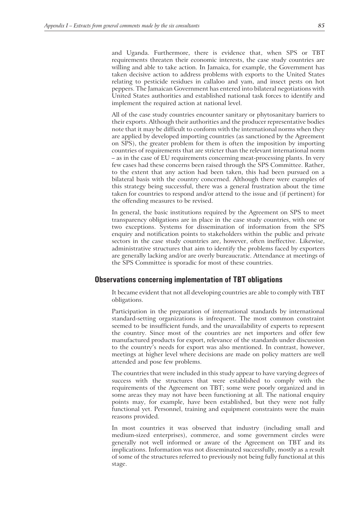and Uganda. Furthermore, there is evidence that, when SPS or TBT requirements threaten their economic interests, the case study countries are willing and able to take action. In Jamaica, for example, the Government has taken decisive action to address problems with exports to the United States relating to pesticide residues in callaloo and yam, and insect pests on hot peppers. The Jamaican Government has entered into bilateral negotiations with United States authorities and established national task forces to identify and implement the required action at national level.

All of the case study countries encounter sanitary or phytosanitary barriers to their exports. Although their authorities and the producer representative bodies note that it may be difficult to conform with the international norms when they are applied by developed importing countries (as sanctioned by the Agreement on SPS), the greater problem for them is often the imposition by importing countries of requirements that are stricter than the relevant international norm – as in the case of EU requirements concerning meat-processing plants. In very few cases had these concerns been raised through the SPS Committee. Rather, to the extent that any action had been taken, this had been pursued on a bilateral basis with the country concerned. Although there were examples of this strategy being successful, there was a general frustration about the time taken for countries to respond and/or attend to the issue and (if pertinent) for the offending measures to be revised.

In general, the basic institutions required by the Agreement on SPS to meet transparency obligations are in place in the case study countries, with one or two exceptions. Systems for dissemination of information from the SPS enquiry and notification points to stakeholders within the public and private sectors in the case study countries are, however, often ineffective. Likewise, administrative structures that aim to identify the problems faced by exporters are generally lacking and/or are overly bureaucratic. Attendance at meetings of the SPS Committee is sporadic for most of these countries.

#### **Observations concerning implementation of TBT obligations**

It became evident that not all developing countries are able to comply with TBT obligations.

Participation in the preparation of international standards by international standard-setting organizations is infrequent. The most common constraint seemed to be insufficient funds, and the unavailability of experts to represent the country. Since most of the countries are net importers and offer few manufactured products for export, relevance of the standards under discussion to the country's needs for export was also mentioned. In contrast, however, meetings at higher level where decisions are made on policy matters are well attended and pose few problems.

The countries that were included in this study appear to have varying degrees of success with the structures that were established to comply with the requirements of the Agreement on TBT; some were poorly organized and in some areas they may not have been functioning at all. The national enquiry points may, for example, have been established, but they were not fully functional yet. Personnel, training and equipment constraints were the main reasons provided.

In most countries it was observed that industry (including small and medium-sized enterprises), commerce, and some government circles were generally not well informed or aware of the Agreement on TBT and its implications. Information was not disseminated successfully, mostly as a result of some of the structures referred to previously not being fully functional at this stage.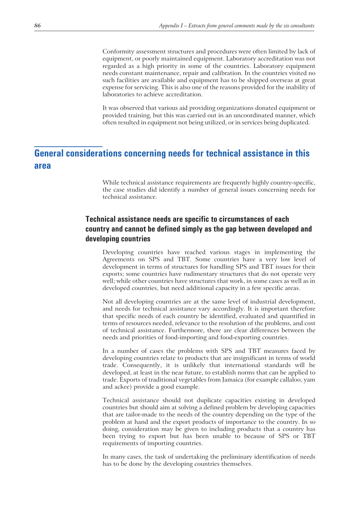Conformity assessment structures and procedures were often limited by lack of equipment, or poorly maintained equipment. Laboratory accreditation was not regarded as a high priority in some of the countries. Laboratory equipment needs constant maintenance, repair and calibration. In the countries visited no such facilities are available and equipment has to be shipped overseas at great expense for servicing. This is also one of the reasons provided for the inability of laboratories to achieve accreditation.

It was observed that various aid providing organizations donated equipment or provided training, but this was carried out in an uncoordinated manner, which often resulted in equipment not being utilized, or in services being duplicated.

# **General considerations concerning needs for technical assistance in this area**

While technical assistance requirements are frequently highly country-specific, the case studies did identify a number of general issues concerning needs for technical assistance.

### **Technical assistance needs are specific to circumstances of each country and cannot be defined simply as the gap between developed and developing countries**

Developing countries have reached various stages in implementing the Agreements on SPS and TBT. Some countries have a very low level of development in terms of structures for handling SPS and TBT issues for their exports; some countries have rudimentary structures that do not operate very well; while other countries have structures that work, in some cases as well as in developed countries, but need additional capacity in a few specific areas.

Not all developing countries are at the same level of industrial development, and needs for technical assistance vary accordingly. It is important therefore that specific needs of each country be identified, evaluated and quantified in terms of resources needed, relevance to the resolution of the problems, and cost of technical assistance. Furthermore, there are clear differences between the needs and priorities of food-importing and food-exporting countries.

In a number of cases the problems with SPS and TBT measures faced by developing countries relate to products that are insignificant in terms of world trade. Consequently, it is unlikely that international standards will be developed, at least in the near future, to establish norms that can be applied to trade. Exports of traditional vegetables from Jamaica (for example callaloo, yam and ackee) provide a good example.

Technical assistance should not duplicate capacities existing in developed countries but should aim at solving a defined problem by developing capacities that are tailor-made to the needs of the country depending on the type of the problem at hand and the export products of importance to the country. In so doing, consideration may be given to including products that a country has been trying to export but has been unable to because of SPS or TBT requirements of importing countries.

In many cases, the task of undertaking the preliminary identification of needs has to be done by the developing countries themselves.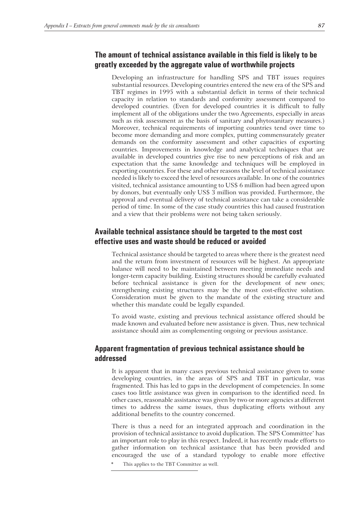### **The amount of technical assistance available in this field is likely to be greatly exceeded by the aggregate value of worthwhile projects**

Developing an infrastructure for handling SPS and TBT issues requires substantial resources. Developing countries entered the new era of the SPS and TBT regimes in 1995 with a substantial deficit in terms of their technical capacity in relation to standards and conformity assessment compared to developed countries. (Even for developed countries it is difficult to fully implement all of the obligations under the two Agreements, especially in areas such as risk assessment as the basis of sanitary and phytosanitary measures.) Moreover, technical requirements of importing countries tend over time to become more demanding and more complex, putting commensurately greater demands on the conformity assessment and other capacities of exporting countries. Improvements in knowledge and analytical techniques that are available in developed countries give rise to new perceptions of risk and an expectation that the same knowledge and techniques will be employed in exporting countries. For these and other reasons the level of technical assistance needed is likely to exceed the level of resources available. In one of the countries visited, technical assistance amounting to US\$ 6 million had been agreed upon by donors, but eventually only US\$ 3 million was provided. Furthermore, the approval and eventual delivery of technical assistance can take a considerable period of time. In some of the case study countries this had caused frustration and a view that their problems were not being taken seriously.

### **Available technical assistance should be targeted to the most cost effective uses and waste should be reduced or avoided**

Technical assistance should be targeted to areas where there is the greatest need and the return from investment of resources will be highest. An appropriate balance will need to be maintained between meeting immediate needs and longer-term capacity building. Existing structures should be carefully evaluated before technical assistance is given for the development of new ones; strengthening existing structures may be the most cost-effective solution. Consideration must be given to the mandate of the existing structure and whether this mandate could be legally expanded.

To avoid waste, existing and previous technical assistance offered should be made known and evaluated before new assistance is given. Thus, new technical assistance should aim as complementing ongoing or previous assistance.

### **Apparent fragmentation of previous technical assistance should be addressed**

It is apparent that in many cases previous technical assistance given to some developing countries, in the areas of SPS and TBT in particular, was fragmented. This has led to gaps in the development of competencies. In some cases too little assistance was given in comparison to the identified need. In other cases, reasonable assistance was given by two or more agencies at different times to address the same issues, thus duplicating efforts without any additional benefits to the country concerned.

There is thus a need for an integrated approach and coordination in the provision of technical assistance to avoid duplication. The SPS Committee\* has an important role to play in this respect. Indeed, it has recently made efforts to gather information on technical assistance that has been provided and encouraged the use of a standard typology to enable more effective

**<sup>\*</sup>** This applies to the TBT Committee as well.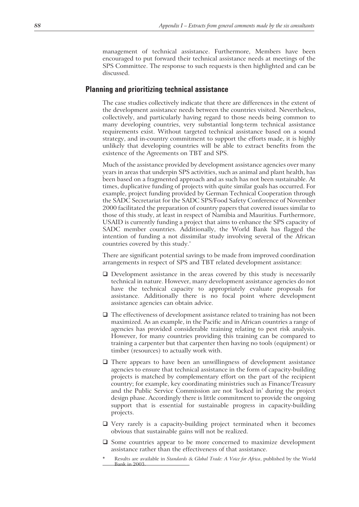management of technical assistance. Furthermore, Members have been encouraged to put forward their technical assistance needs at meetings of the SPS Committee. The response to such requests is then highlighted and can be discussed.

#### **Planning and prioritizing technical assistance**

The case studies collectively indicate that there are differences in the extent of the development assistance needs between the countries visited. Nevertheless, collectively, and particularly having regard to those needs being common to many developing countries, very substantial long-term technical assistance requirements exist. Without targeted technical assistance based on a sound strategy, and in-country commitment to support the efforts made, it is highly unlikely that developing countries will be able to extract benefits from the existence of the Agreements on TBT and SPS.

Much of the assistance provided by development assistance agencies over many years in areas that underpin SPS activities, such as animal and plant health, has been based on a fragmented approach and as such has not been sustainable. At times, duplicative funding of projects with quite similar goals has occurred. For example, project funding provided by German Technical Cooperation through the SADC Secretariat for the SADC SPS/Food Safety Conference of November 2000 facilitated the preparation of country papers that covered issues similar to those of this study, at least in respect of Namibia and Mauritius. Furthermore, USAID is currently funding a project that aims to enhance the SPS capacity of SADC member countries. Additionally, the World Bank has flagged the intention of funding a not dissimilar study involving several of the African countries covered by this study.\*

There are significant potential savings to be made from improved coordination arrangements in respect of SPS and TBT related development assistance:

- $\Box$  Development assistance in the areas covered by this study is necessarily technical in nature. However, many development assistance agencies do not have the technical capacity to appropriately evaluate proposals for assistance. Additionally there is no focal point where development assistance agencies can obtain advice.
- $\Box$  The effectiveness of development assistance related to training has not been maximized. As an example, in the Pacific and in African countries a range of agencies has provided considerable training relating to pest risk analysis. However, for many countries providing this training can be compared to training a carpenter but that carpenter then having no tools (equipment) or timber (resources) to actually work with.
- There appears to have been an unwillingness of development assistance agencies to ensure that technical assistance in the form of capacity-building projects is matched by complementary effort on the part of the recipient country; for example, key coordinating ministries such as Finance/Treasury and the Public Service Commission are not 'locked in' during the project design phase. Accordingly there is little commitment to provide the ongoing support that is essential for sustainable progress in capacity-building projects.
- Very rarely is a capacity-building project terminated when it becomes obvious that sustainable gains will not be realized.
- Some countries appear to be more concerned to maximize development assistance rather than the effectiveness of that assistance.
- **\*** Results are available in *Standards & Global Trade: A Voice for Africa*, published by the World Bank in 2003.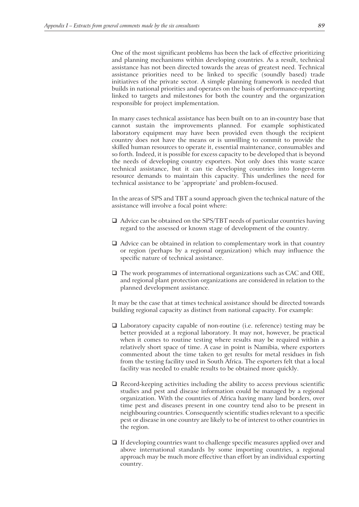One of the most significant problems has been the lack of effective prioritizing and planning mechanisms within developing countries. As a result, technical assistance has not been directed towards the areas of greatest need. Technical assistance priorities need to be linked to specific (soundly based) trade initiatives of the private sector. A simple planning framework is needed that builds in national priorities and operates on the basis of performance-reporting linked to targets and milestones for both the country and the organization responsible for project implementation.

In many cases technical assistance has been built on to an in-country base that cannot sustain the improvements planned. For example sophisticated laboratory equipment may have been provided even though the recipient country does not have the means or is unwilling to commit to provide the skilled human resources to operate it, essential maintenance, consumables and so forth. Indeed, it is possible for excess capacity to be developed that is beyond the needs of developing country exporters. Not only does this waste scarce technical assistance, but it can tie developing countries into longer-term resource demands to maintain this capacity. This underlines the need for technical assistance to be 'appropriate' and problem-focused.

In the areas of SPS and TBT a sound approach given the technical nature of the assistance will involve a focal point where:

- $\Box$  Advice can be obtained on the SPS/TBT needs of particular countries having regard to the assessed or known stage of development of the country.
- $\Box$  Advice can be obtained in relation to complementary work in that country or region (perhaps by a regional organization) which may influence the specific nature of technical assistance.
- $\Box$  The work programmes of international organizations such as CAC and OIE, and regional plant protection organizations are considered in relation to the planned development assistance.

It may be the case that at times technical assistance should be directed towards building regional capacity as distinct from national capacity. For example:

- $\Box$  Laboratory capacity capable of non-routine (i.e. reference) testing may be better provided at a regional laboratory. It may not, however, be practical when it comes to routine testing where results may be required within a relatively short space of time. A case in point is Namibia, where exporters commented about the time taken to get results for metal residues in fish from the testing facility used in South Africa. The exporters felt that a local facility was needed to enable results to be obtained more quickly.
- $\square$  Record-keeping activities including the ability to access previous scientific studies and pest and disease information could be managed by a regional organization. With the countries of Africa having many land borders, over time pest and diseases present in one country tend also to be present in neighbouring countries. Consequently scientific studies relevant to a specific pest or disease in one country are likely to be of interest to other countries in the region.
- If developing countries want to challenge specific measures applied over and above international standards by some importing countries, a regional approach may be much more effective than effort by an individual exporting country.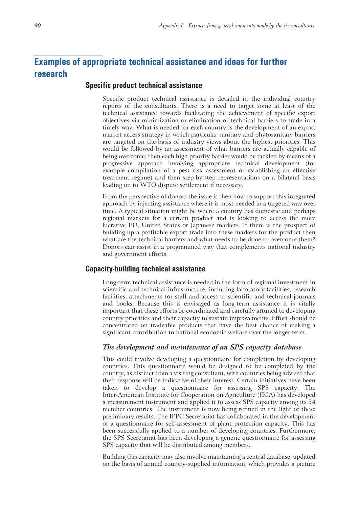## **Examples of appropriate technical assistance and ideas for further research**

#### **Specific product technical assistance**

Specific product technical assistance is detailed in the individual country reports of the consultants. There is a need to target some at least of the technical assistance towards facilitating the achievement of specific export objectives via minimization or elimination of technical barriers to trade in a timely way. What is needed for each country is the development of an export market access strategy in which particular sanitary and phytosanitary barriers are targeted on the basis of industry views about the highest priorities. This would be followed by an assessment of what barriers are actually capable of being overcome; then each high priority barrier would be tackled by means of a progressive approach involving appropriate technical development (for example compilation of a pest risk assessment or establishing an effective treatment regime) and then step-by-step representations on a bilateral basis leading on to WTO dispute settlement if necessary.

From the perspective of donors the issue is then how to support this integrated approach by injecting assistance where it is most needed in a targeted way over time. A typical situation might be where a country has domestic and perhaps regional markets for a certain product and is looking to access the more lucrative EU, United States or Japanese markets. If there is the prospect of building up a profitable export trade into these markets for the product then what are the technical barriers and what needs to be done to overcome them? Donors can assist in a programmed way that complements national industry and government efforts.

#### **Capacity-building technical assistance**

Long-term technical assistance is needed in the form of regional investment in scientific and technical infrastructure, including laboratory facilities, research facilities, attachments for staff and access to scientific and technical journals and books. Because this is envisaged as long-term assistance it is vitally important that these efforts be coordinated and carefully attuned to developing country priorities and their capacity to sustain improvements. Effort should be concentrated on tradeable products that have the best chance of making a significant contribution to national economic welfare over the longer term.

#### *The development and maintenance of an SPS capacity database*

This could involve developing a questionnaire for completion by developing countries. This questionnaire would be designed to be completed by the country, as distinct from a visiting consultant, with countries being advised that their response will be indicative of their interest. Certain initiatives have been taken to develop a questionnaire for assessing SPS capacity. The Inter-American Institute for Cooperation on Agriculture (IICA) has developed a measurement instrument and applied it to assess SPS capacity among its 34 member countries. The instrument is now being refined in the light of these preliminary results. The IPPC Secretariat has collaborated in the development of a questionnaire for self-assessment of plant protection capacity. This has been successfully applied to a number of developing countries. Furthermore, the SPS Secretariat has been developing a generic questionnaire for assessing SPS capacity that will be distributed among members.

Building this capacity may also involve maintaining a central database, updated on the basis of annual country-supplied information, which provides a picture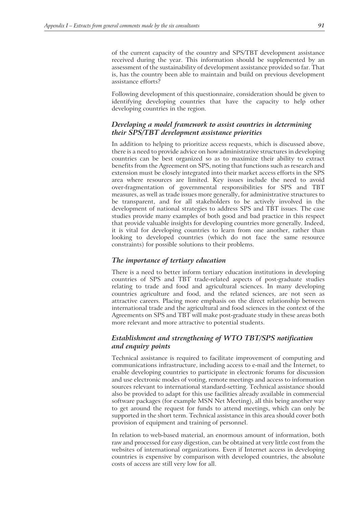of the current capacity of the country and SPS/TBT development assistance received during the year. This information should be supplemented by an assessment of the sustainability of development assistance provided so far. That is, has the country been able to maintain and build on previous development assistance efforts?

Following development of this questionnaire, consideration should be given to identifying developing countries that have the capacity to help other developing countries in the region.

#### *Developing a model framework to assist countries in determining their SPS/TBT development assistance priorities*

In addition to helping to prioritize access requests, which is discussed above, there is a need to provide advice on how administrative structures in developing countries can be best organized so as to maximize their ability to extract benefits from the Agreement on SPS, noting that functions such as research and extension must be closely integrated into their market access efforts in the SPS area where resources are limited. Key issues include the need to avoid over-fragmentation of governmental responsibilities for SPS and TBT measures, as well as trade issues more generally, for administrative structures to be transparent, and for all stakeholders to be actively involved in the development of national strategies to address SPS and TBT issues. The case studies provide many examples of both good and bad practice in this respect that provide valuable insights for developing countries more generally. Indeed, it is vital for developing countries to learn from one another, rather than looking to developed countries (which do not face the same resource constraints) for possible solutions to their problems.

#### *The importance of tertiary education*

There is a need to better inform tertiary education institutions in developing countries of SPS and TBT trade-related aspects of post-graduate studies relating to trade and food and agricultural sciences. In many developing countries agriculture and food, and the related sciences, are not seen as attractive careers. Placing more emphasis on the direct relationship between international trade and the agricultural and food sciences in the context of the Agreements on SPS and TBT will make post-graduate study in these areas both more relevant and more attractive to potential students.

#### *Establishment and strengthening of WTO TBT/SPS notification and enquiry points*

Technical assistance is required to facilitate improvement of computing and communications infrastructure, including access to e-mail and the Internet, to enable developing countries to participate in electronic forums for discussion and use electronic modes of voting, remote meetings and access to information sources relevant to international standard-setting. Technical assistance should also be provided to adapt for this use facilities already available in commercial software packages (for example MSN Net Meeting), all this being another way to get around the request for funds to attend meetings, which can only be supported in the short term. Technical assistance in this area should cover both provision of equipment and training of personnel.

In relation to web-based material, an enormous amount of information, both raw and processed for easy digestion, can be obtained at very little cost from the websites of international organizations. Even if Internet access in developing countries is expensive by comparison with developed countries, the absolute costs of access are still very low for all.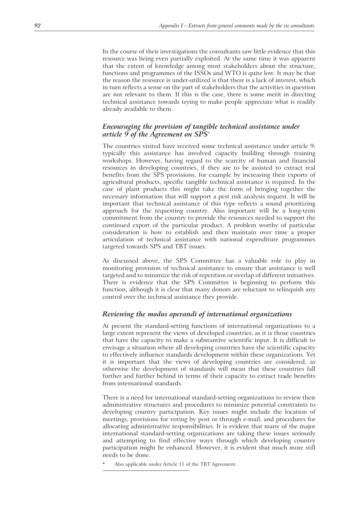In the course of their investigations the consultants saw little evidence that this resource was being even partially exploited. At the same time it was apparent that the extent of knowledge among most stakeholders about the structure, functions and programmes of the ISSOs and WTO is quite low. It may be that the reason the resource is under-utilized is that there is a lack of interest, which in turn reflects a sense on the part of stakeholders that the activities in question are not relevant to them. If this is the case, there is some merit in directing technical assistance towards trying to make people appreciate what is readily already available to them.

#### *Encouraging the provision of tangible technical assistance under article 9 of the Agreement on SPS\**

The countries visited have received some technical assistance under article 9; typically this assistance has involved capacity building through training workshops. However, having regard to the scarcity of human and financial resources in developing countries, if they are to be assisted to extract real benefits from the SPS provisions, for example by increasing their exports of agricultural products, specific tangible technical assistance is required. In the case of plant products this might take the form of bringing together the necessary information that will support a pest risk analysis request. It will be important that technical assistance of this type reflects a sound prioritizing approach for the requesting country. Also important will be a long-term commitment from the country to provide the resources needed to support the continued export of the particular product. A problem worthy of particular consideration is how to establish and then maintain over time a proper articulation of technical assistance with national expenditure programmes targeted towards SPS and TBT issues.

As discussed above, the SPS Committee has a valuable role to play in monitoring provision of technical assistance to ensure that assistance is well targeted and to minimize the risk of repetition or overlap of different initiatives. There is evidence that the SPS Committee is beginning to perform this function, although it is clear that many donors are reluctant to relinquish any control over the technical assistance they provide.

#### *Reviewing the modus operandi of international organizations*

At present the standard-setting functions of international organizations to a large extent represent the views of developed countries, as it is those countries that have the capacity to make a substantive scientific input. It is difficult to envisage a situation where all developing countries have the scientific capacity to effectively influence standards development within these organizations. Yet it is important that the views of developing countries are considered, as otherwise the development of standards will mean that these countries fall further and further behind in terms of their capacity to extract trade benefits from international standards.

There is a need for international standard-setting organizations to review their administrative structures and procedures to minimize potential constraints to developing country participation. Key issues might include the location of meetings, provisions for voting by post or through e-mail, and procedures for allocating administrative responsibilities. It is evident that many of the major international standard-setting organizations are taking these issues seriously and attempting to find effective ways through which developing country participation might be enhanced. However, it is evident that much more still needs to be done.

**<sup>\*</sup>** Also applicable under Article 11 of the TBT Agreement.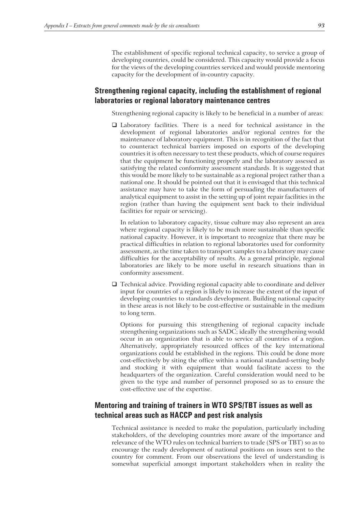The establishment of specific regional technical capacity, to service a group of developing countries, could be considered. This capacity would provide a focus for the views of the developing countries serviced and would provide mentoring capacity for the development of in-country capacity.

### **Strengthening regional capacity, including the establishment of regional laboratories or regional laboratory maintenance centres**

Strengthening regional capacity is likely to be beneficial in a number of areas:

 Laboratory facilities. There is a need for technical assistance in the development of regional laboratories and/or regional centres for the maintenance of laboratory equipment. This is in recognition of the fact that to counteract technical barriers imposed on exports of the developing countries it is often necessary to test these products, which of course requires that the equipment be functioning properly and the laboratory assessed as satisfying the related conformity assessment standards. It is suggested that this would be more likely to be sustainable as a regional project rather than a national one. It should be pointed out that it is envisaged that this technical assistance may have to take the form of persuading the manufacturers of analytical equipment to assist in the setting up of joint repair facilities in the region (rather than having the equipment sent back to their individual facilities for repair or servicing).

In relation to laboratory capacity, tissue culture may also represent an area where regional capacity is likely to be much more sustainable than specific national capacity. However, it is important to recognize that there may be practical difficulties in relation to regional laboratories used for conformity assessment, as the time taken to transport samples to a laboratory may cause difficulties for the acceptability of results. As a general principle, regional laboratories are likely to be more useful in research situations than in conformity assessment.

 Technical advice. Providing regional capacity able to coordinate and deliver input for countries of a region is likely to increase the extent of the input of developing countries to standards development. Building national capacity in these areas is not likely to be cost-effective or sustainable in the medium to long term.

Options for pursuing this strengthening of regional capacity include strengthening organizations such as SADC; ideally the strengthening would occur in an organization that is able to service all countries of a region. Alternatively, appropriately resourced offices of the key international organizations could be established in the regions. This could be done more cost-effectively by siting the office within a national standard-setting body and stocking it with equipment that would facilitate access to the headquarters of the organization. Careful consideration would need to be given to the type and number of personnel proposed so as to ensure the cost-effective use of the expertise.

### **Mentoring and training of trainers in WTO SPS/TBT issues as well as technical areas such as HACCP and pest risk analysis**

Technical assistance is needed to make the population, particularly including stakeholders, of the developing countries more aware of the importance and relevance of the WTO rules on technical barriers to trade (SPS or TBT) so as to encourage the ready development of national positions on issues sent to the country for comment. From our observations the level of understanding is somewhat superficial amongst important stakeholders when in reality the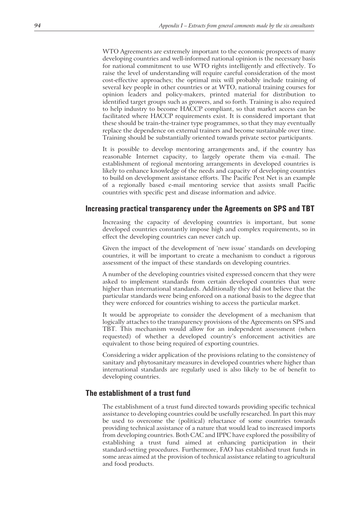WTO Agreements are extremely important to the economic prospects of many developing countries and well-informed national opinion is the necessary basis for national commitment to use WTO rights intelligently and effectively. To raise the level of understanding will require careful consideration of the most cost-effective approaches; the optimal mix will probably include training of several key people in other countries or at WTO, national training courses for opinion leaders and policy-makers, printed material for distribution to identified target groups such as growers, and so forth. Training is also required to help industry to become HACCP compliant, so that market access can be facilitated where HACCP requirements exist. It is considered important that these should be train-the-trainer type programmes, so that they may eventually replace the dependence on external trainers and become sustainable over time. Training should be substantially oriented towards private sector participants.

It is possible to develop mentoring arrangements and, if the country has reasonable Internet capacity, to largely operate them via e-mail. The establishment of regional mentoring arrangements in developed countries is likely to enhance knowledge of the needs and capacity of developing countries to build on development assistance efforts. The Pacific Pest Net is an example of a regionally based e-mail mentoring service that assists small Pacific countries with specific pest and disease information and advice.

#### **Increasing practical transparency under the Agreements on SPS and TBT**

Increasing the capacity of developing countries is important, but some developed countries constantly impose high and complex requirements, so in effect the developing countries can never catch up.

Given the impact of the development of 'new issue' standards on developing countries, it will be important to create a mechanism to conduct a rigorous assessment of the impact of these standards on developing countries.

A number of the developing countries visited expressed concern that they were asked to implement standards from certain developed countries that were higher than international standards. Additionally they did not believe that the particular standards were being enforced on a national basis to the degree that they were enforced for countries wishing to access the particular market.

It would be appropriate to consider the development of a mechanism that logically attaches to the transparency provisions of the Agreements on SPS and TBT. This mechanism would allow for an independent assessment (when requested) of whether a developed country's enforcement activities are equivalent to those being required of exporting countries.

Considering a wider application of the provisions relating to the consistency of sanitary and phytosanitary measures in developed countries where higher than international standards are regularly used is also likely to be of benefit to developing countries.

#### **The establishment of a trust fund**

The establishment of a trust fund directed towards providing specific technical assistance to developing countries could be usefully researched. In part this may be used to overcome the (political) reluctance of some countries towards providing technical assistance of a nature that would lead to increased imports from developing countries. Both CAC and IPPC have explored the possibility of establishing a trust fund aimed at enhancing participation in their standard-setting procedures. Furthermore, FAO has established trust funds in some areas aimed at the provision of technical assistance relating to agricultural and food products.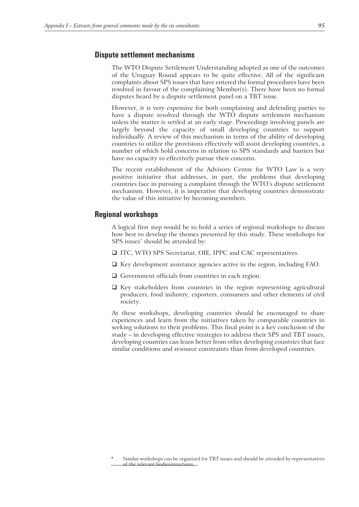# **Dispute settlement mechanisms**

The WTO Dispute Settlement Understanding adopted as one of the outcomes of the Uruguay Round appears to be quite effective. All of the significant complaints about SPS issues that have entered the formal procedures have been resolved in favour of the complaining Member(s). There have been no formal disputes heard by a dispute settlement panel on a TBT issue.

However, it is very expensive for both complaining and defending parties to have a dispute resolved through the WTO dispute settlement mechanism unless the matter is settled at an early stage. Proceedings involving panels are largely beyond the capacity of small developing countries to support individually. A review of this mechanism in terms of the ability of developing countries to utilize the provisions effectively will assist developing countries, a number of which hold concerns in relation to SPS standards and barriers but have no capacity to effectively pursue their concerns.

The recent establishment of the Advisory Centre for WTO Law is a very positive initiative that addresses, in part, the problems that developing countries face in pursuing a complaint through the WTO's dispute settlement mechanism. However, it is imperative that developing countries demonstrate the value of this initiative by becoming members.

# **Regional workshops**

A logical first step would be to hold a series of regional workshops to discuss how best to develop the themes presented by this study. These workshops for SPS issues\* should be attended by:

- ITC, WTO SPS Secretariat, OIE, IPPC and CAC representatives.
- $\Box$  Key development assistance agencies active in the region, including FAO.
- $\Box$  Government officials from countries in each region.
- $\Box$  Key stakeholders from countries in the region representing agricultural producers, food industry, exporters, consumers and other elements of civil society.

At these workshops, developing countries should be encouraged to share experiences and learn from the initiatives taken by comparable countries in seeking solutions to their problems. This final point is a key conclusion of the study – in developing effective strategies to address their SPS and TBT issues, developing countries can learn better from other developing countries that face similar conditions and resource constraints than from developed countries.

**<sup>\*</sup>** Similar workshops can be organized for TBT issues and should be attended by representatives of the relevant bodies/structures.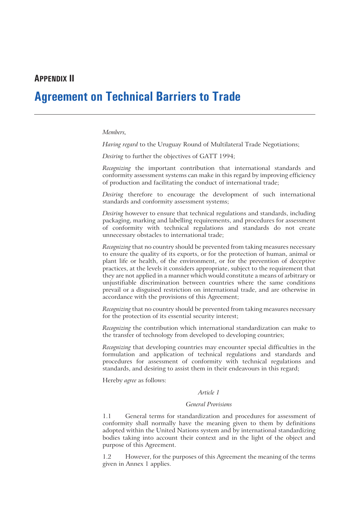# **APPENDIX II**

# **Agreement on Technical Barriers to Trade**

#### *Members,*

*Having regard* to the Uruguay Round of Multilateral Trade Negotiations;

*Desiring* to further the objectives of GATT 1994;

*Recognizing* the important contribution that international standards and conformity assessment systems can make in this regard by improving efficiency of production and facilitating the conduct of international trade;

*Desiring* therefore to encourage the development of such international standards and conformity assessment systems;

*Desiring* however to ensure that technical regulations and standards, including packaging, marking and labelling requirements, and procedures for assessment of conformity with technical regulations and standards do not create unnecessary obstacles to international trade;

*Recognizing* that no country should be prevented from taking measures necessary to ensure the quality of its exports, or for the protection of human, animal or plant life or health, of the environment, or for the prevention of deceptive practices, at the levels it considers appropriate, subject to the requirement that they are not applied in a manner which would constitute a means of arbitrary or unjustifiable discrimination between countries where the same conditions prevail or a disguised restriction on international trade, and are otherwise in accordance with the provisions of this Agreement;

*Recognizing* that no country should be prevented from taking measures necessary for the protection of its essential security interest;

*Recognizing* the contribution which international standardization can make to the transfer of technology from developed to developing countries;

*Recognizing* that developing countries may encounter special difficulties in the formulation and application of technical regulations and standards and procedures for assessment of conformity with technical regulations and standards, and desiring to assist them in their endeavours in this regard;

Hereby *agree* as follows:

# *Article 1*

# *General Provisions*

1.1 General terms for standardization and procedures for assessment of conformity shall normally have the meaning given to them by definitions adopted within the United Nations system and by international standardizing bodies taking into account their context and in the light of the object and purpose of this Agreement.

1.2 However, for the purposes of this Agreement the meaning of the terms given in Annex 1 applies.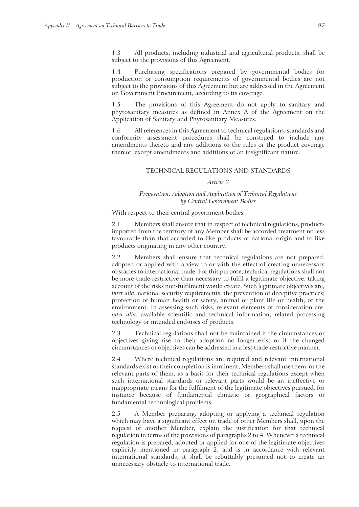1.3 All products, including industrial and agricultural products, shall be subject to the provisions of this Agreement.

1.4 Purchasing specifications prepared by governmental bodies for production or consumption requirements of governmental bodies are not subject to the provisions of this Agreement but are addressed in the Agreement on Government Procurement, according to its coverage.

1.5 The provisions of this Agreement do not apply to sanitary and phytosanitary measures as defined in Annex A of the Agreement on the Application of Sanitary and Phytosanitary Measures.

1.6 All references in this Agreement to technical regulations, standards and conformity assessment procedures shall be construed to include any amendments thereto and any additions to the rules or the product coverage thereof, except amendments and additions of an insignificant nature.

# TECHNICAL REGULATIONS AND STANDARDS

#### *Article 2*

# *Preparation, Adoption and Application of Technical Regulations by Central Government Bodies*

With respect to their central government bodies:

2.1 Members shall ensure that in respect of technical regulations, products imported from the territory of any Member shall be accorded treatment no less favourable than that accorded to like products of national origin and to like products originating in any other country.

2.2 Members shall ensure that technical regulations are not prepared, adopted or applied with a view to or with the effect of creating unnecessary obstacles to international trade. For this purpose, technical regulations shall not be more trade-restrictive than necessary to fulfil a legitimate objective, taking account of the risks non-fulfilment would create. Such legitimate objectives are, *inter alia:* national security requirements; the prevention of deceptive practices; protection of human health or safety, animal or plant life or health, or the environment. In assessing such risks, relevant elements of consideration are, *inter alia:* available scientific and technical information, related processing technology or intended end-uses of products.

2.3 Technical regulations shall not be maintained if the circumstances or objectives giving rise to their adoption no longer exist or if the changed circumstances or objectives can be addressed in a less trade-restrictive manner.

2.4 Where technical regulations are required and relevant international standards exist or their completion is imminent, Members shall use them, or the relevant parts of them, as a basis for their technical regulations except when such international standards or relevant parts would be an ineffective or inappropriate means for the fulfilment of the legitimate objectives pursued, for instance because of fundamental climatic or geographical factors or fundamental technological problems.

2.5 A Member preparing, adopting or applying a technical regulation which may have a significant effect on trade of other Members shall, upon the request of another Member, explain the justification for that technical regulation in terms of the provisions of paragraphs 2 to 4. Whenever a technical regulation is prepared, adopted or applied for one of the legitimate objectives explicitly mentioned in paragraph 2, and is in accordance with relevant international standards, it shall be rebuttably presumed not to create an unnecessary obstacle to international trade.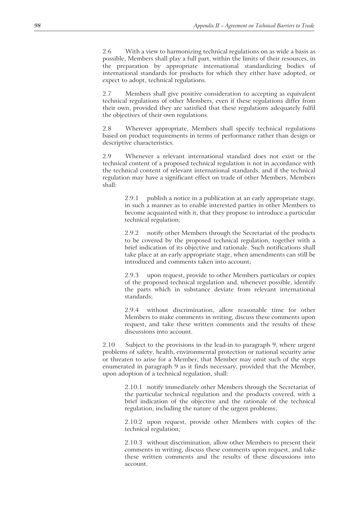2.6 With a view to harmonizing technical regulations on as wide a basis as possible, Members shall play a full part, within the limits of their resources, in the preparation by appropriate international standardizing bodies of international standards for products for which they either have adopted, or expect to adopt, technical regulations.

2.7 Members shall give positive consideration to accepting as equivalent technical regulations of other Members, even if these regulations differ from their own, provided they are satisfied that these regulations adequately fulfil the objectives of their own regulations.

2.8 Wherever appropriate, Members shall specify technical regulations based on product requirements in terms of performance rather than design or descriptive characteristics.

2.9 Whenever a relevant international standard does not exist or the technical content of a proposed technical regulation is not in accordance with the technical content of relevant international standards, and if the technical regulation may have a significant effect on trade of other Members, Members shall:

> 2.9.1 publish a notice in a publication at an early appropriate stage, in such a manner as to enable interested parties in other Members to become acquainted with it, that they propose to introduce a particular technical regulation;

> 2.9.2 notify other Members through the Secretariat of the products to be covered by the proposed technical regulation, together with a brief indication of its objective and rationale. Such notifications shall take place at an early appropriate stage, when amendments can still be introduced and comments taken into account;

> 2.9.3 upon request, provide to other Members particulars or copies of the proposed technical regulation and, whenever possible, identify the parts which in substance deviate from relevant international standards;

> 2.9.4 without discrimination, allow reasonable time for other Members to make comments in writing, discuss these comments upon request, and take these written comments and the results of these discussions into account.

2.10 Subject to the provisions in the lead-in to paragraph 9, where urgent problems of safety, health, environmental protection or national security arise or threaten to arise for a Member, that Member may omit such of the steps enumerated in paragraph 9 as it finds necessary, provided that the Member, upon adoption of a technical regulation, shall:

> 2.10.1 notify immediately other Members through the Secretariat of the particular technical regulation and the products covered, with a brief indication of the objective and the rationale of the technical regulation, including the nature of the urgent problems;

> 2.10.2 upon request, provide other Members with copies of the technical regulation;

> 2.10.3 without discrimination, allow other Members to present their comments in writing, discuss these comments upon request, and take these written comments and the results of these discussions into account.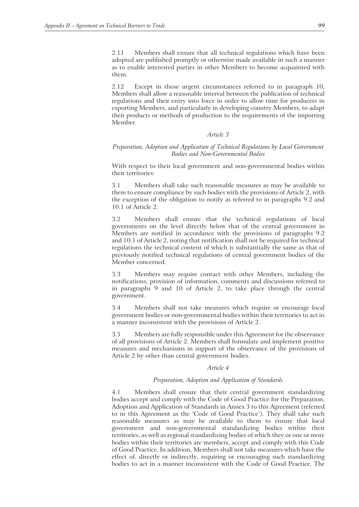2.11 Members shall ensure that all technical regulations which have been adopted are published promptly or otherwise made available in such a manner as to enable interested parties in other Members to become acquainted with them.

2.12 Except in those urgent circumstances referred to in paragraph 10, Members shall allow a reasonable interval between the publication of technical regulations and their entry into force in order to allow time for producers in exporting Members, and particularly in developing country Members, to adapt their products or methods of production to the requirements of the importing Member.

#### *Article 3*

# *Preparation, Adoption and Application of Technical Regulations by Local Government Bodies and Non-Governmental Bodies*

With respect to their local government and non-governmental bodies within their territories:

3.1 Members shall take such reasonable measures as may be available to them to ensure compliance by such bodies with the provisions of Article 2, with the exception of the obligation to notify as referred to in paragraphs 9.2 and 10.1 of Article 2.

3.2 Members shall ensure that the technical regulations of local governments on the level directly below that of the central government in Members are notified in accordance with the provisions of paragraphs 9.2 and 10.1 of Article 2, noting that notification shall not be required for technical regulations the technical content of which is substantially the same as that of previously notified technical regulations of central government bodies of the Member concerned.

3.3 Members may require contact with other Members, including the notifications, provision of information, comments and discussions referred to in paragraphs 9 and 10 of Article 2, to take place through the central government.

3.4 Members shall not take measures which require or encourage local government bodies or non-governmental bodies within their territories to act in a manner inconsistent with the provisions of Article 2.

3.5 Members are fully responsible under this Agreement for the observance of all provisions of Article 2. Members shall formulate and implement positive measures and mechanisms in support of the observance of the provisions of Article 2 by other than central government bodies.

#### *Article 4*

#### *Preparation, Adoption and Application of Standards*

4.1 Members shall ensure that their central government standardizing bodies accept and comply with the Code of Good Practice for the Preparation, Adoption and Application of Standards in Annex 3 to this Agreement (referred to in this Agreement as the 'Code of Good Practice'). They shall take such reasonable measures as may be available to them to ensure that local government and non-governmental standardizing bodies within their territories, as well as regional standardizing bodies of which they or one or more bodies within their territories are members, accept and comply with this Code of Good Practice. In addition, Members shall not take measures which have the effect of, directly or indirectly, requiring or encouraging such standardizing bodies to act in a manner inconsistent with the Code of Good Practice. The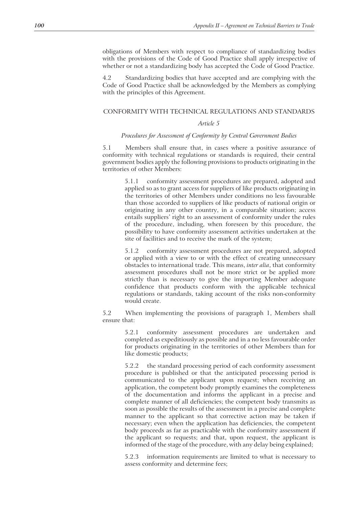obligations of Members with respect to compliance of standardizing bodies with the provisions of the Code of Good Practice shall apply irrespective of whether or not a standardizing body has accepted the Code of Good Practice.

4.2 Standardizing bodies that have accepted and are complying with the Code of Good Practice shall be acknowledged by the Members as complying with the principles of this Agreement.

#### CONFORMITY WITH TECHNICAL REGULATIONS AND STANDARDS

#### *Article 5*

# *Procedures for Assessment of Conformity by Central Government Bodies*

5.1 Members shall ensure that, in cases where a positive assurance of conformity with technical regulations or standards is required, their central government bodies apply the following provisions to products originating in the territories of other Members:

> 5.1.1 conformity assessment procedures are prepared, adopted and applied so as to grant access for suppliers of like products originating in the territories of other Members under conditions no less favourable than those accorded to suppliers of like products of national origin or originating in any other country, in a comparable situation; access entails suppliers' right to an assessment of conformity under the rules of the procedure, including, when foreseen by this procedure, the possibility to have conformity assessment activities undertaken at the site of facilities and to receive the mark of the system;

> 5.1.2 conformity assessment procedures are not prepared, adopted or applied with a view to or with the effect of creating unnecessary obstacles to international trade. This means, *inter alia*, that conformity assessment procedures shall not be more strict or be applied more strictly than is necessary to give the importing Member adequate confidence that products conform with the applicable technical regulations or standards, taking account of the risks non-conformity would create.

5.2 When implementing the provisions of paragraph 1, Members shall ensure that:

> 5.2.1 conformity assessment procedures are undertaken and completed as expeditiously as possible and in a no less favourable order for products originating in the territories of other Members than for like domestic products;

> 5.2.2 the standard processing period of each conformity assessment procedure is published or that the anticipated processing period is communicated to the applicant upon request; when receiving an application, the competent body promptly examines the completeness of the documentation and informs the applicant in a precise and complete manner of all deficiencies; the competent body transmits as soon as possible the results of the assessment in a precise and complete manner to the applicant so that corrective action may be taken if necessary; even when the application has deficiencies, the competent body proceeds as far as practicable with the conformity assessment if the applicant so requests; and that, upon request, the applicant is informed of the stage of the procedure, with any delay being explained;

> 5.2.3 information requirements are limited to what is necessary to assess conformity and determine fees;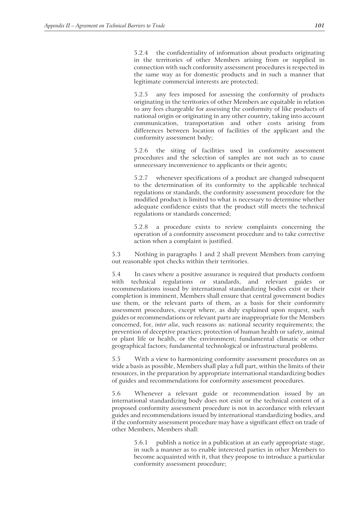5.2.4 the confidentiality of information about products originating in the territories of other Members arising from or supplied in connection with such conformity assessment procedures is respected in the same way as for domestic products and in such a manner that legitimate commercial interests are protected;

5.2.5 any fees imposed for assessing the conformity of products originating in the territories of other Members are equitable in relation to any fees chargeable for assessing the conformity of like products of national origin or originating in any other country, taking into account communication, transportation and other costs arising from differences between location of facilities of the applicant and the conformity assessment body;

5.2.6 the siting of facilities used in conformity assessment procedures and the selection of samples are not such as to cause unnecessary inconvenience to applicants or their agents;

5.2.7 whenever specifications of a product are changed subsequent to the determination of its conformity to the applicable technical regulations or standards, the conformity assessment procedure for the modified product is limited to what is necessary to determine whether adequate confidence exists that the product still meets the technical regulations or standards concerned;

5.2.8 a procedure exists to review complaints concerning the operation of a conformity assessment procedure and to take corrective action when a complaint is justified.

5.3 Nothing in paragraphs 1 and 2 shall prevent Members from carrying out reasonable spot checks within their territories.

5.4 In cases where a positive assurance is required that products conform with technical regulations or standards, and relevant guides or recommendations issued by international standardizing bodies exist or their completion is imminent, Members shall ensure that central government bodies use them, or the relevant parts of them, as a basis for their conformity assessment procedures, except where, as duly explained upon request, such guides or recommendations or relevant parts are inappropriate for the Members concerned, for, *inter alia*, such reasons as: national security requirements; the prevention of deceptive practices; protection of human health or safety, animal or plant life or health, or the environment; fundamental climatic or other geographical factors; fundamental technological or infrastructural problems.

5.5 With a view to harmonizing conformity assessment procedures on as wide a basis as possible, Members shall play a full part, within the limits of their resources, in the preparation by appropriate international standardizing bodies of guides and recommendations for conformity assessment procedures.

5.6 Whenever a relevant guide or recommendation issued by an international standardizing body does not exist or the technical content of a proposed conformity assessment procedure is not in accordance with relevant guides and recommendations issued by international standardizing bodies, and if the conformity assessment procedure may have a significant effect on trade of other Members, Members shall:

> 5.6.1 publish a notice in a publication at an early appropriate stage, in such a manner as to enable interested parties in other Members to become acquainted with it, that they propose to introduce a particular conformity assessment procedure;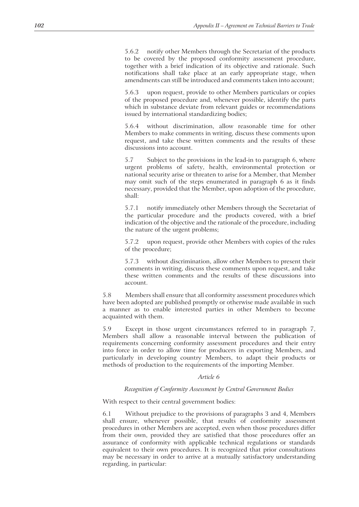5.6.2 notify other Members through the Secretariat of the products to be covered by the proposed conformity assessment procedure, together with a brief indication of its objective and rationale. Such notifications shall take place at an early appropriate stage, when amendments can still be introduced and comments taken into account;

5.6.3 upon request, provide to other Members particulars or copies of the proposed procedure and, whenever possible, identify the parts which in substance deviate from relevant guides or recommendations issued by international standardizing bodies;

5.6.4 without discrimination, allow reasonable time for other Members to make comments in writing, discuss these comments upon request, and take these written comments and the results of these discussions into account.

5.7 Subject to the provisions in the lead-in to paragraph 6, where urgent problems of safety, health, environmental protection or national security arise or threaten to arise for a Member, that Member may omit such of the steps enumerated in paragraph 6 as it finds necessary, provided that the Member, upon adoption of the procedure, shall:

5.7.1 notify immediately other Members through the Secretariat of the particular procedure and the products covered, with a brief indication of the objective and the rationale of the procedure, including the nature of the urgent problems;

5.7.2 upon request, provide other Members with copies of the rules of the procedure;

5.7.3 without discrimination, allow other Members to present their comments in writing, discuss these comments upon request, and take these written comments and the results of these discussions into account.

5.8 Members shall ensure that all conformity assessment procedures which have been adopted are published promptly or otherwise made available in such a manner as to enable interested parties in other Members to become acquainted with them.

5.9 Except in those urgent circumstances referred to in paragraph 7, Members shall allow a reasonable interval between the publication of requirements concerning conformity assessment procedures and their entry into force in order to allow time for producers in exporting Members, and particularly in developing country Members, to adapt their products or methods of production to the requirements of the importing Member.

#### *Article 6*

# *Recognition of Conformity Assessment by Central Government Bodies*

With respect to their central government bodies:

6.1 Without prejudice to the provisions of paragraphs 3 and 4, Members shall ensure, whenever possible, that results of conformity assessment procedures in other Members are accepted, even when those procedures differ from their own, provided they are satisfied that those procedures offer an assurance of conformity with applicable technical regulations or standards equivalent to their own procedures. It is recognized that prior consultations may be necessary in order to arrive at a mutually satisfactory understanding regarding, in particular: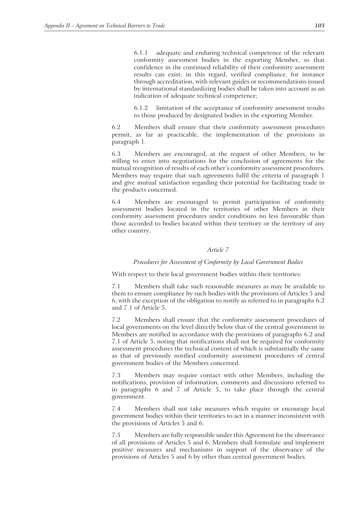6.1.1 adequate and enduring technical competence of the relevant conformity assessment bodies in the exporting Member, so that confidence in the continued reliability of their conformity assessment results can exist; in this regard, verified compliance, for instance through accreditation, with relevant guides or recommendations issued by international standardizing bodies shall be taken into account as an indication of adequate technical competence;

6.1.2 limitation of the acceptance of conformity assessment results to those produced by designated bodies in the exporting Member.

6.2 Members shall ensure that their conformity assessment procedures permit, as far as practicable, the implementation of the provisions in paragraph 1.

6.3 Members are encouraged, at the request of other Members, to be willing to enter into negotiations for the conclusion of agreements for the mutual recognition of results of each other's conformity assessment procedures. Members may require that such agreements fulfil the criteria of paragraph 1 and give mutual satisfaction regarding their potential for facilitating trade in the products concerned.

6.4 Members are encouraged to permit participation of conformity assessment bodies located in the territories of other Members in their conformity assessment procedures under conditions no less favourable than those accorded to bodies located within their territory or the territory of any other country.

# *Article 7*

#### *Procedures for Assessment of Conformity by Local Government Bodies*

With respect to their local government bodies within their territories:

7.1 Members shall take such reasonable measures as may be available to them to ensure compliance by such bodies with the provisions of Articles 5 and 6, with the exception of the obligation to notify as referred to in paragraphs 6.2 and 7.1 of Article 5.

7.2 Members shall ensure that the conformity assessment procedures of local governments on the level directly below that of the central government in Members are notified in accordance with the provisions of paragraphs 6.2 and 7.1 of Article 5, noting that notifications shall not be required for conformity assessment procedures the technical content of which is substantially the same as that of previously notified conformity assessment procedures of central government bodies of the Members concerned.

7.3 Members may require contact with other Members, including the notifications, provision of information, comments and discussions referred to in paragraphs 6 and 7 of Article 5, to take place through the central government.

7.4 Members shall not take measures which require or encourage local government bodies within their territories to act in a manner inconsistent with the provisions of Articles 5 and 6.

7.5 Members are fully responsible under this Agreement for the observance of all provisions of Articles 5 and 6. Members shall formulate and implement positive measures and mechanisms in support of the observance of the provisions of Articles 5 and 6 by other than central government bodies.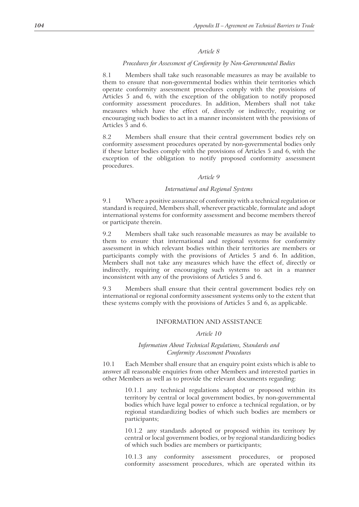#### *Article 8*

#### *Procedures for Assessment of Conformity by Non-Governmental Bodies*

8.1 Members shall take such reasonable measures as may be available to them to ensure that non-governmental bodies within their territories which operate conformity assessment procedures comply with the provisions of Articles 5 and 6, with the exception of the obligation to notify proposed conformity assessment procedures. In addition, Members shall not take measures which have the effect of, directly or indirectly, requiring or encouraging such bodies to act in a manner inconsistent with the provisions of Articles 5 and 6.

8.2 Members shall ensure that their central government bodies rely on conformity assessment procedures operated by non-governmental bodies only if these latter bodies comply with the provisions of Articles 5 and 6, with the exception of the obligation to notify proposed conformity assessment procedures.

#### *Article 9*

#### *International and Regional Systems*

9.1 Where a positive assurance of conformity with a technical regulation or standard is required, Members shall, wherever practicable, formulate and adopt international systems for conformity assessment and become members thereof or participate therein.

9.2 Members shall take such reasonable measures as may be available to them to ensure that international and regional systems for conformity assessment in which relevant bodies within their territories are members or participants comply with the provisions of Articles 5 and 6. In addition, Members shall not take any measures which have the effect of, directly or indirectly, requiring or encouraging such systems to act in a manner inconsistent with any of the provisions of Articles 5 and 6.

9.3 Members shall ensure that their central government bodies rely on international or regional conformity assessment systems only to the extent that these systems comply with the provisions of Articles 5 and 6, as applicable.

# INFORMATION AND ASSISTANCE

#### *Article 10*

#### *Information About Technical Regulations, Standards and Conformity Assessment Procedures*

10.1 Each Member shall ensure that an enquiry point exists which is able to answer all reasonable enquiries from other Members and interested parties in other Members as well as to provide the relevant documents regarding:

> 10.1.1 any technical regulations adopted or proposed within its territory by central or local government bodies, by non-governmental bodies which have legal power to enforce a technical regulation, or by regional standardizing bodies of which such bodies are members or participants;

> 10.1.2 any standards adopted or proposed within its territory by central or local government bodies, or by regional standardizing bodies of which such bodies are members or participants;

> 10.1.3 any conformity assessment procedures, or proposed conformity assessment procedures, which are operated within its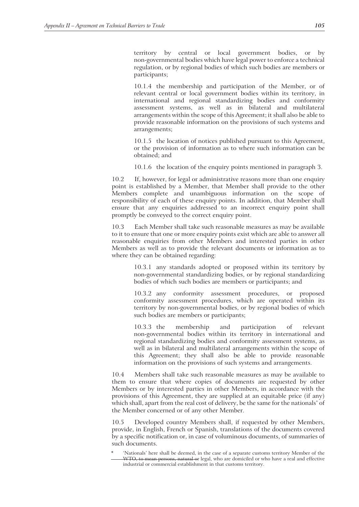territory by central or local government bodies, or by non-governmental bodies which have legal power to enforce a technical regulation, or by regional bodies of which such bodies are members or participants;

10.1.4 the membership and participation of the Member, or of relevant central or local government bodies within its territory, in international and regional standardizing bodies and conformity assessment systems, as well as in bilateral and multilateral arrangements within the scope of this Agreement; it shall also be able to provide reasonable information on the provisions of such systems and arrangements;

10.1.5 the location of notices published pursuant to this Agreement, or the provision of information as to where such information can be obtained; and

10.1.6 the location of the enquiry points mentioned in paragraph 3.

10.2 If, however, for legal or administrative reasons more than one enquiry point is established by a Member, that Member shall provide to the other Members complete and unambiguous information on the scope of responsibility of each of these enquiry points. In addition, that Member shall ensure that any enquiries addressed to an incorrect enquiry point shall promptly be conveyed to the correct enquiry point.

10.3 Each Member shall take such reasonable measures as may be available to it to ensure that one or more enquiry points exist which are able to answer all reasonable enquiries from other Members and interested parties in other Members as well as to provide the relevant documents or information as to where they can be obtained regarding:

> 10.3.1 any standards adopted or proposed within its territory by non-governmental standardizing bodies, or by regional standardizing bodies of which such bodies are members or participants; and

> 10.3.2 any conformity assessment procedures, or proposed conformity assessment procedures, which are operated within its territory by non-governmental bodies, or by regional bodies of which such bodies are members or participants;

> 10.3.3 the membership and participation of relevant non-governmental bodies within its territory in international and regional standardizing bodies and conformity assessment systems, as well as in bilateral and multilateral arrangements within the scope of this Agreement; they shall also be able to provide reasonable information on the provisions of such systems and arrangements.

10.4 Members shall take such reasonable measures as may be available to them to ensure that where copies of documents are requested by other Members or by interested parties in other Members, in accordance with the provisions of this Agreement, they are supplied at an equitable price (if any) which shall, apart from the real cost of delivery, be the same for the nationals\* of the Member concerned or of any other Member.

10.5 Developed country Members shall, if requested by other Members, provide, in English, French or Spanish, translations of the documents covered by a specific notification or, in case of voluminous documents, of summaries of such documents.

**<sup>\*</sup>** 'Nationals' here shall be deemed, in the case of a separate customs territory Member of the WTO, to mean persons, natural or legal, who are domiciled or who have a real and effective industrial or commercial establishment in that customs territory.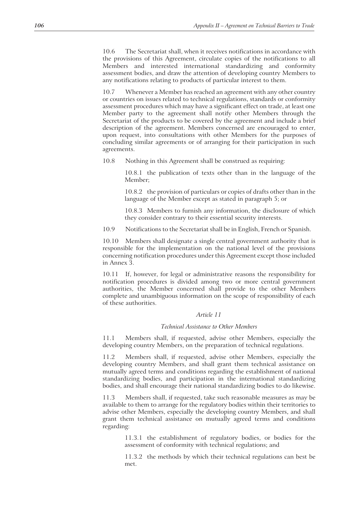10.6 The Secretariat shall, when it receives notifications in accordance with the provisions of this Agreement, circulate copies of the notifications to all Members and interested international standardizing and conformity assessment bodies, and draw the attention of developing country Members to any notifications relating to products of particular interest to them.

10.7 Whenever a Member has reached an agreement with any other country or countries on issues related to technical regulations, standards or conformity assessment procedures which may have a significant effect on trade, at least one Member party to the agreement shall notify other Members through the Secretariat of the products to be covered by the agreement and include a brief description of the agreement. Members concerned are encouraged to enter, upon request, into consultations with other Members for the purposes of concluding similar agreements or of arranging for their participation in such agreements.

10.8 Nothing in this Agreement shall be construed as requiring:

10.8.1 the publication of texts other than in the language of the Member;

10.8.2 the provision of particulars or copies of drafts other than in the language of the Member except as stated in paragraph 5; or

10.8.3 Members to furnish any information, the disclosure of which they consider contrary to their essential security interests.

10.9 Notifications to the Secretariat shall be in English, French or Spanish.

10.10 Members shall designate a single central government authority that is responsible for the implementation on the national level of the provisions concerning notification procedures under this Agreement except those included in Annex 3.

10.11 If, however, for legal or administrative reasons the responsibility for notification procedures is divided among two or more central government authorities, the Member concerned shall provide to the other Members complete and unambiguous information on the scope of responsibility of each of these authorities.

# *Article 11*

# *Technical Assistance to Other Members*

11.1 Members shall, if requested, advise other Members, especially the developing country Members, on the preparation of technical regulations.

11.2 Members shall, if requested, advise other Members, especially the developing country Members, and shall grant them technical assistance on mutually agreed terms and conditions regarding the establishment of national standardizing bodies, and participation in the international standardizing bodies, and shall encourage their national standardizing bodies to do likewise.

11.3 Members shall, if requested, take such reasonable measures as may be available to them to arrange for the regulatory bodies within their territories to advise other Members, especially the developing country Members, and shall grant them technical assistance on mutually agreed terms and conditions regarding:

> 11.3.1 the establishment of regulatory bodies, or bodies for the assessment of conformity with technical regulations; and

> 11.3.2 the methods by which their technical regulations can best be met.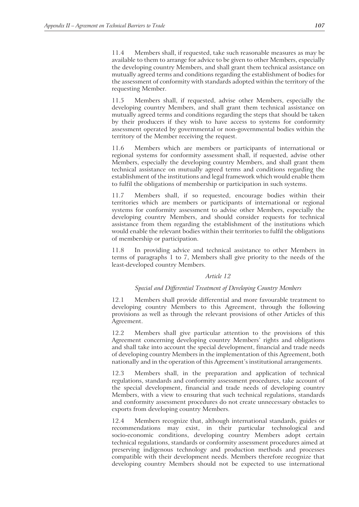11.4 Members shall, if requested, take such reasonable measures as may be available to them to arrange for advice to be given to other Members, especially the developing country Members, and shall grant them technical assistance on mutually agreed terms and conditions regarding the establishment of bodies for the assessment of conformity with standards adopted within the territory of the requesting Member.

11.5 Members shall, if requested, advise other Members, especially the developing country Members, and shall grant them technical assistance on mutually agreed terms and conditions regarding the steps that should be taken by their producers if they wish to have access to systems for conformity assessment operated by governmental or non-governmental bodies within the territory of the Member receiving the request.

11.6 Members which are members or participants of international or regional systems for conformity assessment shall, if requested, advise other Members, especially the developing country Members, and shall grant them technical assistance on mutually agreed terms and conditions regarding the establishment of the institutions and legal framework which would enable them to fulfil the obligations of membership or participation in such systems.

11.7 Members shall, if so requested, encourage bodies within their territories which are members or participants of international or regional systems for conformity assessment to advise other Members, especially the developing country Members, and should consider requests for technical assistance from them regarding the establishment of the institutions which would enable the relevant bodies within their territories to fulfil the obligations of membership or participation.

11.8 In providing advice and technical assistance to other Members in terms of paragraphs 1 to 7, Members shall give priority to the needs of the least-developed country Members.

#### *Article 12*

#### *Special and Differential Treatment of Developing Country Members*

Members shall provide differential and more favourable treatment to developing country Members to this Agreement, through the following provisions as well as through the relevant provisions of other Articles of this Agreement.

12.2 Members shall give particular attention to the provisions of this Agreement concerning developing country Members' rights and obligations and shall take into account the special development, financial and trade needs of developing country Members in the implementation of this Agreement, both nationally and in the operation of this Agreement's institutional arrangements.

12.3 Members shall, in the preparation and application of technical regulations, standards and conformity assessment procedures, take account of the special development, financial and trade needs of developing country Members, with a view to ensuring that such technical regulations, standards and conformity assessment procedures do not create unnecessary obstacles to exports from developing country Members.

12.4 Members recognize that, although international standards, guides or recommendations may exist, in their particular technological and socio-economic conditions, developing country Members adopt certain technical regulations, standards or conformity assessment procedures aimed at preserving indigenous technology and production methods and processes compatible with their development needs. Members therefore recognize that developing country Members should not be expected to use international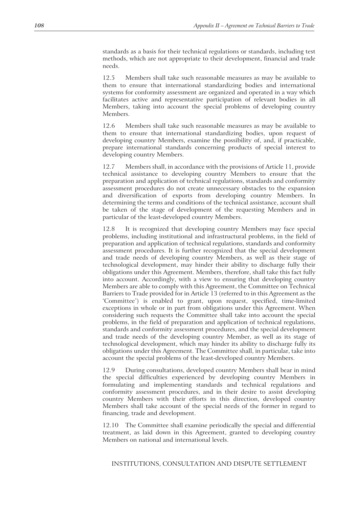standards as a basis for their technical regulations or standards, including test methods, which are not appropriate to their development, financial and trade needs.

12.5 Members shall take such reasonable measures as may be available to them to ensure that international standardizing bodies and international systems for conformity assessment are organized and operated in a way which facilitates active and representative participation of relevant bodies in all Members, taking into account the special problems of developing country Members.

12.6 Members shall take such reasonable measures as may be available to them to ensure that international standardizing bodies, upon request of developing country Members, examine the possibility of, and, if practicable, prepare international standards concerning products of special interest to developing country Members.

12.7 Members shall, in accordance with the provisions of Article 11, provide technical assistance to developing country Members to ensure that the preparation and application of technical regulations, standards and conformity assessment procedures do not create unnecessary obstacles to the expansion and diversification of exports from developing country Members. In determining the terms and conditions of the technical assistance, account shall be taken of the stage of development of the requesting Members and in particular of the least-developed country Members.

12.8 It is recognized that developing country Members may face special problems, including institutional and infrastructural problems, in the field of preparation and application of technical regulations, standards and conformity assessment procedures. It is further recognized that the special development and trade needs of developing country Members, as well as their stage of technological development, may hinder their ability to discharge fully their obligations under this Agreement. Members, therefore, shall take this fact fully into account. Accordingly, with a view to ensuring that developing country Members are able to comply with this Agreement, the Committee on Technical Barriers to Trade provided for in Article 13 (referred to in this Agreement as the 'Committee') is enabled to grant, upon request, specified, time-limited exceptions in whole or in part from obligations under this Agreement. When considering such requests the Committee shall take into account the special problems, in the field of preparation and application of technical regulations, standards and conformity assessment procedures, and the special development and trade needs of the developing country Member, as well as its stage of technological development, which may hinder its ability to discharge fully its obligations under this Agreement. The Committee shall, in particular, take into account the special problems of the least-developed country Members.

12.9 During consultations, developed country Members shall bear in mind the special difficulties experienced by developing country Members in formulating and implementing standards and technical regulations and conformity assessment procedures, and in their desire to assist developing country Members with their efforts in this direction, developed country Members shall take account of the special needs of the former in regard to financing, trade and development.

12.10 The Committee shall examine periodically the special and differential treatment, as laid down in this Agreement, granted to developing country Members on national and international levels.

INSTITUTIONS, CONSULTATION AND DISPUTE SETTLEMENT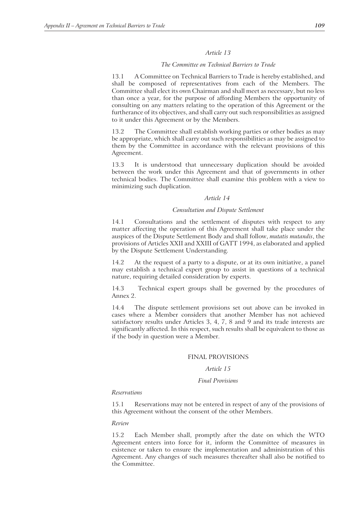# *Article 13*

# *The Committee on Technical Barriers to Trade*

13.1 A Committee on Technical Barriers to Trade is hereby established, and shall be composed of representatives from each of the Members. The Committee shall elect its own Chairman and shall meet as necessary, but no less than once a year, for the purpose of affording Members the opportunity of consulting on any matters relating to the operation of this Agreement or the furtherance of its objectives, and shall carry out such responsibilities as assigned to it under this Agreement or by the Members.

13.2 The Committee shall establish working parties or other bodies as may be appropriate, which shall carry out such responsibilities as may be assigned to them by the Committee in accordance with the relevant provisions of this Agreement.

13.3 It is understood that unnecessary duplication should be avoided between the work under this Agreement and that of governments in other technical bodies. The Committee shall examine this problem with a view to minimizing such duplication.

#### *Article 14*

#### *Consultation and Dispute Settlement*

14.1 Consultations and the settlement of disputes with respect to any matter affecting the operation of this Agreement shall take place under the auspices of the Dispute Settlement Body and shall follow, *mutatis mutandis*, the provisions of Articles XXII and XXIII of GATT 1994, as elaborated and applied by the Dispute Settlement Understanding.

14.2 At the request of a party to a dispute, or at its own initiative, a panel may establish a technical expert group to assist in questions of a technical nature, requiring detailed consideration by experts.

14.3 Technical expert groups shall be governed by the procedures of Annex 2.

14.4 The dispute settlement provisions set out above can be invoked in cases where a Member considers that another Member has not achieved satisfactory results under Articles 3, 4, 7, 8 and 9 and its trade interests are significantly affected. In this respect, such results shall be equivalent to those as if the body in question were a Member.

#### FINAL PROVISIONS

# *Article 15*

# *Final Provisions*

# *Reservations*

15.1 Reservations may not be entered in respect of any of the provisions of this Agreement without the consent of the other Members.

#### *Review*

15.2 Each Member shall, promptly after the date on which the WTO Agreement enters into force for it, inform the Committee of measures in existence or taken to ensure the implementation and administration of this Agreement. Any changes of such measures thereafter shall also be notified to the Committee.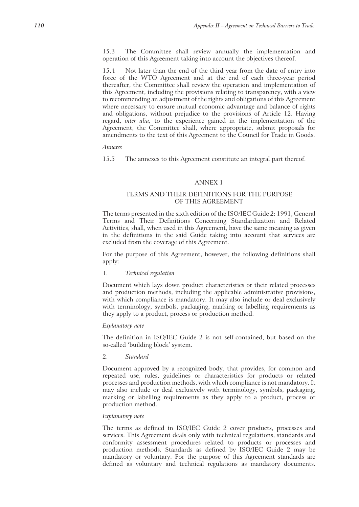15.3 The Committee shall review annually the implementation and operation of this Agreement taking into account the objectives thereof.

15.4 Not later than the end of the third year from the date of entry into force of the WTO Agreement and at the end of each three-year period thereafter, the Committee shall review the operation and implementation of this Agreement, including the provisions relating to transparency, with a view to recommending an adjustment of the rights and obligations of this Agreement where necessary to ensure mutual economic advantage and balance of rights and obligations, without prejudice to the provisions of Article 12. Having regard, *inter alia,* to the experience gained in the implementation of the Agreement, the Committee shall, where appropriate, submit proposals for amendments to the text of this Agreement to the Council for Trade in Goods.

#### *Annexes*

15.5 The annexes to this Agreement constitute an integral part thereof.

# ANNEX 1

# TERMS AND THEIR DEFINITIONS FOR THE PURPOSE OF THIS AGREEMENT

The terms presented in the sixth edition of the ISO/IEC Guide 2: 1991, General Terms and Their Definitions Concerning Standardization and Related Activities, shall, when used in this Agreement, have the same meaning as given in the definitions in the said Guide taking into account that services are excluded from the coverage of this Agreement.

For the purpose of this Agreement, however, the following definitions shall apply:

#### 1. *Technical regulation*

Document which lays down product characteristics or their related processes and production methods, including the applicable administrative provisions, with which compliance is mandatory. It may also include or deal exclusively with terminology, symbols, packaging, marking or labelling requirements as they apply to a product, process or production method.

# *Explanatory note*

The definition in ISO/IEC Guide 2 is not self-contained, but based on the so-called 'building block' system.

#### 2. *Standard*

Document approved by a recognized body, that provides, for common and repeated use, rules, guidelines or characteristics for products or related processes and production methods, with which compliance is not mandatory. It may also include or deal exclusively with terminology, symbols, packaging, marking or labelling requirements as they apply to a product, process or production method.

#### *Explanatory note*

The terms as defined in ISO/IEC Guide 2 cover products, processes and services. This Agreement deals only with technical regulations, standards and conformity assessment procedures related to products or processes and production methods. Standards as defined by ISO/IEC Guide 2 may be mandatory or voluntary. For the purpose of this Agreement standards are defined as voluntary and technical regulations as mandatory documents.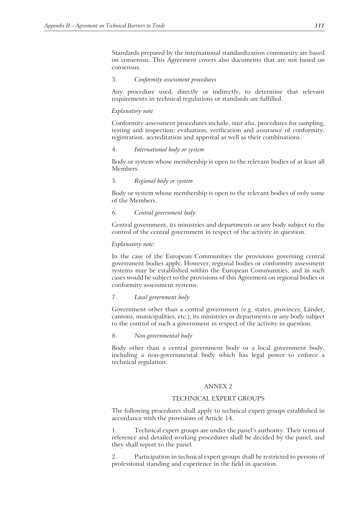Standards prepared by the international standardization community are based on consensus. This Agreement covers also documents that are not based on consensus.

#### 3. *Conformity assessment procedures*

Any procedure used, directly or indirectly, to determine that relevant requirements in technical regulations or standards are fulfilled.

#### *Explanatory note*

Conformity assessment procedures include, *inter alia*, procedures for sampling, testing and inspection; evaluation, verification and assurance of conformity; registration, accreditation and approval as well as their combinations.

#### 4. *International body or system*

Body or system whose membership is open to the relevant bodies of at least all Members.

# 5. *Regional body or system*

Body or system whose membership is open to the relevant bodies of only some of the Members.

#### 6. *Central government body*

Central government, its ministries and departments or any body subject to the control of the central government in respect of the activity in question.

#### *Explanatory note*:

In the case of the European Communities the provisions governing central government bodies apply. However, regional bodies or conformity assessment systems may be established within the European Communities, and in such cases would be subject to the provisions of this Agreement on regional bodies or conformity assessment systems.

#### 7. *Local government body*

Government other than a central government (e.g. states, provinces, Länder, cantons, municipalities, etc.), its ministries or departments or any body subject to the control of such a government in respect of the activity in question.

#### 8. *Non-governmental body*

Body other than a central government body or a local government body, including a non-governmental body which has legal power to enforce a technical regulation.

#### ANNEX 2

## TECHNICAL EXPERT GROUPS

The following procedures shall apply to technical expert groups established in accordance with the provisions of Article 14.

1. Technical expert groups are under the panel's authority. Their terms of reference and detailed working procedures shall be decided by the panel, and they shall report to the panel.

2. Participation in technical expert groups shall be restricted to persons of professional standing and experience in the field in question.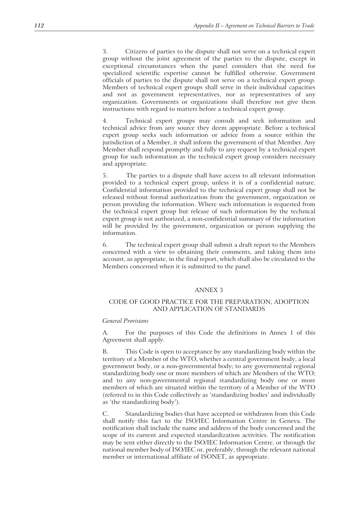3. Citizens of parties to the dispute shall not serve on a technical expert group without the joint agreement of the parties to the dispute, except in exceptional circumstances when the panel considers that the need for specialized scientific expertise cannot be fulfilled otherwise. Government officials of parties to the dispute shall not serve on a technical expert group. Members of technical expert groups shall serve in their individual capacities and not as government representatives, nor as representatives of any organization. Governments or organizations shall therefore not give them instructions with regard to matters before a technical expert group.

4. Technical expert groups may consult and seek information and technical advice from any source they deem appropriate. Before a technical expert group seeks such information or advice from a source within the jurisdiction of a Member, it shall inform the government of that Member. Any Member shall respond promptly and fully to any request by a technical expert group for such information as the technical expert group considers necessary and appropriate.

5. The parties to a dispute shall have access to all relevant information provided to a technical expert group, unless it is of a confidential nature. Confidential information provided to the technical expert group shall not be released without formal authorization from the government, organization or person providing the information. Where such information is requested from the technical expert group but release of such information by the technical expert group is not authorized, a non-confidential summary of the information will be provided by the government, organization or person supplying the information.

6. The technical expert group shall submit a draft report to the Members concerned with a view to obtaining their comments, and taking them into account, as appropriate, in the final report, which shall also be circulated to the Members concerned when it is submitted to the panel.

#### ANNEX 3

# CODE OF GOOD PRACTICE FOR THE PREPARATION, ADOPTION AND APPLICATION OF STANDARDS

#### *General Provisions*

A. For the purposes of this Code the definitions in Annex 1 of this Agreement shall apply.

B. This Code is open to acceptance by any standardizing body within the territory of a Member of the WTO, whether a central government body, a local government body, or a non-governmental body; to any governmental regional standardizing body one or more members of which are Members of the WTO; and to any non-governmental regional standardizing body one or more members of which are situated within the territory of a Member of the WTO (referred to in this Code collectively as 'standardizing bodies' and individually as 'the standardizing body').

C. Standardizing bodies that have accepted or withdrawn from this Code shall notify this fact to the ISO/IEC Information Centre in Geneva. The notification shall include the name and address of the body concerned and the scope of its current and expected standardization activities. The notification may be sent either directly to the ISO/IEC Information Centre, or through the national member body of ISO/IEC or, preferably, through the relevant national member or international affiliate of ISONET, as appropriate.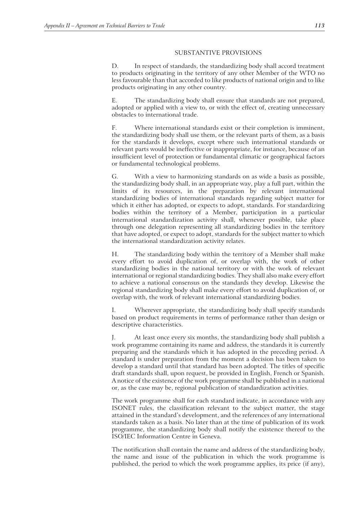# SUBSTANTIVE PROVISIONS

D. In respect of standards, the standardizing body shall accord treatment to products originating in the territory of any other Member of the WTO no less favourable than that accorded to like products of national origin and to like products originating in any other country.

E. The standardizing body shall ensure that standards are not prepared, adopted or applied with a view to, or with the effect of, creating unnecessary obstacles to international trade.

F. Where international standards exist or their completion is imminent, the standardizing body shall use them, or the relevant parts of them, as a basis for the standards it develops, except where such international standards or relevant parts would be ineffective or inappropriate, for instance, because of an insufficient level of protection or fundamental climatic or geographical factors or fundamental technological problems.

G. With a view to harmonizing standards on as wide a basis as possible, the standardizing body shall, in an appropriate way, play a full part, within the limits of its resources, in the preparation by relevant international standardizing bodies of international standards regarding subject matter for which it either has adopted, or expects to adopt, standards. For standardizing bodies within the territory of a Member, participation in a particular international standardization activity shall, whenever possible, take place through one delegation representing all standardizing bodies in the territory that have adopted, or expect to adopt, standards for the subject matter to which the international standardization activity relates.

H. The standardizing body within the territory of a Member shall make every effort to avoid duplication of, or overlap with, the work of other standardizing bodies in the national territory or with the work of relevant international or regional standardizing bodies. They shall also make every effort to achieve a national consensus on the standards they develop. Likewise the regional standardizing body shall make every effort to avoid duplication of, or overlap with, the work of relevant international standardizing bodies.

I. Wherever appropriate, the standardizing body shall specify standards based on product requirements in terms of performance rather than design or descriptive characteristics.

J. At least once every six months, the standardizing body shall publish a work programme containing its name and address, the standards it is currently preparing and the standards which it has adopted in the preceding period. A standard is under preparation from the moment a decision has been taken to develop a standard until that standard has been adopted. The titles of specific draft standards shall, upon request, be provided in English, French or Spanish. A notice of the existence of the work programme shall be published in a national or, as the case may be, regional publication of standardization activities.

The work programme shall for each standard indicate, in accordance with any ISONET rules, the classification relevant to the subject matter, the stage attained in the standard's development, and the references of any international standards taken as a basis. No later than at the time of publication of its work programme, the standardizing body shall notify the existence thereof to the ISO/IEC Information Centre in Geneva.

The notification shall contain the name and address of the standardizing body, the name and issue of the publication in which the work programme is published, the period to which the work programme applies, its price (if any),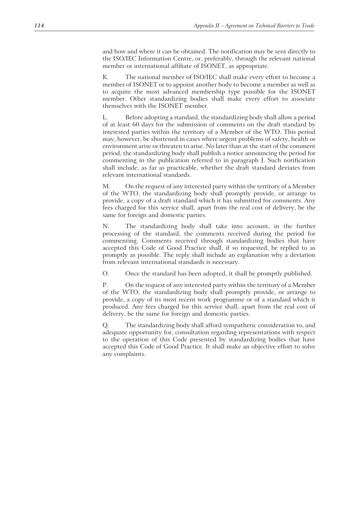and how and where it can be obtained. The notification may be sent directly to the ISO/IEC Information Centre, or, preferably, through the relevant national member or international affiliate of ISONET, as appropriate.

K. The national member of ISO/IEC shall make every effort to become a member of ISONET or to appoint another body to become a member as well as to acquire the most advanced membership type possible for the ISONET member. Other standardizing bodies shall make every effort to associate themselves with the ISONET member.

L. Before adopting a standard, the standardizing body shall allow a period of at least 60 days for the submission of comments on the draft standard by interested parties within the territory of a Member of the WTO. This period may, however, be shortened in cases where urgent problems of safety, health or environment arise or threaten to arise. No later than at the start of the comment period, the standardizing body shall publish a notice announcing the period for commenting in the publication referred to in paragraph J. Such notification shall include, as far as practicable, whether the draft standard deviates from relevant international standards.

M. On the request of any interested party within the territory of a Member of the WTO, the standardizing body shall promptly provide, or arrange to provide, a copy of a draft standard which it has submitted for comments. Any fees charged for this service shall, apart from the real cost of delivery, be the same for foreign and domestic parties.

N. The standardizing body shall take into account, in the further processing of the standard, the comments received during the period for commenting. Comments received through standardizing bodies that have accepted this Code of Good Practice shall, if so requested, be replied to as promptly as possible. The reply shall include an explanation why a deviation from relevant international standards is necessary.

O. Once the standard has been adopted, it shall be promptly published.

P. On the request of any interested party within the territory of a Member of the WTO, the standardizing body shall promptly provide, or arrange to provide, a copy of its most recent work programme or of a standard which it produced. Any fees charged for this service shall, apart from the real cost of delivery, be the same for foreign and domestic parties.

Q. The standardizing body shall afford sympathetic consideration to, and adequate opportunity for, consultation regarding representations with respect to the operation of this Code presented by standardizing bodies that have accepted this Code of Good Practice. It shall make an objective effort to solve any complaints.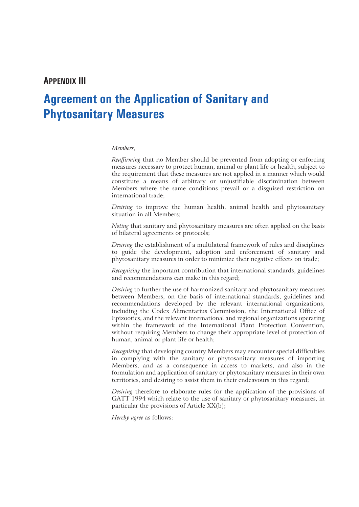# **APPENDIX III**

# **Agreement on the Application of Sanitary and Phytosanitary Measures**

# *Members*,

*Reaffirming* that no Member should be prevented from adopting or enforcing measures necessary to protect human, animal or plant life or health, subject to the requirement that these measures are not applied in a manner which would constitute a means of arbitrary or unjustifiable discrimination between Members where the same conditions prevail or a disguised restriction on international trade;

*Desiring* to improve the human health, animal health and phytosanitary situation in all Members;

*Noting* that sanitary and phytosanitary measures are often applied on the basis of bilateral agreements or protocols;

*Desiring* the establishment of a multilateral framework of rules and disciplines to guide the development, adoption and enforcement of sanitary and phytosanitary measures in order to minimize their negative effects on trade;

*Recognizing* the important contribution that international standards, guidelines and recommendations can make in this regard;

*Desiring* to further the use of harmonized sanitary and phytosanitary measures between Members, on the basis of international standards, guidelines and recommendations developed by the relevant international organizations, including the Codex Alimentarius Commission, the International Office of Epizootics, and the relevant international and regional organizations operating within the framework of the International Plant Protection Convention, without requiring Members to change their appropriate level of protection of human, animal or plant life or health;

*Recognizing* that developing country Members may encounter special difficulties in complying with the sanitary or phytosanitary measures of importing Members, and as a consequence in access to markets, and also in the formulation and application of sanitary or phytosanitary measures in their own territories, and desiring to assist them in their endeavours in this regard;

*Desiring* therefore to elaborate rules for the application of the provisions of GATT 1994 which relate to the use of sanitary or phytosanitary measures, in particular the provisions of Article XX(b);

*Hereby agree* as follows: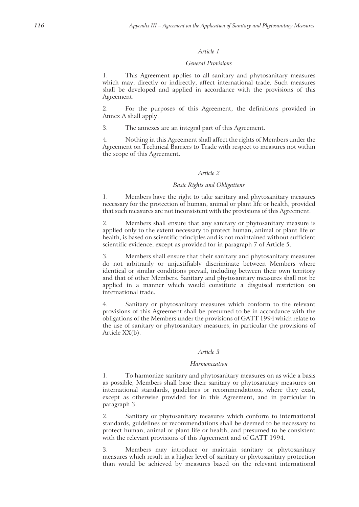# *Article 1*

# *General Provisions*

1. This Agreement applies to all sanitary and phytosanitary measures which may, directly or indirectly, affect international trade. Such measures shall be developed and applied in accordance with the provisions of this Agreement.

2. For the purposes of this Agreement, the definitions provided in Annex A shall apply.

3. The annexes are an integral part of this Agreement.

4. Nothing in this Agreement shall affect the rights of Members under the Agreement on Technical Barriers to Trade with respect to measures not within the scope of this Agreement.

#### *Article 2*

#### *Basic Rights and Obligations*

1. Members have the right to take sanitary and phytosanitary measures necessary for the protection of human, animal or plant life or health, provided that such measures are not inconsistent with the provisions of this Agreement.

2. Members shall ensure that any sanitary or phytosanitary measure is applied only to the extent necessary to protect human, animal or plant life or health, is based on scientific principles and is not maintained without sufficient scientific evidence, except as provided for in paragraph 7 of Article 5.

3. Members shall ensure that their sanitary and phytosanitary measures do not arbitrarily or unjustifiably discriminate between Members where identical or similar conditions prevail, including between their own territory and that of other Members. Sanitary and phytosanitary measures shall not be applied in a manner which would constitute a disguised restriction on international trade.

4. Sanitary or phytosanitary measures which conform to the relevant provisions of this Agreement shall be presumed to be in accordance with the obligations of the Members under the provisions of GATT 1994 which relate to the use of sanitary or phytosanitary measures, in particular the provisions of Article XX(b).

# *Article 3*

#### *Harmonization*

1. To harmonize sanitary and phytosanitary measures on as wide a basis as possible, Members shall base their sanitary or phytosanitary measures on international standards, guidelines or recommendations, where they exist, except as otherwise provided for in this Agreement, and in particular in paragraph 3.

2. Sanitary or phytosanitary measures which conform to international standards, guidelines or recommendations shall be deemed to be necessary to protect human, animal or plant life or health, and presumed to be consistent with the relevant provisions of this Agreement and of GATT 1994.

3. Members may introduce or maintain sanitary or phytosanitary measures which result in a higher level of sanitary or phytosanitary protection than would be achieved by measures based on the relevant international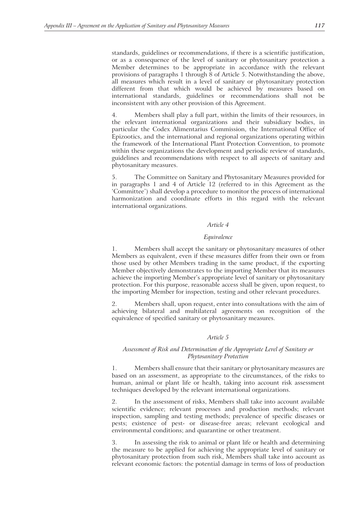standards, guidelines or recommendations, if there is a scientific justification, or as a consequence of the level of sanitary or phytosanitary protection a Member determines to be appropriate in accordance with the relevant provisions of paragraphs 1 through 8 of Article 5. Notwithstanding the above, all measures which result in a level of sanitary or phytosanitary protection different from that which would be achieved by measures based on international standards, guidelines or recommendations shall not be inconsistent with any other provision of this Agreement.

4. Members shall play a full part, within the limits of their resources, in the relevant international organizations and their subsidiary bodies, in particular the Codex Alimentarius Commission, the International Office of Epizootics, and the international and regional organizations operating within the framework of the International Plant Protection Convention, to promote within these organizations the development and periodic review of standards, guidelines and recommendations with respect to all aspects of sanitary and phytosanitary measures.

5. The Committee on Sanitary and Phytosanitary Measures provided for in paragraphs 1 and 4 of Article 12 (referred to in this Agreement as the 'Committee') shall develop a procedure to monitor the process of international harmonization and coordinate efforts in this regard with the relevant international organizations.

# *Article 4*

# *Equivalence*

1. Members shall accept the sanitary or phytosanitary measures of other Members as equivalent, even if these measures differ from their own or from those used by other Members trading in the same product, if the exporting Member objectively demonstrates to the importing Member that its measures achieve the importing Member's appropriate level of sanitary or phytosanitary protection. For this purpose, reasonable access shall be given, upon request, to the importing Member for inspection, testing and other relevant procedures.

2. Members shall, upon request, enter into consultations with the aim of achieving bilateral and multilateral agreements on recognition of the equivalence of specified sanitary or phytosanitary measures.

#### *Article 5*

# *Assessment of Risk and Determination of the Appropriate Level of Sanitary or Phytosanitary Protection*

1. Members shall ensure that their sanitary or phytosanitary measures are based on an assessment, as appropriate to the circumstances, of the risks to human, animal or plant life or health, taking into account risk assessment techniques developed by the relevant international organizations.

2. In the assessment of risks, Members shall take into account available scientific evidence; relevant processes and production methods; relevant inspection, sampling and testing methods; prevalence of specific diseases or pests; existence of pest- or disease-free areas; relevant ecological and environmental conditions; and quarantine or other treatment.

3. In assessing the risk to animal or plant life or health and determining the measure to be applied for achieving the appropriate level of sanitary or phytosanitary protection from such risk, Members shall take into account as relevant economic factors: the potential damage in terms of loss of production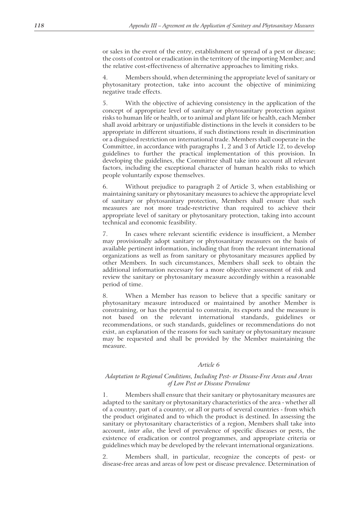or sales in the event of the entry, establishment or spread of a pest or disease; the costs of control or eradication in the territory of the importing Member; and the relative cost-effectiveness of alternative approaches to limiting risks.

Members should, when determining the appropriate level of sanitary or phytosanitary protection, take into account the objective of minimizing negative trade effects.

With the objective of achieving consistency in the application of the concept of appropriate level of sanitary or phytosanitary protection against risks to human life or health, or to animal and plant life or health, each Member shall avoid arbitrary or unjustifiable distinctions in the levels it considers to be appropriate in different situations, if such distinctions result in discrimination or a disguised restriction on international trade. Members shall cooperate in the Committee, in accordance with paragraphs 1, 2 and 3 of Article 12, to develop guidelines to further the practical implementation of this provision. In developing the guidelines, the Committee shall take into account all relevant factors, including the exceptional character of human health risks to which people voluntarily expose themselves.

6. Without prejudice to paragraph 2 of Article 3, when establishing or maintaining sanitary or phytosanitary measures to achieve the appropriate level of sanitary or phytosanitary protection, Members shall ensure that such measures are not more trade-restrictive than required to achieve their appropriate level of sanitary or phytosanitary protection, taking into account technical and economic feasibility.

7. In cases where relevant scientific evidence is insufficient, a Member may provisionally adopt sanitary or phytosanitary measures on the basis of available pertinent information, including that from the relevant international organizations as well as from sanitary or phytosanitary measures applied by other Members. In such circumstances, Members shall seek to obtain the additional information necessary for a more objective assessment of risk and review the sanitary or phytosanitary measure accordingly within a reasonable period of time.

When a Member has reason to believe that a specific sanitary or phytosanitary measure introduced or maintained by another Member is constraining, or has the potential to constrain, its exports and the measure is not based on the relevant international standards, guidelines or recommendations, or such standards, guidelines or recommendations do not exist, an explanation of the reasons for such sanitary or phytosanitary measure may be requested and shall be provided by the Member maintaining the measure.

#### *Article 6*

# *Adaptation to Regional Conditions, Including Pest- or Disease-Free Areas and Areas of Low Pest or Disease Prevalence*

1. Members shall ensure that their sanitary or phytosanitary measures are adapted to the sanitary or phytosanitary characteristics of the area - whether all of a country, part of a country, or all or parts of several countries - from which the product originated and to which the product is destined. In assessing the sanitary or phytosanitary characteristics of a region, Members shall take into account, *inter alia*, the level of prevalence of specific diseases or pests, the existence of eradication or control programmes, and appropriate criteria or guidelines which may be developed by the relevant international organizations.

2. Members shall, in particular, recognize the concepts of pest- or disease-free areas and areas of low pest or disease prevalence. Determination of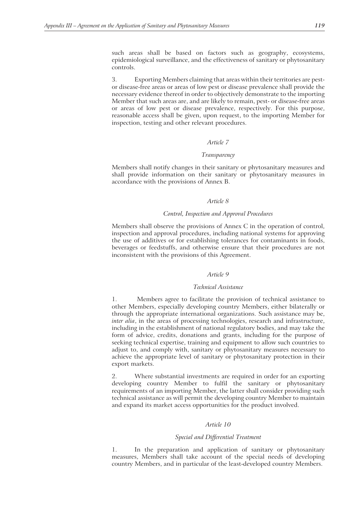such areas shall be based on factors such as geography, ecosystems, epidemiological surveillance, and the effectiveness of sanitary or phytosanitary controls.

3. Exporting Members claiming that areas within their territories are pestor disease-free areas or areas of low pest or disease prevalence shall provide the necessary evidence thereof in order to objectively demonstrate to the importing Member that such areas are, and are likely to remain, pest- or disease-free areas or areas of low pest or disease prevalence, respectively. For this purpose, reasonable access shall be given, upon request, to the importing Member for inspection, testing and other relevant procedures.

# *Article 7*

# *Transparency*

Members shall notify changes in their sanitary or phytosanitary measures and shall provide information on their sanitary or phytosanitary measures in accordance with the provisions of Annex B.

# *Article 8*

#### *Control, Inspection and Approval Procedures*

Members shall observe the provisions of Annex C in the operation of control, inspection and approval procedures, including national systems for approving the use of additives or for establishing tolerances for contaminants in foods, beverages or feedstuffs, and otherwise ensure that their procedures are not inconsistent with the provisions of this Agreement.

# *Article 9*

# *Technical Assistance*

1. Members agree to facilitate the provision of technical assistance to other Members, especially developing country Members, either bilaterally or through the appropriate international organizations. Such assistance may be, *inter alia*, in the areas of processing technologies, research and infrastructure, including in the establishment of national regulatory bodies, and may take the form of advice, credits, donations and grants, including for the purpose of seeking technical expertise, training and equipment to allow such countries to adjust to, and comply with, sanitary or phytosanitary measures necessary to achieve the appropriate level of sanitary or phytosanitary protection in their export markets.

2. Where substantial investments are required in order for an exporting developing country Member to fulfil the sanitary or phytosanitary requirements of an importing Member, the latter shall consider providing such technical assistance as will permit the developing country Member to maintain and expand its market access opportunities for the product involved.

#### *Article 10*

#### *Special and Differential Treatment*

1. In the preparation and application of sanitary or phytosanitary measures, Members shall take account of the special needs of developing country Members, and in particular of the least-developed country Members.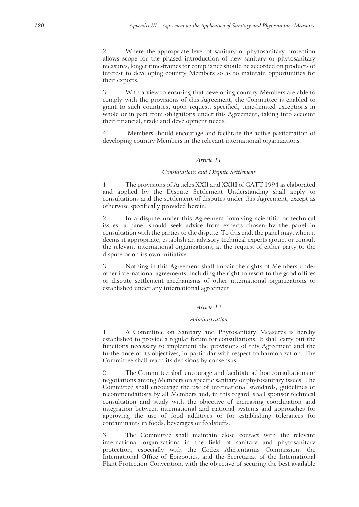2. Where the appropriate level of sanitary or phytosanitary protection allows scope for the phased introduction of new sanitary or phytosanitary measures, longer time-frames for compliance should be accorded on products of interest to developing country Members so as to maintain opportunities for their exports.

3. With a view to ensuring that developing country Members are able to comply with the provisions of this Agreement, the Committee is enabled to grant to such countries, upon request, specified, time-limited exceptions in whole or in part from obligations under this Agreement, taking into account their financial, trade and development needs.

4. Members should encourage and facilitate the active participation of developing country Members in the relevant international organizations.

#### *Article 11*

#### *Consultations and Dispute Settlement*

1. The provisions of Articles XXII and XXIII of GATT 1994 as elaborated and applied by the Dispute Settlement Understanding shall apply to consultations and the settlement of disputes under this Agreement, except as otherwise specifically provided herein.

2. In a dispute under this Agreement involving scientific or technical issues, a panel should seek advice from experts chosen by the panel in consultation with the parties to the dispute. To this end, the panel may, when it deems it appropriate, establish an advisory technical experts group, or consult the relevant international organizations, at the request of either party to the dispute or on its own initiative.

3. Nothing in this Agreement shall impair the rights of Members under other international agreements, including the right to resort to the good offices or dispute settlement mechanisms of other international organizations or established under any international agreement.

# *Article 12*

#### *Administration*

1. A Committee on Sanitary and Phytosanitary Measures is hereby established to provide a regular forum for consultations. It shall carry out the functions necessary to implement the provisions of this Agreement and the furtherance of its objectives, in particular with respect to harmonization. The Committee shall reach its decisions by consensus.

2. The Committee shall encourage and facilitate ad hoc consultations or negotiations among Members on specific sanitary or phytosanitary issues. The Committee shall encourage the use of international standards, guidelines or recommendations by all Members and, in this regard, shall sponsor technical consultation and study with the objective of increasing coordination and integration between international and national systems and approaches for approving the use of food additives or for establishing tolerances for contaminants in foods, beverages or feedstuffs.

3. The Committee shall maintain close contact with the relevant international organizations in the field of sanitary and phytosanitary protection, especially with the Codex Alimentarius Commission, the International Office of Epizootics, and the Secretariat of the International Plant Protection Convention, with the objective of securing the best available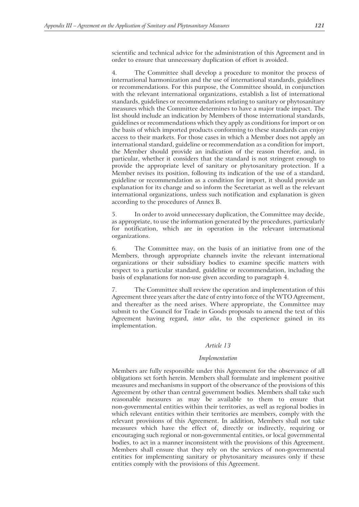4. The Committee shall develop a procedure to monitor the process of international harmonization and the use of international standards, guidelines or recommendations. For this purpose, the Committee should, in conjunction with the relevant international organizations, establish a list of international standards, guidelines or recommendations relating to sanitary or phytosanitary measures which the Committee determines to have a major trade impact. The list should include an indication by Members of those international standards, guidelines or recommendations which they apply as conditions for import or on the basis of which imported products conforming to these standards can enjoy access to their markets. For those cases in which a Member does not apply an international standard, guideline or recommendation as a condition for import, the Member should provide an indication of the reason therefor, and, in particular, whether it considers that the standard is not stringent enough to provide the appropriate level of sanitary or phytosanitary protection. If a Member revises its position, following its indication of the use of a standard, guideline or recommendation as a condition for import, it should provide an explanation for its change and so inform the Secretariat as well as the relevant international organizations, unless such notification and explanation is given according to the procedures of Annex B.

5. In order to avoid unnecessary duplication, the Committee may decide, as appropriate, to use the information generated by the procedures, particularly for notification, which are in operation in the relevant international organizations.

6. The Committee may, on the basis of an initiative from one of the Members, through appropriate channels invite the relevant international organizations or their subsidiary bodies to examine specific matters with respect to a particular standard, guideline or recommendation, including the basis of explanations for non-use given according to paragraph 4.

7. The Committee shall review the operation and implementation of this Agreement three years after the date of entry into force of the WTO Agreement, and thereafter as the need arises. Where appropriate, the Committee may submit to the Council for Trade in Goods proposals to amend the text of this Agreement having regard, *inter alia*, to the experience gained in its implementation.

#### *Article 13*

#### *Implementation*

Members are fully responsible under this Agreement for the observance of all obligations set forth herein. Members shall formulate and implement positive measures and mechanisms in support of the observance of the provisions of this Agreement by other than central government bodies. Members shall take such reasonable measures as may be available to them to ensure that non-governmental entities within their territories, as well as regional bodies in which relevant entities within their territories are members, comply with the relevant provisions of this Agreement. In addition, Members shall not take measures which have the effect of, directly or indirectly, requiring or encouraging such regional or non-governmental entities, or local governmental bodies, to act in a manner inconsistent with the provisions of this Agreement. Members shall ensure that they rely on the services of non-governmental entities for implementing sanitary or phytosanitary measures only if these entities comply with the provisions of this Agreement.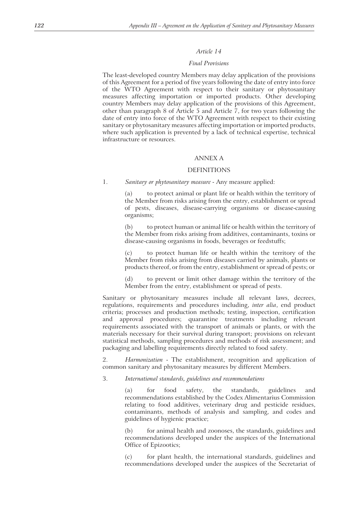#### *Article 14*

#### *Final Provisions*

The least-developed country Members may delay application of the provisions of this Agreement for a period of five years following the date of entry into force of the WTO Agreement with respect to their sanitary or phytosanitary measures affecting importation or imported products. Other developing country Members may delay application of the provisions of this Agreement, other than paragraph 8 of Article 5 and Article 7, for two years following the date of entry into force of the WTO Agreement with respect to their existing sanitary or phytosanitary measures affecting importation or imported products, where such application is prevented by a lack of technical expertise, technical infrastructure or resources.

# ANNEX A

#### DEFINITIONS

1. *Sanitary or phytosanitary measure* - Any measure applied:

(a) to protect animal or plant life or health within the territory of the Member from risks arising from the entry, establishment or spread of pests, diseases, disease-carrying organisms or disease-causing organisms;

(b) to protect human or animal life or health within the territory of the Member from risks arising from additives, contaminants, toxins or disease-causing organisms in foods, beverages or feedstuffs;

(c) to protect human life or health within the territory of the Member from risks arising from diseases carried by animals, plants or products thereof, or from the entry, establishment or spread of pests; or

(d) to prevent or limit other damage within the territory of the Member from the entry, establishment or spread of pests.

Sanitary or phytosanitary measures include all relevant laws, decrees, regulations, requirements and procedures including, *inter alia*, end product criteria; processes and production methods; testing, inspection, certification and approval procedures; quarantine treatments including relevant requirements associated with the transport of animals or plants, or with the materials necessary for their survival during transport; provisions on relevant statistical methods, sampling procedures and methods of risk assessment; and packaging and labelling requirements directly related to food safety.

2. *Harmonization* - The establishment, recognition and application of common sanitary and phytosanitary measures by different Members.

3. *International standards, guidelines and recommendations*

(a) for food safety, the standards, guidelines and recommendations established by the Codex Alimentarius Commission relating to food additives, veterinary drug and pesticide residues, contaminants, methods of analysis and sampling, and codes and guidelines of hygienic practice;

(b) for animal health and zoonoses, the standards, guidelines and recommendations developed under the auspices of the International Office of Epizootics;

(c) for plant health, the international standards, guidelines and recommendations developed under the auspices of the Secretariat of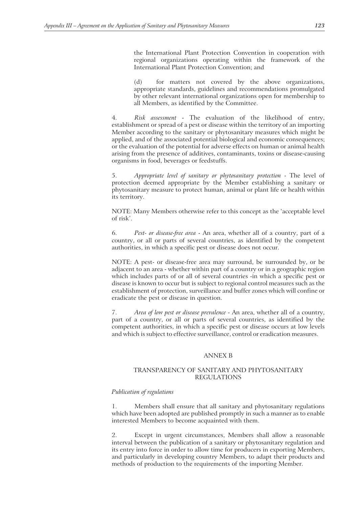the International Plant Protection Convention in cooperation with regional organizations operating within the framework of the International Plant Protection Convention; and

(d) for matters not covered by the above organizations, appropriate standards, guidelines and recommendations promulgated by other relevant international organizations open for membership to all Members, as identified by the Committee.

4. *Risk assessment* - The evaluation of the likelihood of entry, establishment or spread of a pest or disease within the territory of an importing Member according to the sanitary or phytosanitary measures which might be applied, and of the associated potential biological and economic consequences; or the evaluation of the potential for adverse effects on human or animal health arising from the presence of additives, contaminants, toxins or disease-causing organisms in food, beverages or feedstuffs.

5. *Appropriate level of sanitary or phytosanitary protection* - The level of protection deemed appropriate by the Member establishing a sanitary or phytosanitary measure to protect human, animal or plant life or health within its territory.

NOTE: Many Members otherwise refer to this concept as the 'acceptable level of risk'.

6. *Pest- or disease-free area* - An area, whether all of a country, part of a country, or all or parts of several countries, as identified by the competent authorities, in which a specific pest or disease does not occur.

NOTE: A pest- or disease-free area may surround, be surrounded by, or be adjacent to an area - whether within part of a country or in a geographic region which includes parts of or all of several countries -in which a specific pest or disease is known to occur but is subject to regional control measures such as the establishment of protection, surveillance and buffer zones which will confine or eradicate the pest or disease in question.

7. *Area of low pest or disease prevalence* - An area, whether all of a country, part of a country, or all or parts of several countries, as identified by the competent authorities, in which a specific pest or disease occurs at low levels and which is subject to effective surveillance, control or eradication measures.

# ANNEX B

# TRANSPARENCY OF SANITARY AND PHYTOSANITARY REGULATIONS

#### *Publication of regulations*

1. Members shall ensure that all sanitary and phytosanitary regulations which have been adopted are published promptly in such a manner as to enable interested Members to become acquainted with them.

2. Except in urgent circumstances, Members shall allow a reasonable interval between the publication of a sanitary or phytosanitary regulation and its entry into force in order to allow time for producers in exporting Members, and particularly in developing country Members, to adapt their products and methods of production to the requirements of the importing Member.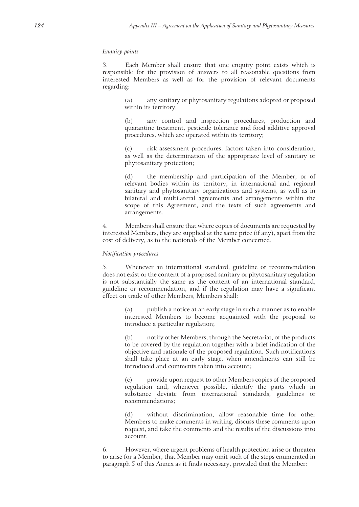#### *Enquiry points*

3. Each Member shall ensure that one enquiry point exists which is responsible for the provision of answers to all reasonable questions from interested Members as well as for the provision of relevant documents regarding:

> (a) any sanitary or phytosanitary regulations adopted or proposed within its territory;

> (b) any control and inspection procedures, production and quarantine treatment, pesticide tolerance and food additive approval procedures, which are operated within its territory;

> (c) risk assessment procedures, factors taken into consideration, as well as the determination of the appropriate level of sanitary or phytosanitary protection;

> (d) the membership and participation of the Member, or of relevant bodies within its territory, in international and regional sanitary and phytosanitary organizations and systems, as well as in bilateral and multilateral agreements and arrangements within the scope of this Agreement, and the texts of such agreements and arrangements.

4. Members shall ensure that where copies of documents are requested by interested Members, they are supplied at the same price (if any), apart from the cost of delivery, as to the nationals of the Member concerned.

# *Notification procedures*

5. Whenever an international standard, guideline or recommendation does not exist or the content of a proposed sanitary or phytosanitary regulation is not substantially the same as the content of an international standard, guideline or recommendation, and if the regulation may have a significant effect on trade of other Members, Members shall:

> (a) publish a notice at an early stage in such a manner as to enable interested Members to become acquainted with the proposal to introduce a particular regulation;

> (b) notify other Members, through the Secretariat, of the products to be covered by the regulation together with a brief indication of the objective and rationale of the proposed regulation. Such notifications shall take place at an early stage, when amendments can still be introduced and comments taken into account;

> (c) provide upon request to other Members copies of the proposed regulation and, whenever possible, identify the parts which in substance deviate from international standards, guidelines or recommendations;

> (d) without discrimination, allow reasonable time for other Members to make comments in writing, discuss these comments upon request, and take the comments and the results of the discussions into account.

6. However, where urgent problems of health protection arise or threaten to arise for a Member, that Member may omit such of the steps enumerated in paragraph 5 of this Annex as it finds necessary, provided that the Member: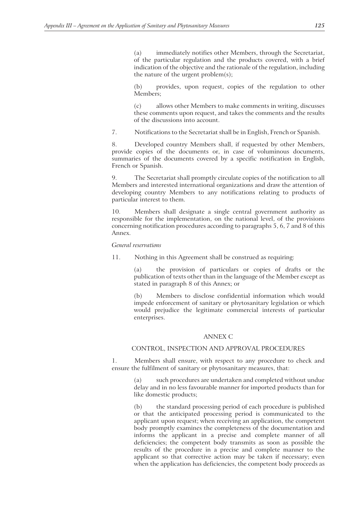(a) immediately notifies other Members, through the Secretariat, of the particular regulation and the products covered, with a brief indication of the objective and the rationale of the regulation, including the nature of the urgent problem(s);

(b) provides, upon request, copies of the regulation to other Members;

(c) allows other Members to make comments in writing, discusses these comments upon request, and takes the comments and the results of the discussions into account.

7. Notifications to the Secretariat shall be in English, French or Spanish.

8. Developed country Members shall, if requested by other Members, provide copies of the documents or, in case of voluminous documents, summaries of the documents covered by a specific notification in English, French or Spanish.

9. The Secretariat shall promptly circulate copies of the notification to all Members and interested international organizations and draw the attention of developing country Members to any notifications relating to products of particular interest to them.

10. Members shall designate a single central government authority as responsible for the implementation, on the national level, of the provisions concerning notification procedures according to paragraphs 5, 6, 7 and 8 of this Annex.

#### *General reservations*

11. Nothing in this Agreement shall be construed as requiring:

(a) the provision of particulars or copies of drafts or the publication of texts other than in the language of the Member except as stated in paragraph 8 of this Annex; or

(b) Members to disclose confidential information which would impede enforcement of sanitary or phytosanitary legislation or which would prejudice the legitimate commercial interests of particular enterprises.

#### ANNEX C

# CONTROL, INSPECTION AND APPROVAL PROCEDURES

1. Members shall ensure, with respect to any procedure to check and ensure the fulfilment of sanitary or phytosanitary measures, that:

> (a) such procedures are undertaken and completed without undue delay and in no less favourable manner for imported products than for like domestic products;

> (b) the standard processing period of each procedure is published or that the anticipated processing period is communicated to the applicant upon request; when receiving an application, the competent body promptly examines the completeness of the documentation and informs the applicant in a precise and complete manner of all deficiencies; the competent body transmits as soon as possible the results of the procedure in a precise and complete manner to the applicant so that corrective action may be taken if necessary; even when the application has deficiencies, the competent body proceeds as